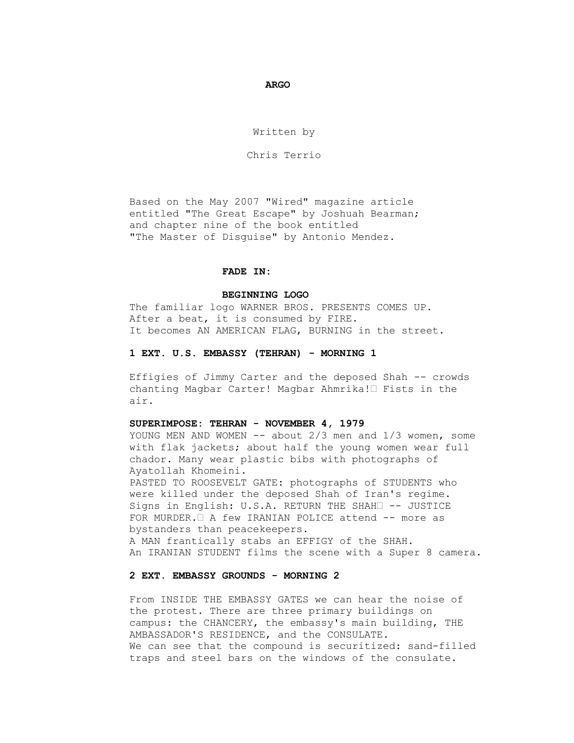*<u> ARGO</u>* 

Written by

Chris Terrio

 Based on the May 2007 "Wired" magazine article entitled "The Great Escape" by Joshuah Bearman; and chapter nine of the book entitled "The Master of Disguise" by Antonio Mendez.

## **FADE IN:**

## **BEGINNING LOGO**

 The familiar logo WARNER BROS. PRESENTS COMES UP. After a beat, it is consumed by FIRE. It becomes AN AMERICAN FLAG, BURNING in the street.

#### **1 EXT. U.S. EMBASSY (TEHRAN) - MORNING 1**

 Effigies of Jimmy Carter and the deposed Shah -- crowds chanting Magbar Carter! Magbar Ahmrika!• Fists in the air.

#### **SUPERIMPOSE: TEHRAN - NOVEMBER 4, 1979**

YOUNG MEN AND WOMEN  $--$  about 2/3 men and 1/3 women, some with flak jackets; about half the young women wear full chador. Many wear plastic bibs with photographs of Ayatollah Khomeini. PASTED TO ROOSEVELT GATE: photographs of STUDENTS who were killed under the deposed Shah of Iran's regime. Signs in English: U.S.A. RETURN THE SHAH -- JUSTICE FOR MURDER.• A few IRANIAN POLICE attend -- more as bystanders than peacekeepers.

 A MAN frantically stabs an EFFIGY of the SHAH. An IRANIAN STUDENT films the scene with a Super 8 camera.

# **2 EXT. EMBASSY GROUNDS - MORNING 2**

 From INSIDE THE EMBASSY GATES we can hear the noise of the protest. There are three primary buildings on campus: the CHANCERY, the embassy's main building, THE AMBASSADOR'S RESIDENCE, and the CONSULATE. We can see that the compound is securitized: sand-filled traps and steel bars on the windows of the consulate.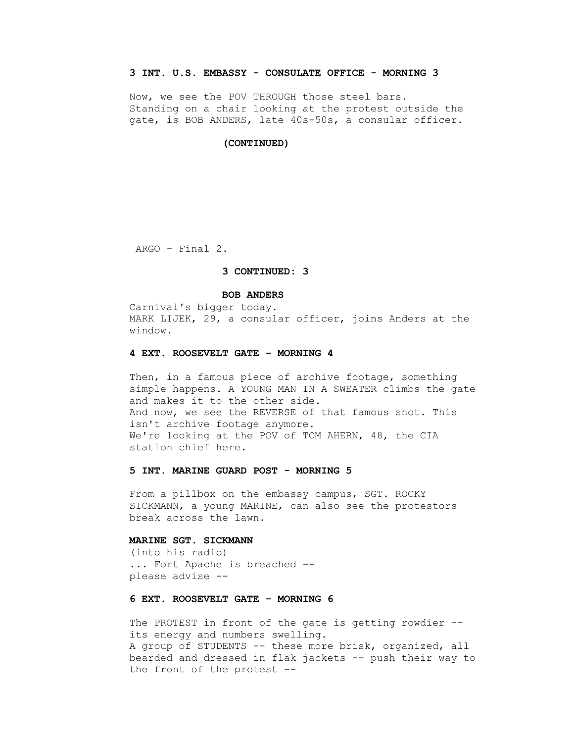## **3 INT. U.S. EMBASSY - CONSULATE OFFICE - MORNING 3**

 Now, we see the POV THROUGH those steel bars. Standing on a chair looking at the protest outside the gate, is BOB ANDERS, late 40s-50s, a consular officer.

#### **(CONTINUED)**

ARGO - Final 2.

## **3 CONTINUED: 3**

### **BOB ANDERS**

 Carnival's bigger today. MARK LIJEK, 29, a consular officer, joins Anders at the window.

#### **4 EXT. ROOSEVELT GATE - MORNING 4**

Then, in a famous piece of archive footage, something simple happens. A YOUNG MAN IN A SWEATER climbs the gate and makes it to the other side. And now, we see the REVERSE of that famous shot. This isn't archive footage anymore. We're looking at the POV of TOM AHERN, 48, the CIA station chief here.

## **5 INT. MARINE GUARD POST - MORNING 5**

 From a pillbox on the embassy campus, SGT. ROCKY SICKMANN, a young MARINE, can also see the protestors break across the lawn.

### **MARINE SGT. SICKMANN**

 (into his radio) ... Fort Apache is breached - please advise --

# **6 EXT. ROOSEVELT GATE - MORNING 6**

 The PROTEST in front of the gate is getting rowdier - its energy and numbers swelling. A group of STUDENTS -- these more brisk, organized, all bearded and dressed in flak jackets -- push their way to the front of the protest --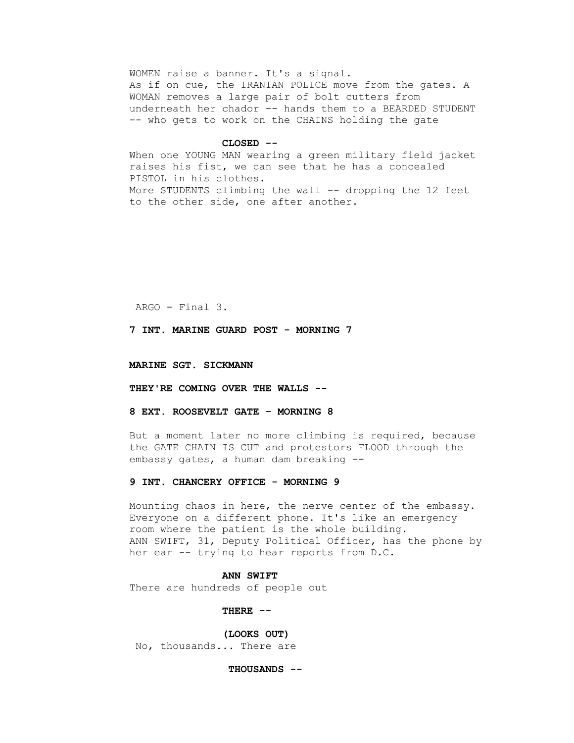WOMEN raise a banner. It's a signal. As if on cue, the IRANIAN POLICE move from the gates. A WOMAN removes a large pair of bolt cutters from underneath her chador -- hands them to a BEARDED STUDENT -- who gets to work on the CHAINS holding the gate

#### **CLOSED --**

 When one YOUNG MAN wearing a green military field jacket raises his fist, we can see that he has a concealed PISTOL in his clothes. More STUDENTS climbing the wall -- dropping the 12 feet to the other side, one after another.

ARGO - Final 3.

 **7 INT. MARINE GUARD POST - MORNING 7**

 **MARINE SGT. SICKMANN**

 **THEY'RE COMING OVER THE WALLS --**

 **8 EXT. ROOSEVELT GATE - MORNING 8**

 But a moment later no more climbing is required, because the GATE CHAIN IS CUT and protestors FLOOD through the embassy gates, a human dam breaking --

### **9 INT. CHANCERY OFFICE - MORNING 9**

 Mounting chaos in here, the nerve center of the embassy. Everyone on a different phone. It's like an emergency room where the patient is the whole building. ANN SWIFT, 31, Deputy Political Officer, has the phone by her ear -- trying to hear reports from D.C.

### **ANN SWIFT**

There are hundreds of people out

 **THERE --**

 **(LOOKS OUT)**

No, thousands... There are

 **THOUSANDS --**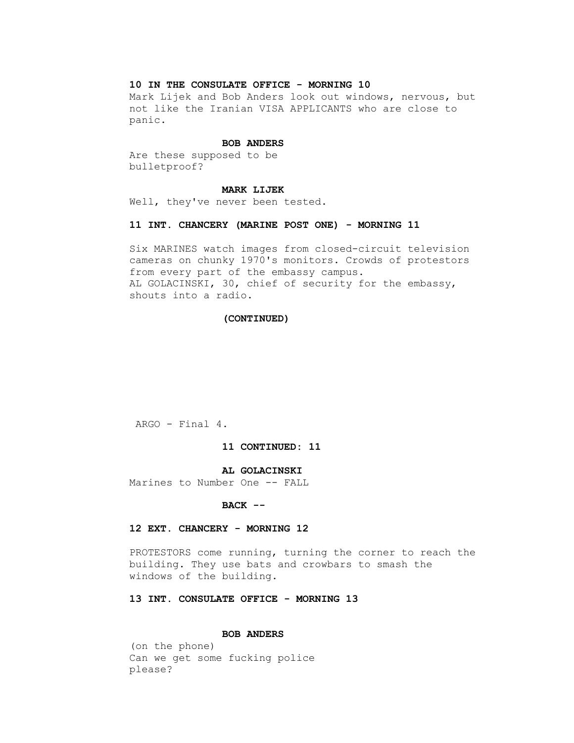## **10 IN THE CONSULATE OFFICE - MORNING 10**

 Mark Lijek and Bob Anders look out windows, nervous, but not like the Iranian VISA APPLICANTS who are close to panic.

#### **BOB ANDERS**

 Are these supposed to be bulletproof?

#### **MARK LIJEK**

Well, they've never been tested.

### **11 INT. CHANCERY (MARINE POST ONE) - MORNING 11**

 Six MARINES watch images from closed-circuit television cameras on chunky 1970's monitors. Crowds of protestors from every part of the embassy campus. AL GOLACINSKI, 30, chief of security for the embassy, shouts into a radio.

### **(CONTINUED)**

ARGO - Final 4.

## **11 CONTINUED: 11**

### **AL GOLACINSKI**

Marines to Number One -- FALL

## **BACK --**

## **12 EXT. CHANCERY - MORNING 12**

 PROTESTORS come running, turning the corner to reach the building. They use bats and crowbars to smash the windows of the building.

# **13 INT. CONSULATE OFFICE - MORNING 13**

### **BOB ANDERS**

 (on the phone) Can we get some fucking police please?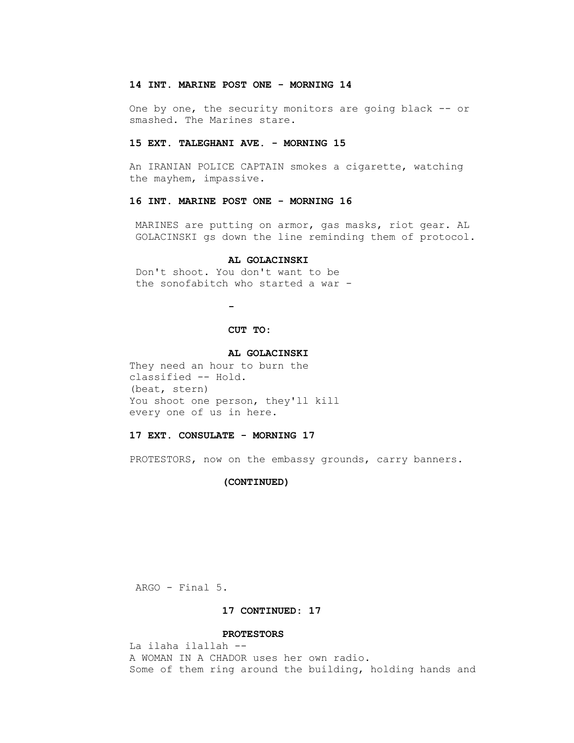### **14 INT. MARINE POST ONE - MORNING 14**

 One by one, the security monitors are going black -- or smashed. The Marines stare.

### **15 EXT. TALEGHANI AVE. - MORNING 15**

 An IRANIAN POLICE CAPTAIN smokes a cigarette, watching the mayhem, impassive.

# **16 INT. MARINE POST ONE - MORNING 16**

 MARINES are putting on armor, gas masks, riot gear. AL GOLACINSKI gs down the line reminding them of protocol.

### **AL GOLACINSKI**

 Don't shoot. You don't want to be the sonofabitch who started a war -

 **-**

# **CUT TO:**

#### **AL GOLACINSKI**

 They need an hour to burn the classified -- Hold. (beat, stern) You shoot one person, they'll kill every one of us in here.

#### **17 EXT. CONSULATE - MORNING 17**

PROTESTORS, now on the embassy grounds, carry banners.

#### **(CONTINUED)**

ARGO - Final 5.

# **17 CONTINUED: 17**

### **PROTESTORS**

 La ilaha ilallah -- A WOMAN IN A CHADOR uses her own radio. Some of them ring around the building, holding hands and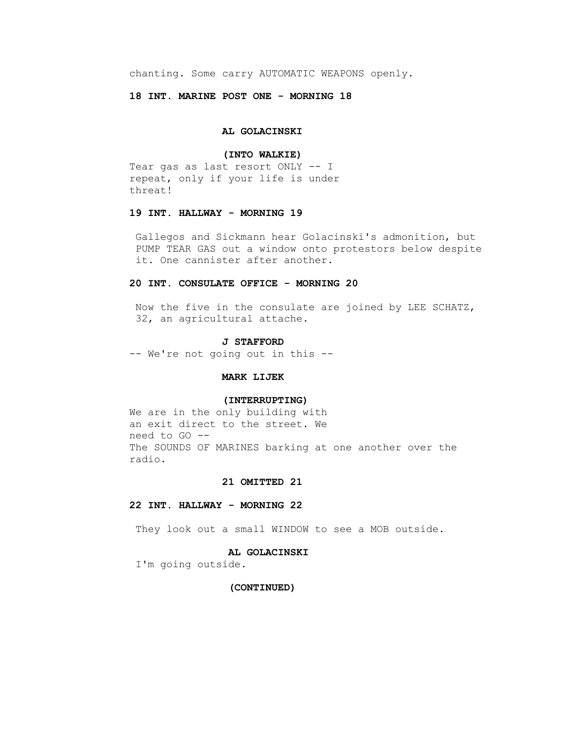chanting. Some carry AUTOMATIC WEAPONS openly.

 **18 INT. MARINE POST ONE - MORNING 18**

## **AL GOLACINSKI**

### **(INTO WALKIE)**

 Tear gas as last resort ONLY -- I repeat, only if your life is under threat!

# **19 INT. HALLWAY - MORNING 19**

 Gallegos and Sickmann hear Golacinski's admonition, but PUMP TEAR GAS out a window onto protestors below despite it. One cannister after another.

## **20 INT. CONSULATE OFFICE - MORNING 20**

 Now the five in the consulate are joined by LEE SCHATZ, 32, an agricultural attache.

#### **J STAFFORD**

-- We're not going out in this --

### **MARK LIJEK**

### **(INTERRUPTING)**

 We are in the only building with an exit direct to the street. We need to GO -- The SOUNDS OF MARINES barking at one another over the radio.

### **21 OMITTED 21**

### **22 INT. HALLWAY - MORNING 22**

They look out a small WINDOW to see a MOB outside.

### **AL GOLACINSKI**

I'm going outside.

## **(CONTINUED)**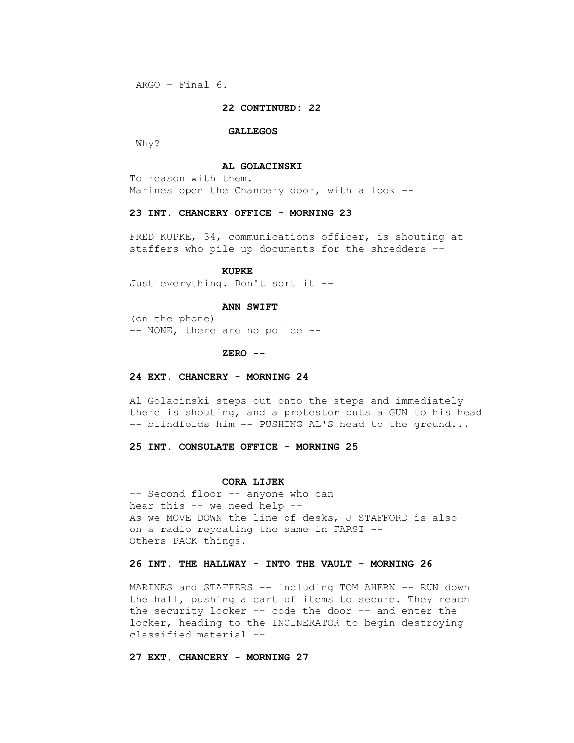ARGO - Final 6.

### **22 CONTINUED: 22**

#### **GALLEGOS**

Why?

### **AL GOLACINSKI**

 To reason with them. Marines open the Chancery door, with a look --

## **23 INT. CHANCERY OFFICE - MORNING 23**

FRED KUPKE, 34, communications officer, is shouting at staffers who pile up documents for the shredders --

#### **KUPKE**

Just everything. Don't sort it --

#### **ANN SWIFT**

 (on the phone) -- NONE, there are no police --

#### **ZERO --**

### **24 EXT. CHANCERY - MORNING 24**

 Al Golacinski steps out onto the steps and immediately there is shouting, and a protestor puts a GUN to his head -- blindfolds him -- PUSHING AL'S head to the ground...

# **25 INT. CONSULATE OFFICE - MORNING 25**

#### **CORA LIJEK**

-- Second floor -- anyone who can hear this -- we need help -- As we MOVE DOWN the line of desks, J STAFFORD is also on a radio repeating the same in FARSI -- Others PACK things.

# **26 INT. THE HALLWAY - INTO THE VAULT - MORNING 26**

 MARINES and STAFFERS -- including TOM AHERN -- RUN down the hall, pushing a cart of items to secure. They reach the security locker -- code the door -- and enter the locker, heading to the INCINERATOR to begin destroying classified material --

## **27 EXT. CHANCERY - MORNING 27**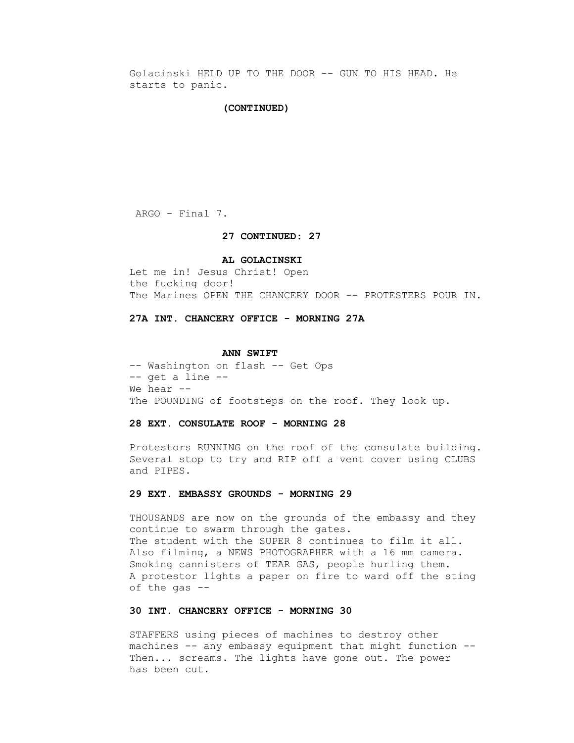Golacinski HELD UP TO THE DOOR -- GUN TO HIS HEAD. He starts to panic.

### **(CONTINUED)**

ARGO - Final 7.

### **27 CONTINUED: 27**

#### **AL GOLACINSKI**

 Let me in! Jesus Christ! Open the fucking door! The Marines OPEN THE CHANCERY DOOR -- PROTESTERS POUR IN.

### **27A INT. CHANCERY OFFICE - MORNING 27A**

#### **ANN SWIFT**

 -- Washington on flash -- Get Ops -- get a line -- We hear --The POUNDING of footsteps on the roof. They look up.

## **28 EXT. CONSULATE ROOF - MORNING 28**

 Protestors RUNNING on the roof of the consulate building. Several stop to try and RIP off a vent cover using CLUBS and PIPES.

### **29 EXT. EMBASSY GROUNDS - MORNING 29**

 THOUSANDS are now on the grounds of the embassy and they continue to swarm through the gates. The student with the SUPER 8 continues to film it all. Also filming, a NEWS PHOTOGRAPHER with a 16 mm camera. Smoking cannisters of TEAR GAS, people hurling them. A protestor lights a paper on fire to ward off the sting of the gas --

## **30 INT. CHANCERY OFFICE - MORNING 30**

 STAFFERS using pieces of machines to destroy other machines -- any embassy equipment that might function -- Then... screams. The lights have gone out. The power has been cut.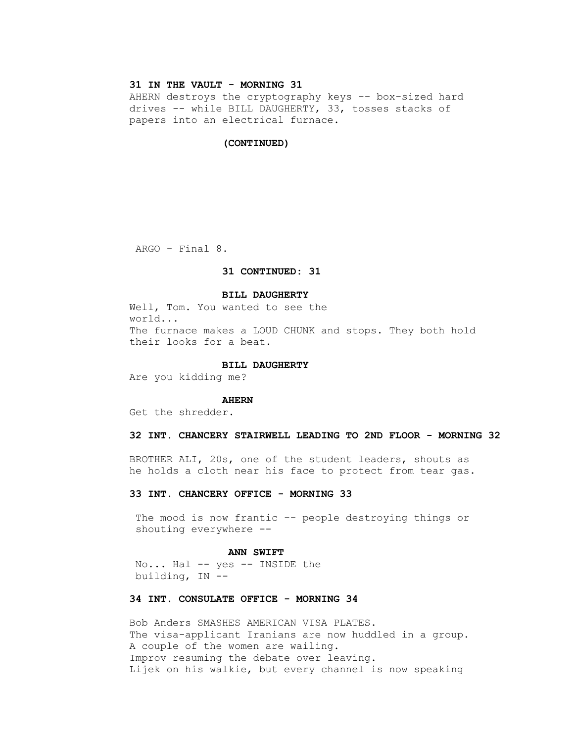# **31 IN THE VAULT - MORNING 31**

AHERN destroys the cryptography keys -- box-sized hard drives -- while BILL DAUGHERTY, 33, tosses stacks of papers into an electrical furnace.

#### **(CONTINUED)**

ARGO - Final 8.

# **31 CONTINUED: 31**

### **BILL DAUGHERTY**

 Well, Tom. You wanted to see the world... The furnace makes a LOUD CHUNK and stops. They both hold their looks for a beat.

### **BILL DAUGHERTY**

Are you kidding me?

#### **AHERN**

Get the shredder.

### **32 INT. CHANCERY STAIRWELL LEADING TO 2ND FLOOR - MORNING 32**

 BROTHER ALI, 20s, one of the student leaders, shouts as he holds a cloth near his face to protect from tear gas.

### **33 INT. CHANCERY OFFICE - MORNING 33**

The mood is now frantic -- people destroying things or shouting everywhere --

#### **ANN SWIFT**

 No... Hal -- yes -- INSIDE the building, IN --

## **34 INT. CONSULATE OFFICE - MORNING 34**

 Bob Anders SMASHES AMERICAN VISA PLATES. The visa-applicant Iranians are now huddled in a group. A couple of the women are wailing. Improv resuming the debate over leaving. Lijek on his walkie, but every channel is now speaking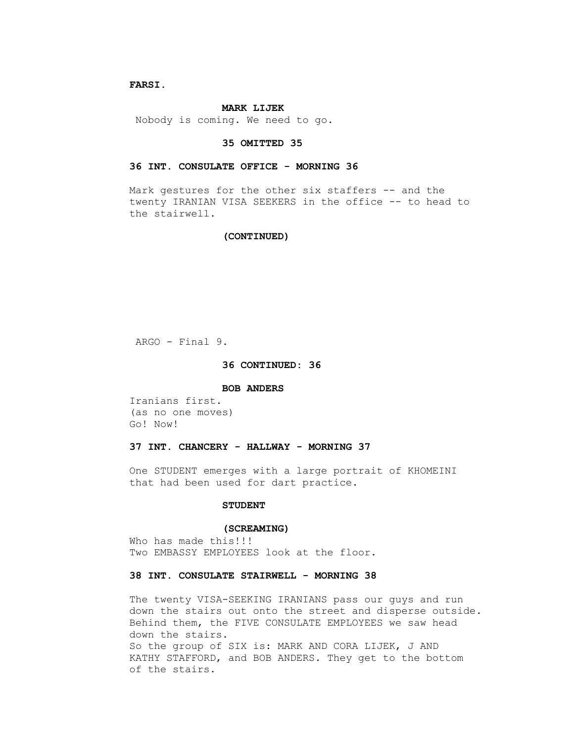## **FARSI.**

### **MARK LIJEK**

Nobody is coming. We need to go.

#### **35 OMITTED 35**

### **36 INT. CONSULATE OFFICE - MORNING 36**

Mark gestures for the other six staffers -- and the twenty IRANIAN VISA SEEKERS in the office -- to head to the stairwell.

### **(CONTINUED)**

ARGO - Final 9.

### **36 CONTINUED: 36**

#### **BOB ANDERS**

 Iranians first. (as no one moves) Go! Now!

### **37 INT. CHANCERY - HALLWAY - MORNING 37**

 One STUDENT emerges with a large portrait of KHOMEINI that had been used for dart practice.

## **STUDENT**

#### **(SCREAMING)**

Who has made this!!! Two EMBASSY EMPLOYEES look at the floor.

### **38 INT. CONSULATE STAIRWELL - MORNING 38**

 The twenty VISA-SEEKING IRANIANS pass our guys and run down the stairs out onto the street and disperse outside. Behind them, the FIVE CONSULATE EMPLOYEES we saw head down the stairs. So the group of SIX is: MARK AND CORA LIJEK, J AND KATHY STAFFORD, and BOB ANDERS. They get to the bottom of the stairs.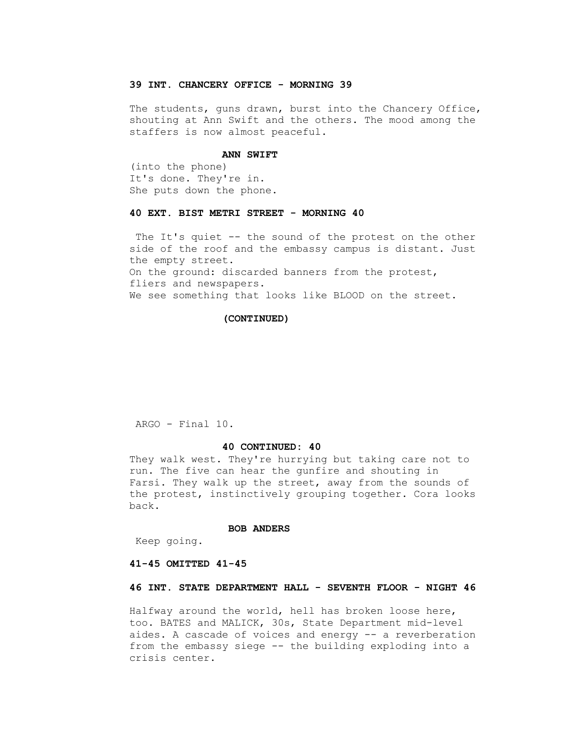## **39 INT. CHANCERY OFFICE - MORNING 39**

The students, guns drawn, burst into the Chancery Office, shouting at Ann Swift and the others. The mood among the staffers is now almost peaceful.

### **ANN SWIFT**

 (into the phone) It's done. They're in. She puts down the phone.

### **40 EXT. BIST METRI STREET - MORNING 40**

 The It's quiet -- the sound of the protest on the other side of the roof and the embassy campus is distant. Just the empty street. On the ground: discarded banners from the protest, fliers and newspapers. We see something that looks like BLOOD on the street.

### **(CONTINUED)**

ARGO - Final 10.

### **40 CONTINUED: 40**

 They walk west. They're hurrying but taking care not to run. The five can hear the gunfire and shouting in Farsi. They walk up the street, away from the sounds of the protest, instinctively grouping together. Cora looks back.

#### **BOB ANDERS**

Keep going.

#### **41-45 OMITTED 41-45**

### **46 INT. STATE DEPARTMENT HALL - SEVENTH FLOOR - NIGHT 46**

 Halfway around the world, hell has broken loose here, too. BATES and MALICK, 30s, State Department mid-level aides. A cascade of voices and energy -- a reverberation from the embassy siege -- the building exploding into a crisis center.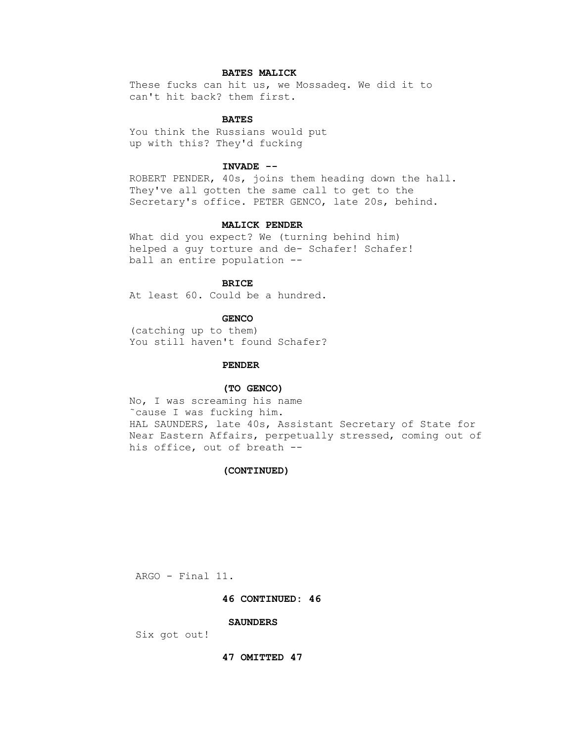# **BATES MALICK**

 These fucks can hit us, we Mossadeq. We did it to can't hit back? them first.

## **BATES**

 You think the Russians would put up with this? They'd fucking

# **INVADE --**

 ROBERT PENDER, 40s, joins them heading down the hall. They've all gotten the same call to get to the Secretary's office. PETER GENCO, late 20s, behind.

### **MALICK PENDER**

 What did you expect? We (turning behind him) helped a guy torture and de- Schafer! Schafer! ball an entire population --

## **BRICE**

At least 60. Could be a hundred.

### **GENCO**

 (catching up to them) You still haven't found Schafer?

### **PENDER**

#### **(TO GENCO)**

 No, I was screaming his name ˜cause I was fucking him. HAL SAUNDERS, late 40s, Assistant Secretary of State for Near Eastern Affairs, perpetually stressed, coming out of his office, out of breath --

### **(CONTINUED)**

ARGO - Final 11.

### **46 CONTINUED: 46**

### **SAUNDERS**

Six got out!

 **47 OMITTED 47**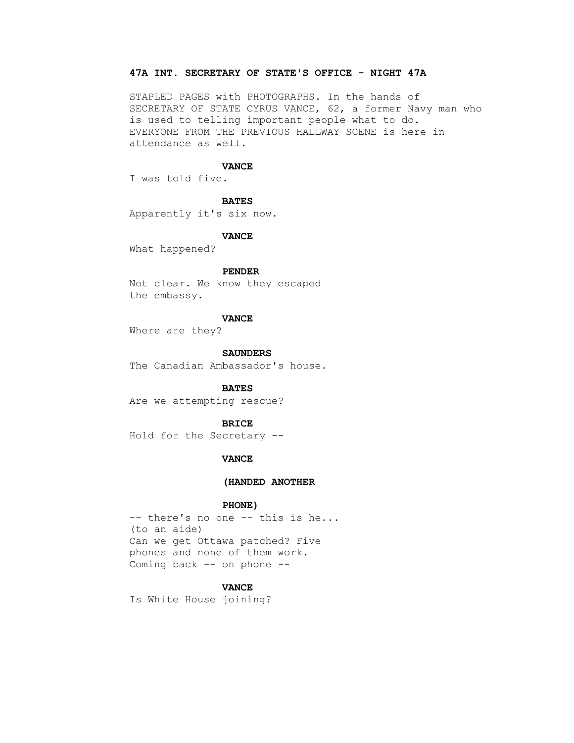# **47A INT. SECRETARY OF STATE'S OFFICE - NIGHT 47A**

 STAPLED PAGES with PHOTOGRAPHS. In the hands of SECRETARY OF STATE CYRUS VANCE, 62, a former Navy man who is used to telling important people what to do. EVERYONE FROM THE PREVIOUS HALLWAY SCENE is here in attendance as well.

### **VANCE**

I was told five.

### **BATES**

Apparently it's six now.

### **VANCE**

What happened?

### **PENDER**

 Not clear. We know they escaped the embassy.

### **VANCE**

Where are they?

 **SAUNDERS**

The Canadian Ambassador's house.

#### **BATES**

Are we attempting rescue?

#### **BRICE**

Hold for the Secretary --

### **VANCE**

#### **(HANDED ANOTHER**

### **PHONE)**

-- there's no one -- this is he... (to an aide) Can we get Ottawa patched? Five phones and none of them work. Coming back -- on phone --

# **VANCE**

Is White House joining?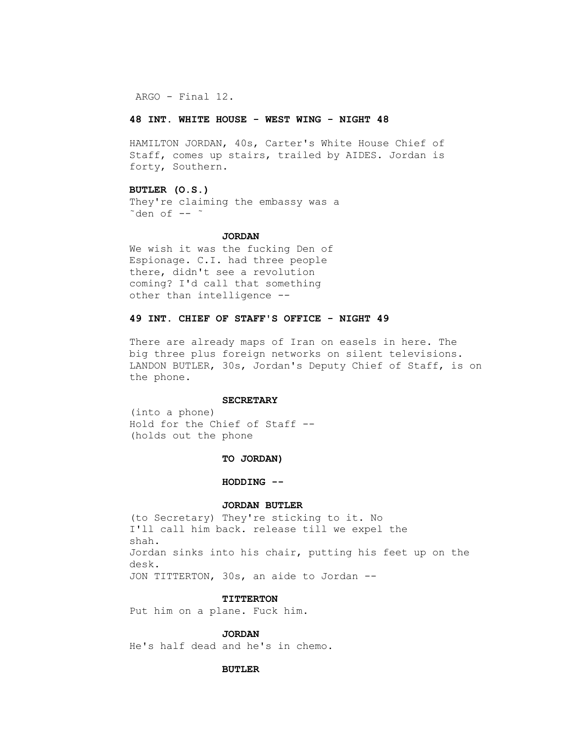ARGO - Final 12.

### **48 INT. WHITE HOUSE - WEST WING - NIGHT 48**

 HAMILTON JORDAN, 40s, Carter's White House Chief of Staff, comes up stairs, trailed by AIDES. Jordan is forty, Southern.

## **BUTLER (O.S.)**

 They're claiming the embassy was a  $\tilde{\text{ } }$  den of --  $\tilde{\text{ } }$ 

### **JORDAN**

 We wish it was the fucking Den of Espionage. C.I. had three people there, didn't see a revolution coming? I'd call that something other than intelligence --

## **49 INT. CHIEF OF STAFF'S OFFICE - NIGHT 49**

 There are already maps of Iran on easels in here. The big three plus foreign networks on silent televisions. LANDON BUTLER, 30s, Jordan's Deputy Chief of Staff, is on the phone.

## **SECRETARY**

 (into a phone) Hold for the Chief of Staff -- (holds out the phone

# **TO JORDAN)**

#### **HODDING --**

### **JORDAN BUTLER**

 (to Secretary) They're sticking to it. No I'll call him back. release till we expel the shah. Jordan sinks into his chair, putting his feet up on the desk. JON TITTERTON, 30s, an aide to Jordan --

#### **TITTERTON**

Put him on a plane. Fuck him.

### **JORDAN**

He's half dead and he's in chemo.

### **BUTLER**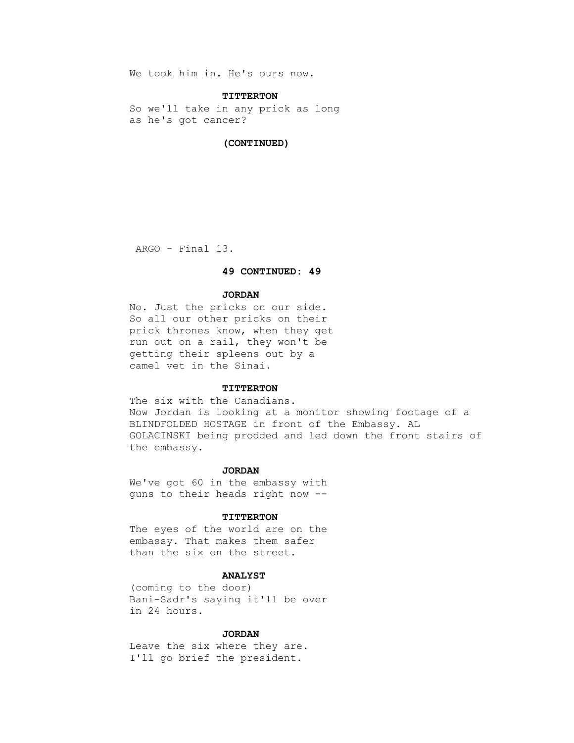We took him in. He's ours now.

#### **TITTERTON**

 So we'll take in any prick as long as he's got cancer?

#### **(CONTINUED)**

ARGO - Final 13.

## **49 CONTINUED: 49**

### **JORDAN**

 No. Just the pricks on our side. So all our other pricks on their prick thrones know, when they get run out on a rail, they won't be getting their spleens out by a camel vet in the Sinai.

### **TITTERTON**

The six with the Canadians. Now Jordan is looking at a monitor showing footage of a BLINDFOLDED HOSTAGE in front of the Embassy. AL GOLACINSKI being prodded and led down the front stairs of the embassy.

## **JORDAN**

 We've got 60 in the embassy with guns to their heads right now --

### **TITTERTON**

 The eyes of the world are on the embassy. That makes them safer than the six on the street.

## **ANALYST**

 (coming to the door) Bani-Sadr's saying it'll be over in 24 hours.

### **JORDAN**

 Leave the six where they are. I'll go brief the president.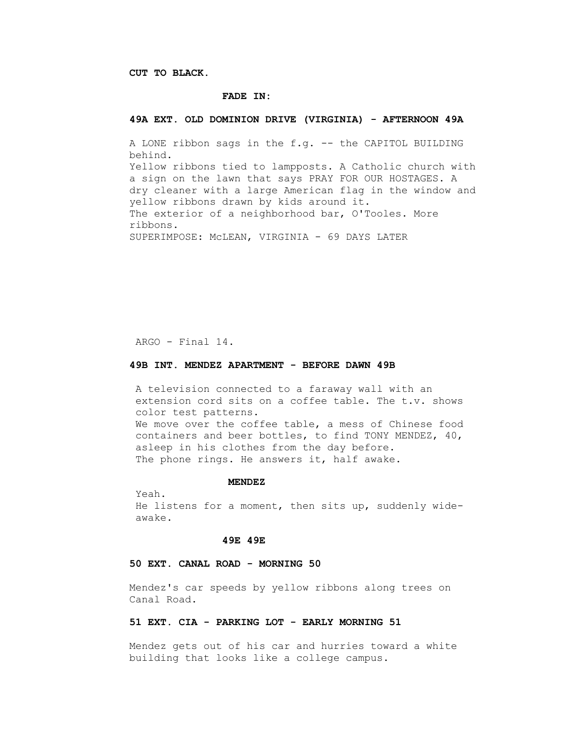**CUT TO BLACK.**

#### **FADE IN:**

## **49A EXT. OLD DOMINION DRIVE (VIRGINIA) - AFTERNOON 49A**

 A LONE ribbon sags in the f.g. -- the CAPITOL BUILDING behind. Yellow ribbons tied to lampposts. A Catholic church with a sign on the lawn that says PRAY FOR OUR HOSTAGES. A dry cleaner with a large American flag in the window and yellow ribbons drawn by kids around it. The exterior of a neighborhood bar, O'Tooles. More ribbons. SUPERIMPOSE: McLEAN, VIRGINIA - 69 DAYS LATER

ARGO - Final 14.

### **49B INT. MENDEZ APARTMENT - BEFORE DAWN 49B**

 A television connected to a faraway wall with an extension cord sits on a coffee table. The t.v. shows color test patterns. We move over the coffee table, a mess of Chinese food containers and beer bottles, to find TONY MENDEZ, 40, asleep in his clothes from the day before. The phone rings. He answers it, half awake.

#### **MENDEZ**

 Yeah. He listens for a moment, then sits up, suddenly wideawake.

### **49E 49E**

### **50 EXT. CANAL ROAD - MORNING 50**

 Mendez's car speeds by yellow ribbons along trees on Canal Road.

## **51 EXT. CIA - PARKING LOT - EARLY MORNING 51**

 Mendez gets out of his car and hurries toward a white building that looks like a college campus.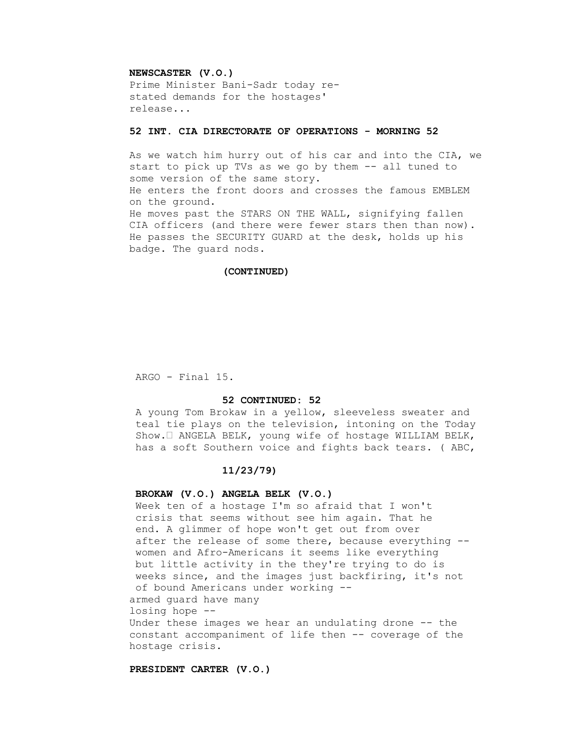### **NEWSCASTER (V.O.)**

 Prime Minister Bani-Sadr today re stated demands for the hostages' release...

# **52 INT. CIA DIRECTORATE OF OPERATIONS - MORNING 52**

 As we watch him hurry out of his car and into the CIA, we start to pick up TVs as we go by them -- all tuned to some version of the same story. He enters the front doors and crosses the famous EMBLEM on the ground. He moves past the STARS ON THE WALL, signifying fallen CIA officers (and there were fewer stars then than now). He passes the SECURITY GUARD at the desk, holds up his badge. The guard nods.

### **(CONTINUED)**

ARGO - Final 15.

### **52 CONTINUED: 52**

 A young Tom Brokaw in a yellow, sleeveless sweater and teal tie plays on the television, intoning on the Today Show.• ANGELA BELK, young wife of hostage WILLIAM BELK, has a soft Southern voice and fights back tears. ( ABC,

# **11/23/79)**

### **BROKAW (V.O.) ANGELA BELK (V.O.)**

 Week ten of a hostage I'm so afraid that I won't crisis that seems without see him again. That he end. A glimmer of hope won't get out from over after the release of some there, because everything - women and Afro-Americans it seems like everything but little activity in the they're trying to do is weeks since, and the images just backfiring, it's not of bound Americans under working - armed guard have many losing hope -- Under these images we hear an undulating drone -- the constant accompaniment of life then -- coverage of the hostage crisis.

### **PRESIDENT CARTER (V.O.)**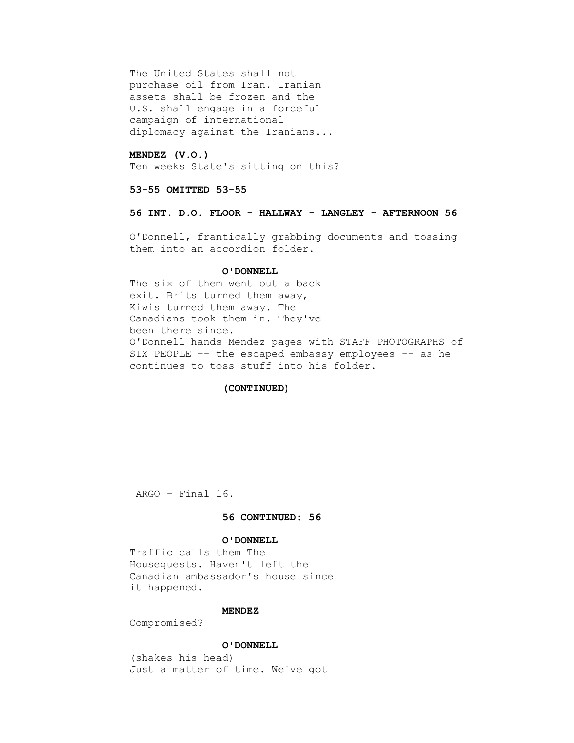The United States shall not purchase oil from Iran. Iranian assets shall be frozen and the U.S. shall engage in a forceful campaign of international diplomacy against the Iranians...

## **MENDEZ (V.O.)**

Ten weeks State's sitting on this?

### **53-55 OMITTED 53-55**

## **56 INT. D.O. FLOOR - HALLWAY - LANGLEY - AFTERNOON 56**

 O'Donnell, frantically grabbing documents and tossing them into an accordion folder.

### **O'DONNELL**

 The six of them went out a back exit. Brits turned them away, Kiwis turned them away. The Canadians took them in. They've been there since. O'Donnell hands Mendez pages with STAFF PHOTOGRAPHS of SIX PEOPLE -- the escaped embassy employees -- as he continues to toss stuff into his folder.

### **(CONTINUED)**

ARGO - Final 16.

# **56 CONTINUED: 56**

### **O'DONNELL**

 Traffic calls them The Houseguests. Haven't left the Canadian ambassador's house since it happened.

# **MENDEZ**

Compromised?

### **O'DONNELL**

 (shakes his head) Just a matter of time. We've got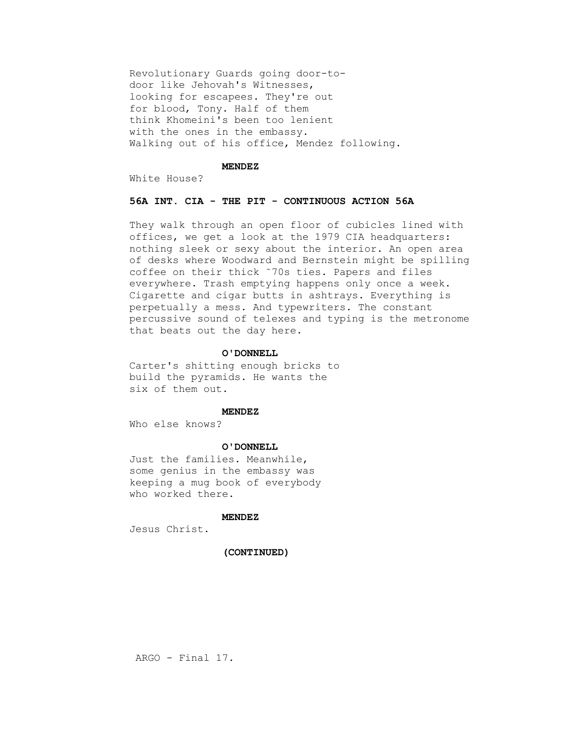Revolutionary Guards going door-to door like Jehovah's Witnesses, looking for escapees. They're out for blood, Tony. Half of them think Khomeini's been too lenient with the ones in the embassy. Walking out of his office, Mendez following.

## **MENDEZ**

White House?

# **56A INT. CIA - THE PIT - CONTINUOUS ACTION 56A**

 They walk through an open floor of cubicles lined with offices, we get a look at the 1979 CIA headquarters: nothing sleek or sexy about the interior. An open area of desks where Woodward and Bernstein might be spilling coffee on their thick ˜70s ties. Papers and files everywhere. Trash emptying happens only once a week. Cigarette and cigar butts in ashtrays. Everything is perpetually a mess. And typewriters. The constant percussive sound of telexes and typing is the metronome that beats out the day here.

#### **O'DONNELL**

 Carter's shitting enough bricks to build the pyramids. He wants the six of them out.

### **MENDEZ**

Who else knows?

#### **O'DONNELL**

 Just the families. Meanwhile, some genius in the embassy was keeping a mug book of everybody who worked there.

## **MENDEZ**

Jesus Christ.

### **(CONTINUED)**

ARGO - Final 17.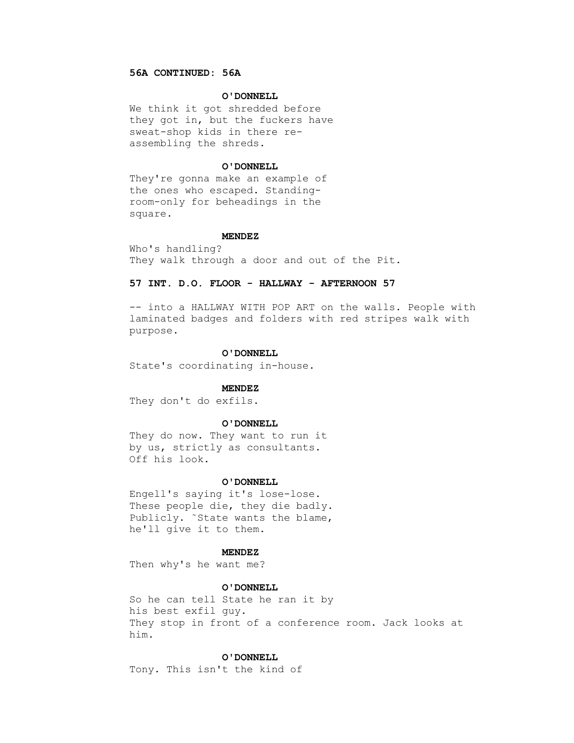## **56A CONTINUED: 56A**

#### **O'DONNELL**

 We think it got shredded before they got in, but the fuckers have sweat-shop kids in there re assembling the shreds.

### **O'DONNELL**

 They're gonna make an example of the ones who escaped. Standing room-only for beheadings in the square.

### **MENDEZ**

 Who's handling? They walk through a door and out of the Pit.

## **57 INT. D.O. FLOOR - HALLWAY - AFTERNOON 57**

 -- into a HALLWAY WITH POP ART on the walls. People with laminated badges and folders with red stripes walk with purpose.

#### **O'DONNELL**

State's coordinating in-house.

#### **MENDEZ**

They don't do exfils.

### **O'DONNELL**

 They do now. They want to run it by us, strictly as consultants. Off his look.

### **O'DONNELL**

 Engell's saying it's lose-lose. These people die, they die badly. Publicly. ˜State wants the blame, he'll give it to them.

### **MENDEZ**

Then why's he want me?

### **O'DONNELL**

 So he can tell State he ran it by his best exfil guy. They stop in front of a conference room. Jack looks at him.

### **O'DONNELL**

Tony. This isn't the kind of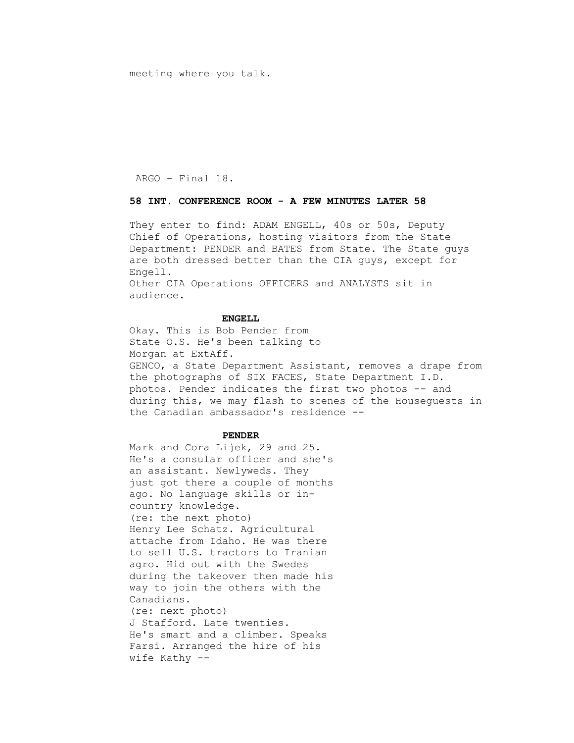meeting where you talk.

ARGO - Final 18.

## **58 INT. CONFERENCE ROOM - A FEW MINUTES LATER 58**

 They enter to find: ADAM ENGELL, 40s or 50s, Deputy Chief of Operations, hosting visitors from the State Department: PENDER and BATES from State. The State guys are both dressed better than the CIA guys, except for Engell.

 Other CIA Operations OFFICERS and ANALYSTS sit in audience.

### **ENGELL**

 Okay. This is Bob Pender from State O.S. He's been talking to Morgan at ExtAff. GENCO, a State Department Assistant, removes a drape from the photographs of SIX FACES, State Department I.D. photos. Pender indicates the first two photos -- and during this, we may flash to scenes of the Houseguests in the Canadian ambassador's residence --

#### **PENDER**

 Mark and Cora Lijek, 29 and 25. He's a consular officer and she's an assistant. Newlyweds. They just got there a couple of months ago. No language skills or in country knowledge. (re: the next photo) Henry Lee Schatz. Agricultural attache from Idaho. He was there to sell U.S. tractors to Iranian agro. Hid out with the Swedes during the takeover then made his way to join the others with the Canadians. (re: next photo) J Stafford. Late twenties. He's smart and a climber. Speaks Farsi. Arranged the hire of his wife Kathy --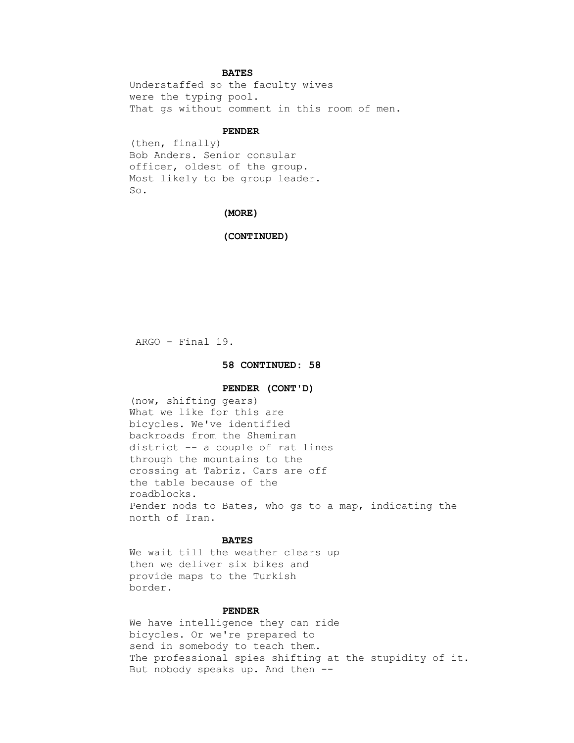### **BATES**

 Understaffed so the faculty wives were the typing pool. That gs without comment in this room of men.

### **PENDER**

 (then, finally) Bob Anders. Senior consular officer, oldest of the group. Most likely to be group leader. So.

# **(MORE)**

 **(CONTINUED)**

ARGO - Final 19.

### **58 CONTINUED: 58**

### **PENDER (CONT'D)**

 (now, shifting gears) What we like for this are bicycles. We've identified backroads from the Shemiran district -- a couple of rat lines through the mountains to the crossing at Tabriz. Cars are off the table because of the roadblocks. Pender nods to Bates, who gs to a map, indicating the north of Iran.

# **BATES**

 We wait till the weather clears up then we deliver six bikes and provide maps to the Turkish border.

## **PENDER**

 We have intelligence they can ride bicycles. Or we're prepared to send in somebody to teach them. The professional spies shifting at the stupidity of it. But nobody speaks up. And then --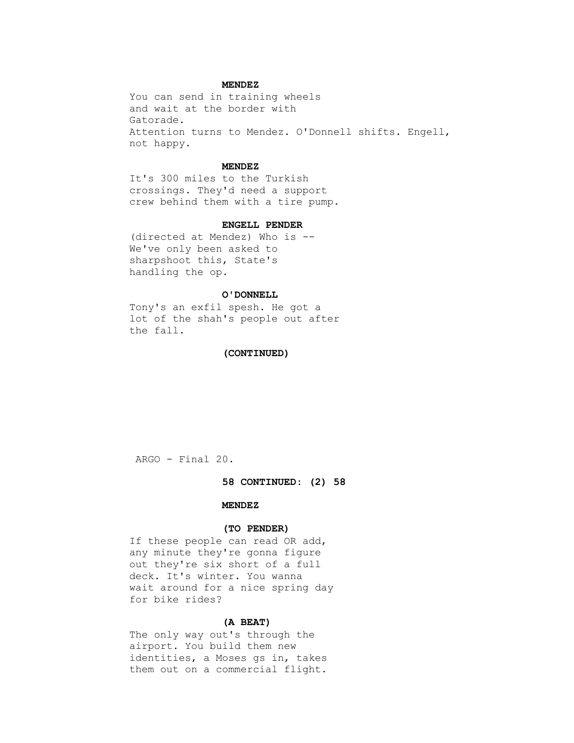### **MENDEZ**

 You can send in training wheels and wait at the border with Gatorade. Attention turns to Mendez. O'Donnell shifts. Engell, not happy.

### **MENDEZ**

 It's 300 miles to the Turkish crossings. They'd need a support crew behind them with a tire pump.

### **ENGELL PENDER**

 (directed at Mendez) Who is -- We've only been asked to sharpshoot this, State's handling the op.

### **O'DONNELL**

 Tony's an exfil spesh. He got a lot of the shah's people out after the fall.

### **(CONTINUED)**

ARGO - Final 20.

### **58 CONTINUED: (2) 58**

## **MENDEZ**

### **(TO PENDER)**

 If these people can read OR add, any minute they're gonna figure out they're six short of a full deck. It's winter. You wanna wait around for a nice spring day for bike rides?

## **(A BEAT)**

 The only way out's through the airport. You build them new identities, a Moses gs in, takes them out on a commercial flight.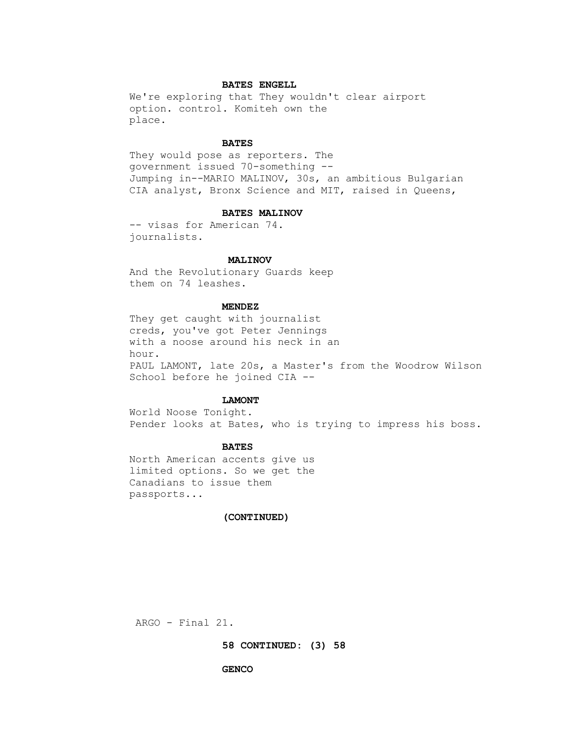## **BATES ENGELL**

 We're exploring that They wouldn't clear airport option. control. Komiteh own the place.

### **BATES**

 They would pose as reporters. The government issued 70-something -- Jumping in--MARIO MALINOV, 30s, an ambitious Bulgarian CIA analyst, Bronx Science and MIT, raised in Queens,

### **BATES MALINOV**

 -- visas for American 74. journalists.

#### **MALINOV**

 And the Revolutionary Guards keep them on 74 leashes.

# **MENDEZ**

 They get caught with journalist creds, you've got Peter Jennings with a noose around his neck in an hour. PAUL LAMONT, late 20s, a Master's from the Woodrow Wilson School before he joined CIA --

### **LAMONT**

 World Noose Tonight. Pender looks at Bates, who is trying to impress his boss.

## **BATES**

 North American accents give us limited options. So we get the Canadians to issue them passports...

### **(CONTINUED)**

ARGO - Final 21.

 **58 CONTINUED: (3) 58**

#### **GENCO**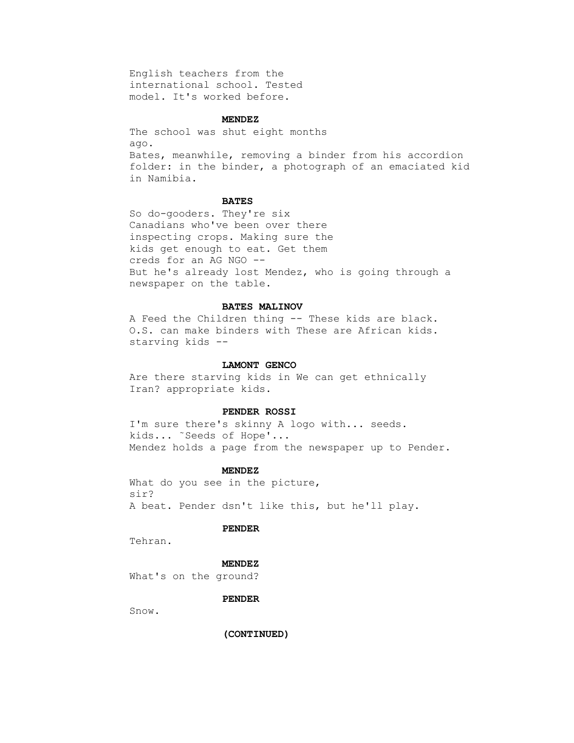English teachers from the international school. Tested model. It's worked before.

### **MENDEZ**

 The school was shut eight months ago. Bates, meanwhile, removing a binder from his accordion folder: in the binder, a photograph of an emaciated kid in Namibia.

### **BATES**

 So do-gooders. They're six Canadians who've been over there inspecting crops. Making sure the kids get enough to eat. Get them creds for an AG NGO -- But he's already lost Mendez, who is going through a newspaper on the table.

### **BATES MALINOV**

 A Feed the Children thing -- These kids are black. O.S. can make binders with These are African kids. starving kids --

### **LAMONT GENCO**

 Are there starving kids in We can get ethnically Iran? appropriate kids.

### **PENDER ROSSI**

 I'm sure there's skinny A logo with... seeds. kids... ˜Seeds of Hope'... Mendez holds a page from the newspaper up to Pender.

#### **MENDEZ**

What do you see in the picture, sir? A beat. Pender dsn't like this, but he'll play.

# **PENDER**

Tehran.

### **MENDEZ**

What's on the ground?

### **PENDER**

Snow.

 **(CONTINUED)**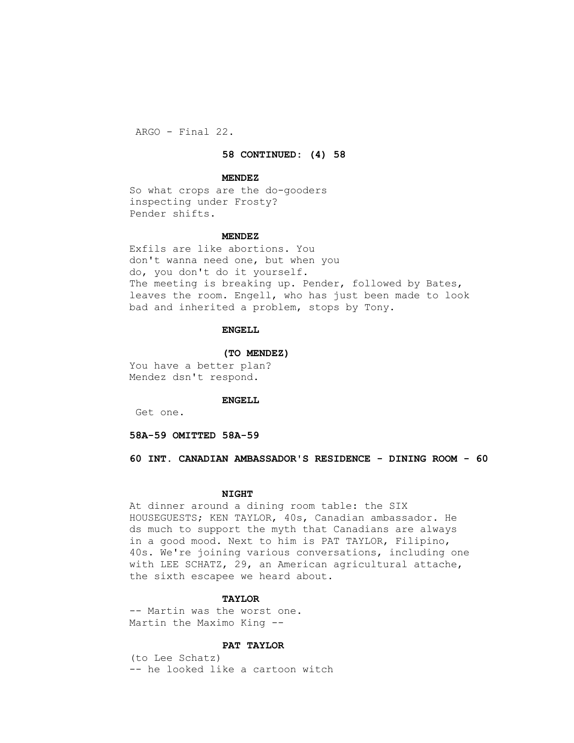ARGO - Final 22.

 **58 CONTINUED: (4) 58**

#### **MENDEZ**

 So what crops are the do-gooders inspecting under Frosty? Pender shifts.

### **MENDEZ**

 Exfils are like abortions. You don't wanna need one, but when you do, you don't do it yourself. The meeting is breaking up. Pender, followed by Bates, leaves the room. Engell, who has just been made to look bad and inherited a problem, stops by Tony.

## **ENGELL**

#### **(TO MENDEZ)**

 You have a better plan? Mendez dsn't respond.

### **ENGELL**

Get one.

 **58A-59 OMITTED 58A-59**

 **60 INT. CANADIAN AMBASSADOR'S RESIDENCE - DINING ROOM - 60**

#### **NIGHT**

 At dinner around a dining room table: the SIX HOUSEGUESTS; KEN TAYLOR, 40s, Canadian ambassador. He ds much to support the myth that Canadians are always in a good mood. Next to him is PAT TAYLOR, Filipino, 40s. We're joining various conversations, including one with LEE SCHATZ, 29, an American agricultural attache, the sixth escapee we heard about.

### **TAYLOR**

 -- Martin was the worst one. Martin the Maximo King --

#### **PAT TAYLOR**

 (to Lee Schatz) -- he looked like a cartoon witch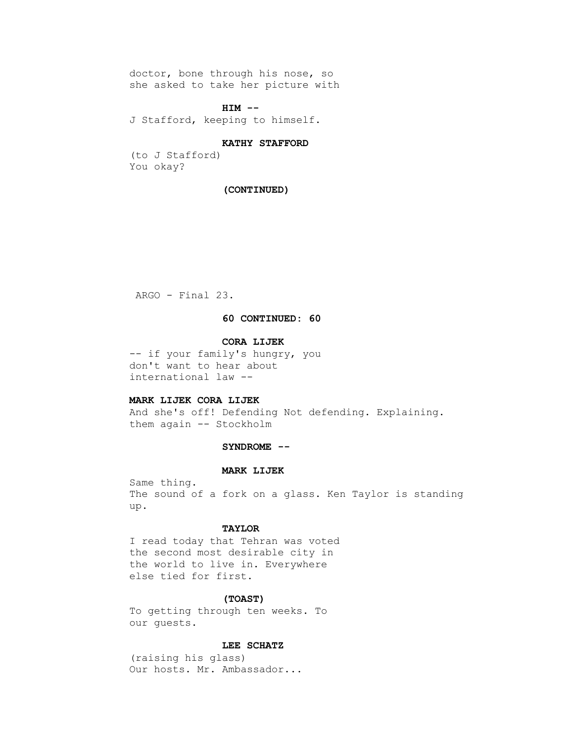doctor, bone through his nose, so she asked to take her picture with

### **HIM --**

J Stafford, keeping to himself.

#### **KATHY STAFFORD**

 (to J Stafford) You okay?

## **(CONTINUED)**

ARGO - Final 23.

## **60 CONTINUED: 60**

## **CORA LIJEK**

 -- if your family's hungry, you don't want to hear about international law --

# **MARK LIJEK CORA LIJEK**

 And she's off! Defending Not defending. Explaining. them again -- Stockholm

### **SYNDROME --**

### **MARK LIJEK**

 Same thing. The sound of a fork on a glass. Ken Taylor is standing up.

## **TAYLOR**

 I read today that Tehran was voted the second most desirable city in the world to live in. Everywhere else tied for first.

# **(TOAST)**

 To getting through ten weeks. To our guests.

# **LEE SCHATZ**

 (raising his glass) Our hosts. Mr. Ambassador...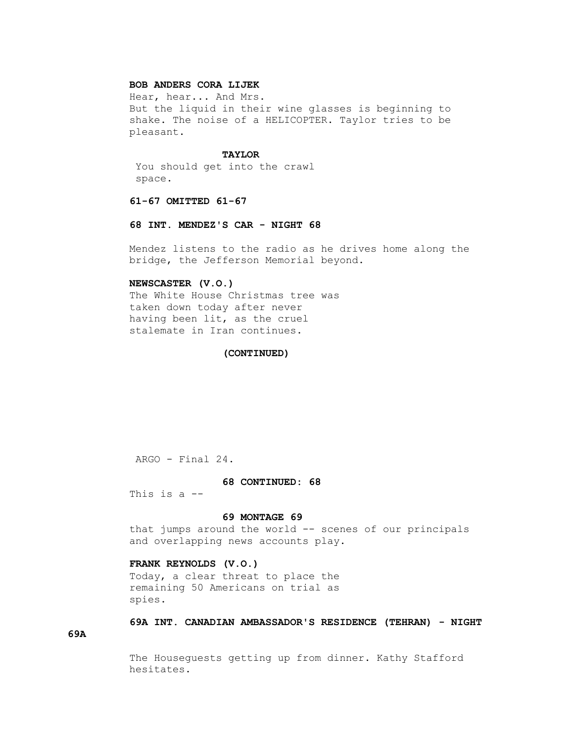# **BOB ANDERS CORA LIJEK**

 Hear, hear... And Mrs. But the liquid in their wine glasses is beginning to shake. The noise of a HELICOPTER. Taylor tries to be pleasant.

### **TAYLOR**

 You should get into the crawl space.

# **61-67 OMITTED 61-67**

#### **68 INT. MENDEZ'S CAR - NIGHT 68**

 Mendez listens to the radio as he drives home along the bridge, the Jefferson Memorial beyond.

## **NEWSCASTER (V.O.)**

 The White House Christmas tree was taken down today after never having been lit, as the cruel stalemate in Iran continues.

### **(CONTINUED)**

ARGO - Final 24.

### **68 CONTINUED: 68**

This is a --

### **69 MONTAGE 69**

 that jumps around the world -- scenes of our principals and overlapping news accounts play.

### **FRANK REYNOLDS (V.O.)**

 Today, a clear threat to place the remaining 50 Americans on trial as spies.

# **69A INT. CANADIAN AMBASSADOR'S RESIDENCE (TEHRAN) - NIGHT**

**69A**

 The Houseguests getting up from dinner. Kathy Stafford hesitates.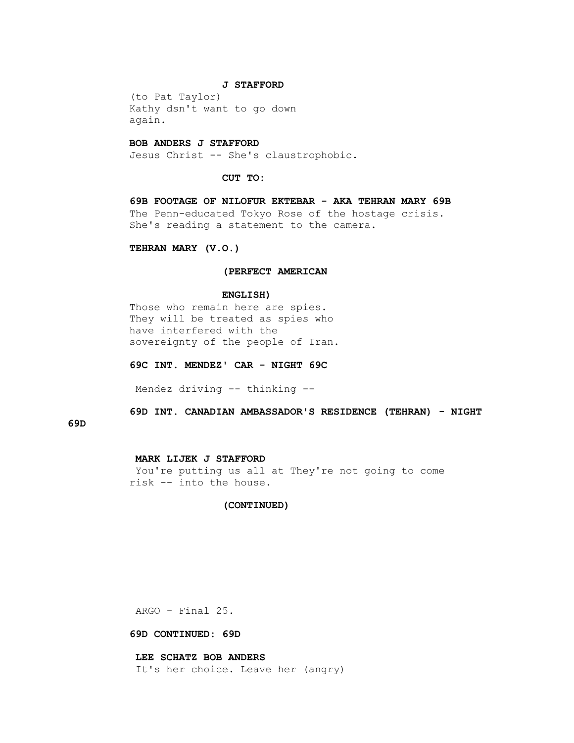#### **J STAFFORD**

 (to Pat Taylor) Kathy dsn't want to go down again.

#### **BOB ANDERS J STAFFORD**

Jesus Christ -- She's claustrophobic.

 **CUT TO:**

 **69B FOOTAGE OF NILOFUR EKTEBAR - AKA TEHRAN MARY 69B** The Penn-educated Tokyo Rose of the hostage crisis. She's reading a statement to the camera.

 **TEHRAN MARY (V.O.)**

### **(PERFECT AMERICAN**

#### **ENGLISH)**

 Those who remain here are spies. They will be treated as spies who have interfered with the sovereignty of the people of Iran.

 **69C INT. MENDEZ' CAR - NIGHT 69C**

Mendez driving -- thinking --

 **69D INT. CANADIAN AMBASSADOR'S RESIDENCE (TEHRAN) - NIGHT** 

# **69D**

### **MARK LIJEK J STAFFORD**

 You're putting us all at They're not going to come risk -- into the house.

### **(CONTINUED)**

ARGO - Final 25.

### **69D CONTINUED: 69D**

 **LEE SCHATZ BOB ANDERS**

It's her choice. Leave her (angry)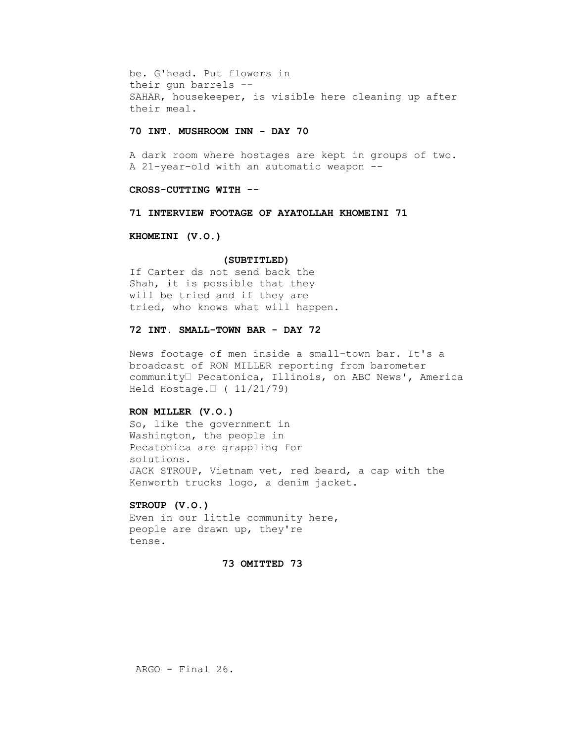be. G'head. Put flowers in their gun barrels -- SAHAR, housekeeper, is visible here cleaning up after their meal.

### **70 INT. MUSHROOM INN - DAY 70**

 A dark room where hostages are kept in groups of two. A 21-year-old with an automatic weapon --

# **CROSS-CUTTING WITH --**

## **71 INTERVIEW FOOTAGE OF AYATOLLAH KHOMEINI 71**

### **KHOMEINI (V.O.)**

#### **(SUBTITLED)**

 If Carter ds not send back the Shah, it is possible that they will be tried and if they are tried, who knows what will happen.

## **72 INT. SMALL-TOWN BAR - DAY 72**

 News footage of men inside a small-town bar. It's a broadcast of RON MILLER reporting from barometer community• Pecatonica, Illinois, on ABC News', America Held Hostage.• ( 11/21/79)

## **RON MILLER (V.O.)**

 So, like the government in Washington, the people in Pecatonica are grappling for solutions. JACK STROUP, Vietnam vet, red beard, a cap with the Kenworth trucks logo, a denim jacket.

## **STROUP (V.O.)**

 Even in our little community here, people are drawn up, they're tense.

### **73 OMITTED 73**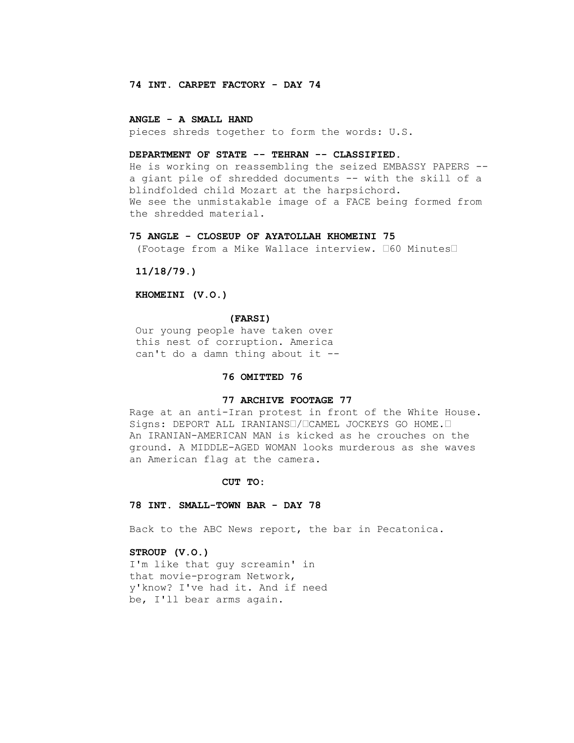## **74 INT. CARPET FACTORY - DAY 74**

### **ANGLE - A SMALL HAND**

pieces shreds together to form the words: U.S.

## **DEPARTMENT OF STATE -- TEHRAN -- CLASSIFIED.**

 He is working on reassembling the seized EMBASSY PAPERS - a giant pile of shredded documents -- with the skill of a blindfolded child Mozart at the harpsichord. We see the unmistakable image of a FACE being formed from the shredded material.

# **75 ANGLE - CLOSEUP OF AYATOLLAH KHOMEINI 75**

(Footage from a Mike Wallace interview. •60 Minutes•

 **11/18/79.)**

 **KHOMEINI (V.O.)**

 **(FARSI)**

 Our young people have taken over this nest of corruption. America can't do a damn thing about it --

## **76 OMITTED 76**

### **77 ARCHIVE FOOTAGE 77**

 Rage at an anti-Iran protest in front of the White House. Signs: DEPORT ALL IRANIANS•/•CAMEL JOCKEYS GO HOME.• An IRANIAN-AMERICAN MAN is kicked as he crouches on the ground. A MIDDLE-AGED WOMAN looks murderous as she waves an American flag at the camera.

#### **CUT TO:**

### **78 INT. SMALL-TOWN BAR - DAY 78**

Back to the ABC News report, the bar in Pecatonica.

### **STROUP (V.O.)**

 I'm like that guy screamin' in that movie-program Network, y'know? I've had it. And if need be, I'll bear arms again.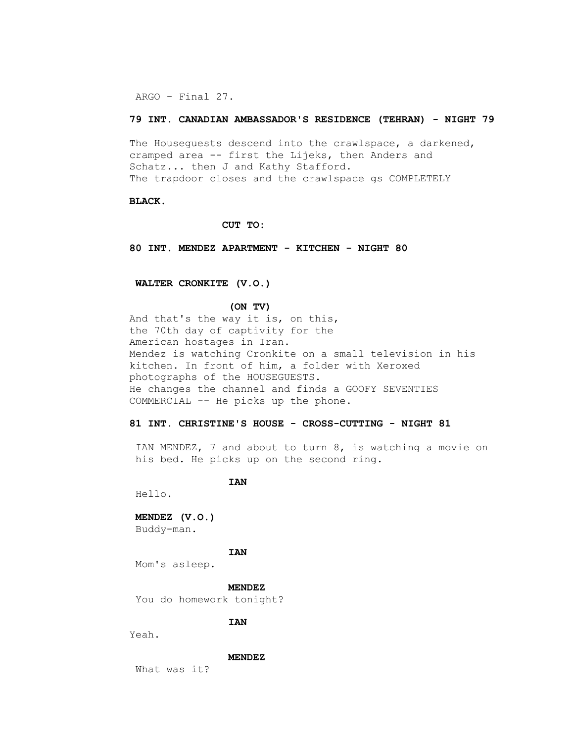ARGO - Final 27.

### **79 INT. CANADIAN AMBASSADOR'S RESIDENCE (TEHRAN) - NIGHT 79**

 The Houseguests descend into the crawlspace, a darkened, cramped area -- first the Lijeks, then Anders and Schatz... then J and Kathy Stafford. The trapdoor closes and the crawlspace gs COMPLETELY

### **BLACK.**

 **CUT TO:**

 **80 INT. MENDEZ APARTMENT - KITCHEN - NIGHT 80**

## **WALTER CRONKITE (V.O.)**

#### **(ON TV)**

 And that's the way it is, on this, the 70th day of captivity for the American hostages in Iran. Mendez is watching Cronkite on a small television in his kitchen. In front of him, a folder with Xeroxed photographs of the HOUSEGUESTS. He changes the channel and finds a GOOFY SEVENTIES COMMERCIAL -- He picks up the phone.

# **81 INT. CHRISTINE'S HOUSE - CROSS-CUTTING - NIGHT 81**

 IAN MENDEZ, 7 and about to turn 8, is watching a movie on his bed. He picks up on the second ring.

 **IAN** 

Hello.

### **MENDEZ (V.O.)**

Buddy-man.

## **IAN**

Mom's asleep.

#### **MENDEZ**

You do homework tonight?

## **IAN**

Yeah.

### **MENDEZ**

What was it?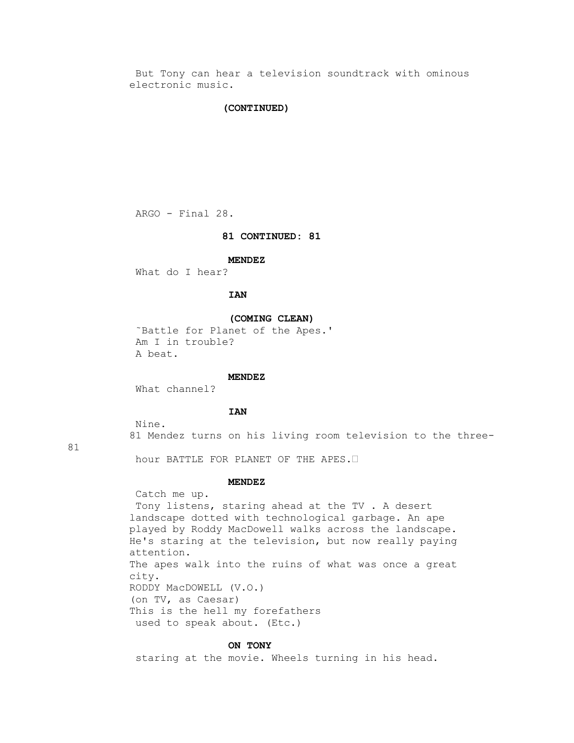But Tony can hear a television soundtrack with ominous electronic music.

### **(CONTINUED)**

ARGO - Final 28.

## **81 CONTINUED: 81**

#### **MENDEZ**

What do I hear?

# **IAN**

#### **(COMING CLEAN)**

 ˜Battle for Planet of the Apes.' Am I in trouble? A beat.

### **MENDEZ**

What channel?

## **IAN**

Nine.

81 Mendez turns on his living room television to the three-

81

hour BATTLE FOR PLANET OF THE APES.•

# **MENDEZ**

 Catch me up. Tony listens, staring ahead at the TV . A desert landscape dotted with technological garbage. An ape played by Roddy MacDowell walks across the landscape. He's staring at the television, but now really paying attention. The apes walk into the ruins of what was once a great city. RODDY MacDOWELL (V.O.) (on TV, as Caesar) This is the hell my forefathers used to speak about. (Etc.)

#### **ON TONY**

staring at the movie. Wheels turning in his head.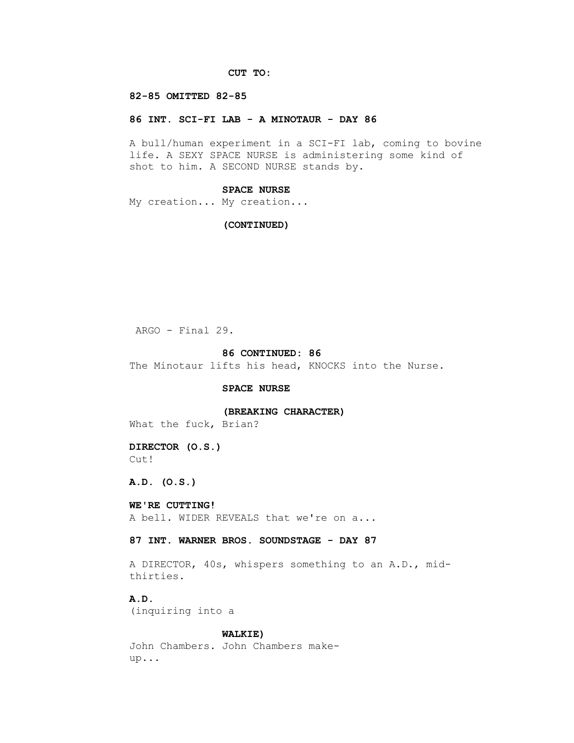# **CUT TO:**

### **82-85 OMITTED 82-85**

### **86 INT. SCI-FI LAB - A MINOTAUR - DAY 86**

 A bull/human experiment in a SCI-FI lab, coming to bovine life. A SEXY SPACE NURSE is administering some kind of shot to him. A SECOND NURSE stands by.

## **SPACE NURSE**

My creation... My creation...

#### **(CONTINUED)**

ARGO - Final 29.

### **86 CONTINUED: 86**

The Minotaur lifts his head, KNOCKS into the Nurse.

### **SPACE NURSE**

 **(BREAKING CHARACTER)**

What the fuck, Brian?

 **DIRECTOR (O.S.)** Cut!

 **A.D. (O.S.)**

# **WE'RE CUTTING!**

A bell. WIDER REVEALS that we're on a...

### **87 INT. WARNER BROS. SOUNDSTAGE - DAY 87**

 A DIRECTOR, 40s, whispers something to an A.D., mid thirties.

 **A.D.**

(inquiring into a

## **WALKIE)**

 John Chambers. John Chambers make up...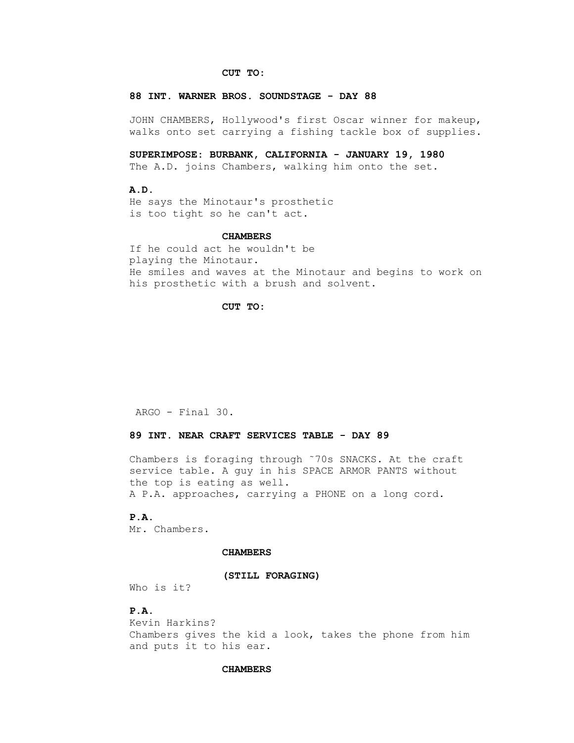## **CUT TO:**

#### **88 INT. WARNER BROS. SOUNDSTAGE - DAY 88**

 JOHN CHAMBERS, Hollywood's first Oscar winner for makeup, walks onto set carrying a fishing tackle box of supplies.

 **SUPERIMPOSE: BURBANK, CALIFORNIA - JANUARY 19, 1980**

The A.D. joins Chambers, walking him onto the set.

# **A.D.**

 He says the Minotaur's prosthetic is too tight so he can't act.

### **CHAMBERS**

 If he could act he wouldn't be playing the Minotaur. He smiles and waves at the Minotaur and begins to work on his prosthetic with a brush and solvent.

### **CUT TO:**

ARGO - Final 30.

## **89 INT. NEAR CRAFT SERVICES TABLE - DAY 89**

 Chambers is foraging through ˜70s SNACKS. At the craft service table. A guy in his SPACE ARMOR PANTS without the top is eating as well. A P.A. approaches, carrying a PHONE on a long cord.

# **P.A.**

Mr. Chambers.

### **CHAMBERS**

#### **(STILL FORAGING)**

Who is it?

# **P.A.**

 Kevin Harkins? Chambers gives the kid a look, takes the phone from him and puts it to his ear.

### **CHAMBERS**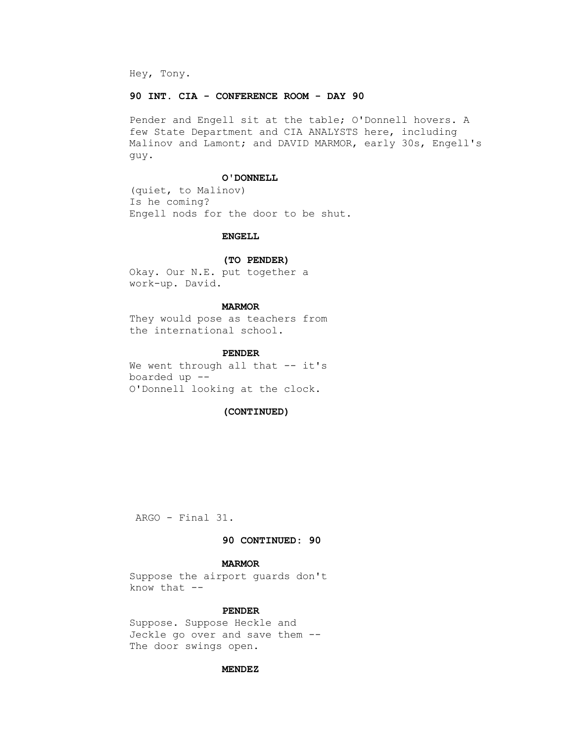Hey, Tony.

## **90 INT. CIA - CONFERENCE ROOM - DAY 90**

 Pender and Engell sit at the table; O'Donnell hovers. A few State Department and CIA ANALYSTS here, including Malinov and Lamont; and DAVID MARMOR, early 30s, Engell's guy.

#### **O'DONNELL**

 (quiet, to Malinov) Is he coming? Engell nods for the door to be shut.

# **ENGELL**

### **(TO PENDER)**

 Okay. Our N.E. put together a work-up. David.

# **MARMOR**

 They would pose as teachers from the international school.

## **PENDER**

We went through all that -- it's boarded up -- O'Donnell looking at the clock.

### **(CONTINUED)**

ARGO - Final 31.

## **90 CONTINUED: 90**

# **MARMOR**

 Suppose the airport guards don't know that --

## **PENDER**

 Suppose. Suppose Heckle and Jeckle go over and save them -- The door swings open.

### **MENDEZ**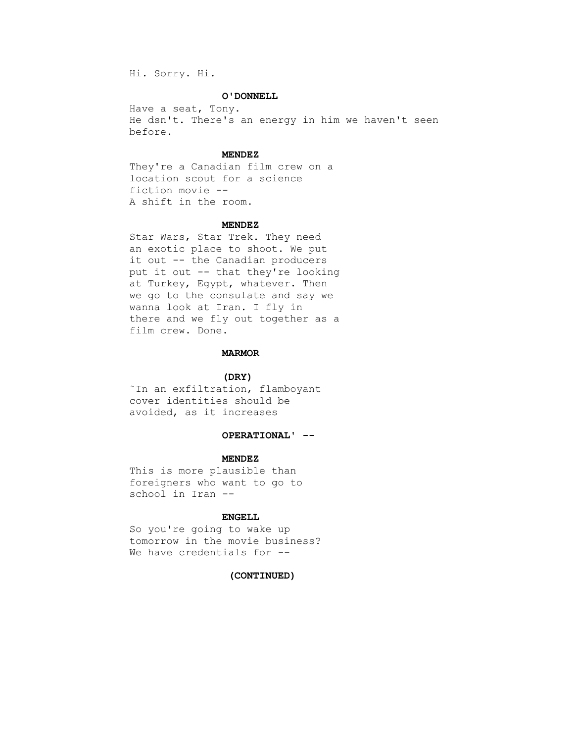Hi. Sorry. Hi.

# **O'DONNELL**

 Have a seat, Tony. He dsn't. There's an energy in him we haven't seen before.

# **MENDEZ**

 They're a Canadian film crew on a location scout for a science fiction movie -- A shift in the room.

#### **MENDEZ**

 Star Wars, Star Trek. They need an exotic place to shoot. We put it out -- the Canadian producers put it out -- that they're looking at Turkey, Egypt, whatever. Then we go to the consulate and say we wanna look at Iran. I fly in there and we fly out together as a film crew. Done.

#### **MARMOR**

# **(DRY)**

 ˜In an exfiltration, flamboyant cover identities should be avoided, as it increases

# **OPERATIONAL' --**

### **MENDEZ**

 This is more plausible than foreigners who want to go to school in Iran --

### **ENGELL**

 So you're going to wake up tomorrow in the movie business? We have credentials for --

#### **(CONTINUED)**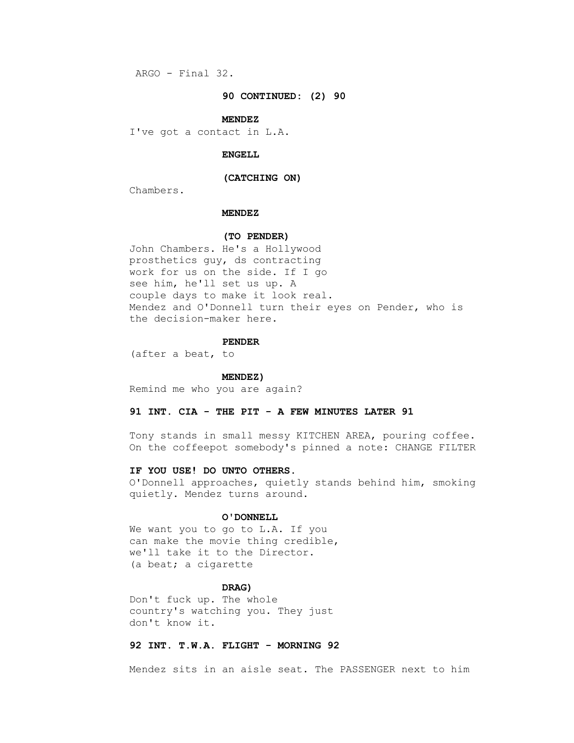ARGO - Final 32.

### **90 CONTINUED: (2) 90**

#### **MENDEZ**

I've got a contact in L.A.

# **ENGELL**

### **(CATCHING ON)**

Chambers.

# **MENDEZ**

# **(TO PENDER)**

 John Chambers. He's a Hollywood prosthetics guy, ds contracting work for us on the side. If I go see him, he'll set us up. A couple days to make it look real. Mendez and O'Donnell turn their eyes on Pender, who is the decision-maker here.

#### **PENDER**

(after a beat, to

#### **MENDEZ)**

Remind me who you are again?

# **91 INT. CIA - THE PIT - A FEW MINUTES LATER 91**

 Tony stands in small messy KITCHEN AREA, pouring coffee. On the coffeepot somebody's pinned a note: CHANGE FILTER

# **IF YOU USE! DO UNTO OTHERS.**

 O'Donnell approaches, quietly stands behind him, smoking quietly. Mendez turns around.

# **O'DONNELL**

We want you to go to L.A. If you can make the movie thing credible, we'll take it to the Director. (a beat; a cigarette

# **DRAG)**

 Don't fuck up. The whole country's watching you. They just don't know it.

# **92 INT. T.W.A. FLIGHT - MORNING 92**

Mendez sits in an aisle seat. The PASSENGER next to him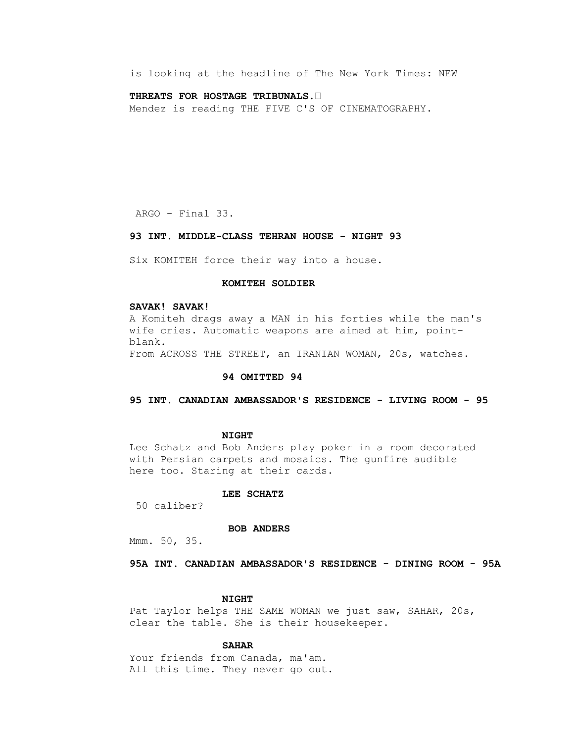is looking at the headline of The New York Times: NEW

### **THREATS FOR HOSTAGE TRIBUNALS.•**

Mendez is reading THE FIVE C'S OF CINEMATOGRAPHY.

ARGO - Final 33.

# **93 INT. MIDDLE-CLASS TEHRAN HOUSE - NIGHT 93**

Six KOMITEH force their way into a house.

# **KOMITEH SOLDIER**

# **SAVAK! SAVAK!**

 A Komiteh drags away a MAN in his forties while the man's wife cries. Automatic weapons are aimed at him, point blank. From ACROSS THE STREET, an IRANIAN WOMAN, 20s, watches.

### **94 OMITTED 94**

# **95 INT. CANADIAN AMBASSADOR'S RESIDENCE - LIVING ROOM - 95**

#### **NIGHT**

 Lee Schatz and Bob Anders play poker in a room decorated with Persian carpets and mosaics. The gunfire audible here too. Staring at their cards.

# **LEE SCHATZ**

50 caliber?

### **BOB ANDERS**

Mmm. 50, 35.

 **95A INT. CANADIAN AMBASSADOR'S RESIDENCE - DINING ROOM - 95A**

### **NIGHT**

 Pat Taylor helps THE SAME WOMAN we just saw, SAHAR, 20s, clear the table. She is their housekeeper.

# **SAHAR**

Your friends from Canada, ma'am. All this time. They never go out.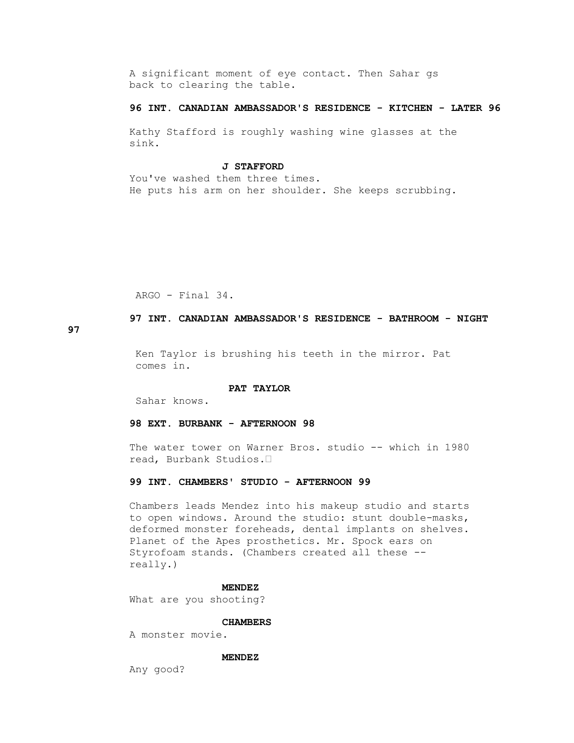A significant moment of eye contact. Then Sahar gs back to clearing the table.

# **96 INT. CANADIAN AMBASSADOR'S RESIDENCE - KITCHEN - LATER 96**

 Kathy Stafford is roughly washing wine glasses at the sink.

#### **J STAFFORD**

 You've washed them three times. He puts his arm on her shoulder. She keeps scrubbing.

ARGO - Final 34.

 **97 INT. CANADIAN AMBASSADOR'S RESIDENCE - BATHROOM - NIGHT** 

**97**

 Ken Taylor is brushing his teeth in the mirror. Pat comes in.

# **PAT TAYLOR**

Sahar knows.

# **98 EXT. BURBANK - AFTERNOON 98**

 The water tower on Warner Bros. studio -- which in 1980 read, Burbank Studios.•

# **99 INT. CHAMBERS' STUDIO - AFTERNOON 99**

 Chambers leads Mendez into his makeup studio and starts to open windows. Around the studio: stunt double-masks, deformed monster foreheads, dental implants on shelves. Planet of the Apes prosthetics. Mr. Spock ears on Styrofoam stands. (Chambers created all these - really.)

# **MENDEZ**

What are you shooting?

### **CHAMBERS**

A monster movie.

### **MENDEZ**

Any good?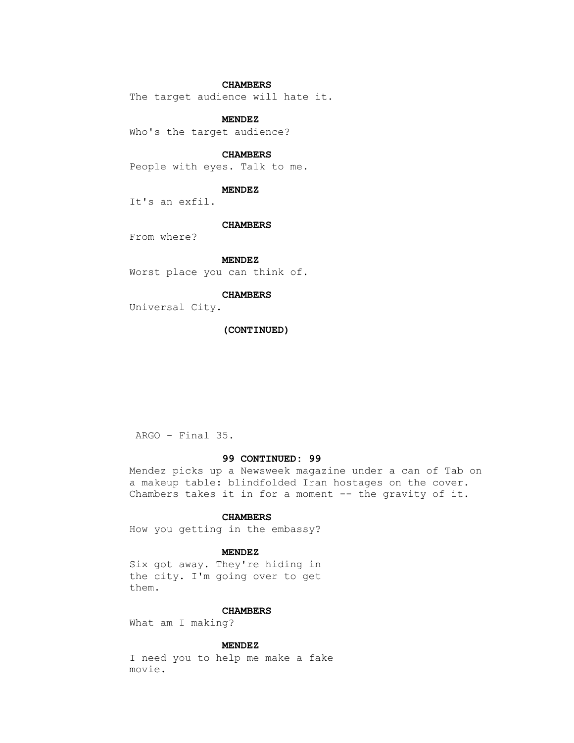# **CHAMBERS**

The target audience will hate it.

### **MENDEZ**

Who's the target audience?

# **CHAMBERS**

People with eyes. Talk to me.

### **MENDEZ**

It's an exfil.

### **CHAMBERS**

From where?

### **MENDEZ**

Worst place you can think of.

# **CHAMBERS**

Universal City.

# **(CONTINUED)**

ARGO - Final 35.

# **99 CONTINUED: 99**

 Mendez picks up a Newsweek magazine under a can of Tab on a makeup table: blindfolded Iran hostages on the cover. Chambers takes it in for a moment -- the gravity of it.

# **CHAMBERS**

How you getting in the embassy?

# **MENDEZ**

 Six got away. They're hiding in the city. I'm going over to get them.

# **CHAMBERS**

What am I making?

# **MENDEZ**

 I need you to help me make a fake movie.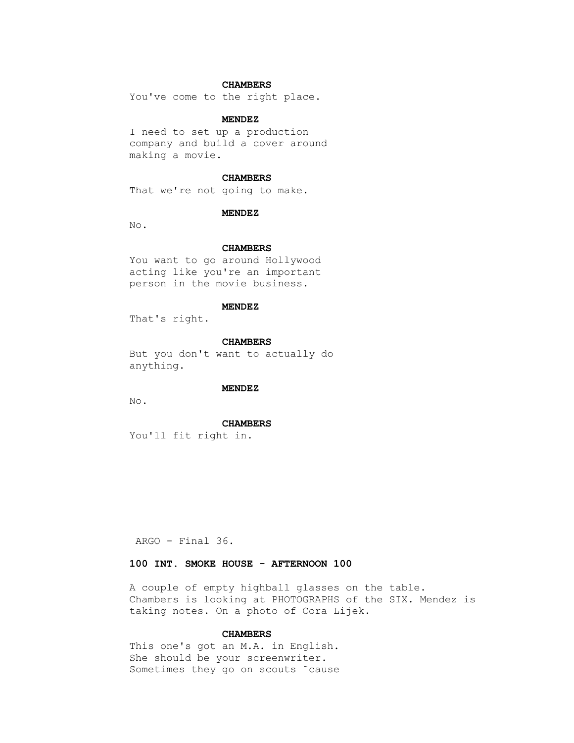# **CHAMBERS**

You've come to the right place.

### **MENDEZ**

 I need to set up a production company and build a cover around making a movie.

### **CHAMBERS**

That we're not going to make.

### **MENDEZ**

No.

# **CHAMBERS**

 You want to go around Hollywood acting like you're an important person in the movie business.

# **MENDEZ**

That's right.

# **CHAMBERS**

 But you don't want to actually do anything.

#### **MENDEZ**

No.

#### **CHAMBERS**

You'll fit right in.

ARGO - Final 36.

# **100 INT. SMOKE HOUSE - AFTERNOON 100**

 A couple of empty highball glasses on the table. Chambers is looking at PHOTOGRAPHS of the SIX. Mendez is taking notes. On a photo of Cora Lijek.

# **CHAMBERS**

 This one's got an M.A. in English. She should be your screenwriter. Sometimes they go on scouts ˜cause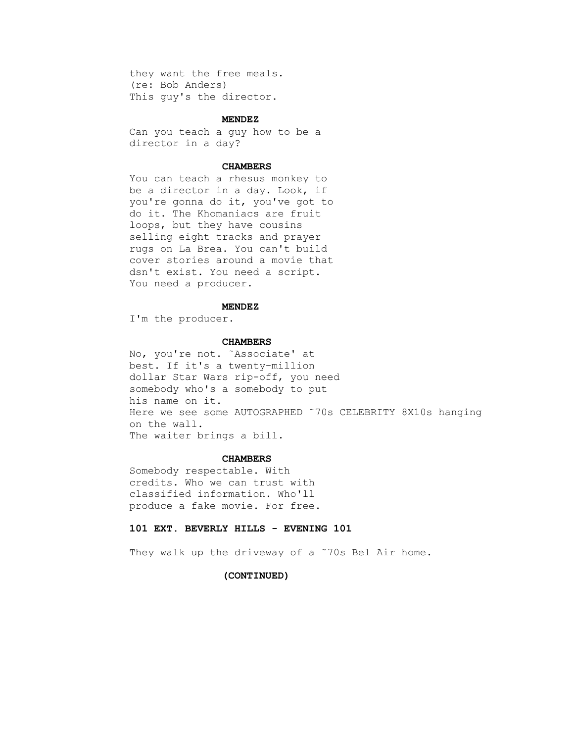they want the free meals. (re: Bob Anders) This guy's the director.

### **MENDEZ**

 Can you teach a guy how to be a director in a day?

# **CHAMBERS**

 You can teach a rhesus monkey to be a director in a day. Look, if you're gonna do it, you've got to do it. The Khomaniacs are fruit loops, but they have cousins selling eight tracks and prayer rugs on La Brea. You can't build cover stories around a movie that dsn't exist. You need a script. You need a producer.

# **MENDEZ**

I'm the producer.

#### **CHAMBERS**

 No, you're not. ˜Associate' at best. If it's a twenty-million dollar Star Wars rip-off, you need somebody who's a somebody to put his name on it. Here we see some AUTOGRAPHED ˜70s CELEBRITY 8X10s hanging on the wall. The waiter brings a bill.

# **CHAMBERS**

 Somebody respectable. With credits. Who we can trust with classified information. Who'll produce a fake movie. For free.

# **101 EXT. BEVERLY HILLS - EVENING 101**

They walk up the driveway of a ~70s Bel Air home.

# **(CONTINUED)**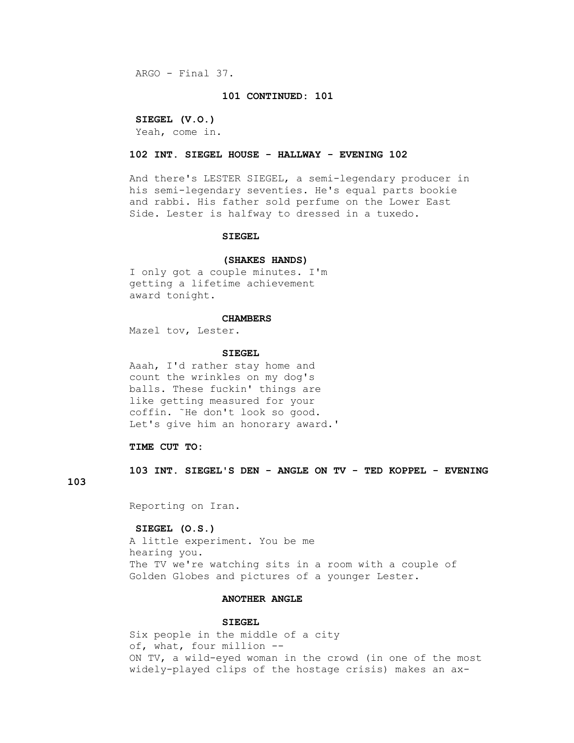ARGO - Final 37.

#### **101 CONTINUED: 101**

### **SIEGEL (V.O.)**

Yeah, come in.

# **102 INT. SIEGEL HOUSE - HALLWAY - EVENING 102**

 And there's LESTER SIEGEL, a semi-legendary producer in his semi-legendary seventies. He's equal parts bookie and rabbi. His father sold perfume on the Lower East Side. Lester is halfway to dressed in a tuxedo.

### **SIEGEL**

#### **(SHAKES HANDS)**

 I only got a couple minutes. I'm getting a lifetime achievement award tonight.

#### **CHAMBERS**

Mazel tov, Lester.

#### **SIEGEL**

 Aaah, I'd rather stay home and count the wrinkles on my dog's balls. These fuckin' things are like getting measured for your coffin. ˜He don't look so good. Let's give him an honorary award.'

# **TIME CUT TO:**

 **103 INT. SIEGEL'S DEN - ANGLE ON TV - TED KOPPEL - EVENING** 

# **103**

Reporting on Iran.

#### **SIEGEL (O.S.)**

 A little experiment. You be me hearing you. The TV we're watching sits in a room with a couple of Golden Globes and pictures of a younger Lester.

### **ANOTHER ANGLE**

### **SIEGEL**

 Six people in the middle of a city of, what, four million -- ON TV, a wild-eyed woman in the crowd (in one of the most widely-played clips of the hostage crisis) makes an ax-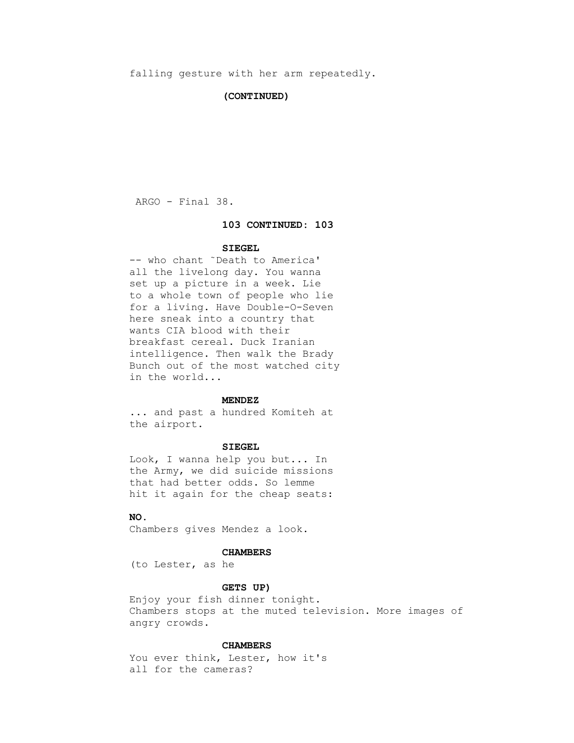### **(CONTINUED)**

ARGO - Final 38.

#### **103 CONTINUED: 103**

### **SIEGEL**

 -- who chant ˜Death to America' all the livelong day. You wanna set up a picture in a week. Lie to a whole town of people who lie for a living. Have Double-O-Seven here sneak into a country that wants CIA blood with their breakfast cereal. Duck Iranian intelligence. Then walk the Brady Bunch out of the most watched city in the world...

### **MENDEZ**

 ... and past a hundred Komiteh at the airport.

# **SIEGEL**

 Look, I wanna help you but... In the Army, we did suicide missions that had better odds. So lemme hit it again for the cheap seats:

# **NO.**

Chambers gives Mendez a look.

#### **CHAMBERS**

(to Lester, as he

# **GETS UP)**

 Enjoy your fish dinner tonight. Chambers stops at the muted television. More images of angry crowds.

# **CHAMBERS**

You ever think, Lester, how it's all for the cameras?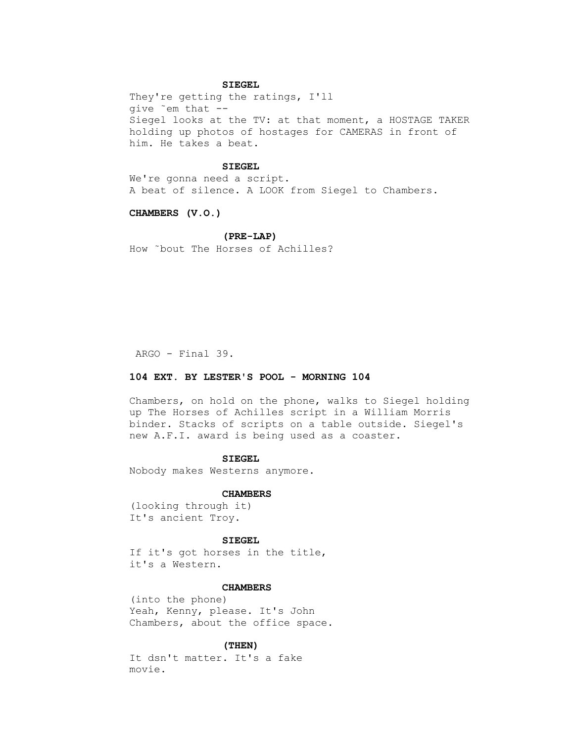# **SIEGEL**

 They're getting the ratings, I'll give ˜em that -- Siegel looks at the TV: at that moment, a HOSTAGE TAKER holding up photos of hostages for CAMERAS in front of him. He takes a beat.

# **SIEGEL**

 We're gonna need a script. A beat of silence. A LOOK from Siegel to Chambers.

 **CHAMBERS (V.O.)**

# **(PRE-LAP)**

How ˜bout The Horses of Achilles?

ARGO - Final 39.

# **104 EXT. BY LESTER'S POOL - MORNING 104**

 Chambers, on hold on the phone, walks to Siegel holding up The Horses of Achilles script in a William Morris binder. Stacks of scripts on a table outside. Siegel's new A.F.I. award is being used as a coaster.

# **SIEGEL**

Nobody makes Westerns anymore.

#### **CHAMBERS**

 (looking through it) It's ancient Troy.

#### **SIEGEL**

 If it's got horses in the title, it's a Western.

# **CHAMBERS**

 (into the phone) Yeah, Kenny, please. It's John Chambers, about the office space.

### **(THEN)**

 It dsn't matter. It's a fake movie.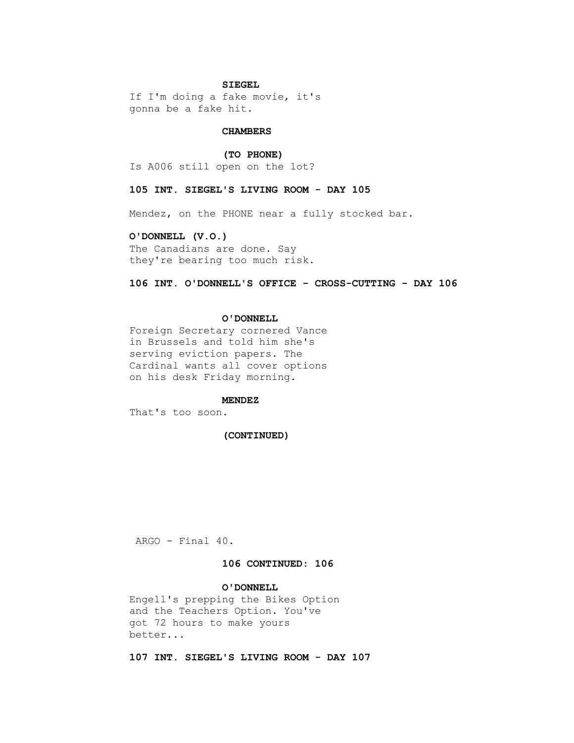# **SIEGEL**

 If I'm doing a fake movie, it's gonna be a fake hit.

# **CHAMBERS**

 **(TO PHONE)** Is A006 still open on the lot?

#### **105 INT. SIEGEL'S LIVING ROOM - DAY 105**

Mendez, on the PHONE near a fully stocked bar.

# **O'DONNELL (V.O.)**

 The Canadians are done. Say they're bearing too much risk.

# **106 INT. O'DONNELL'S OFFICE - CROSS-CUTTING - DAY 106**

# **O'DONNELL**

 Foreign Secretary cornered Vance in Brussels and told him she's serving eviction papers. The Cardinal wants all cover options on his desk Friday morning.

# **MENDEZ**

That's too soon.

# **(CONTINUED)**

ARGO - Final 40.

# **106 CONTINUED: 106**

# **O'DONNELL**

 Engell's prepping the Bikes Option and the Teachers Option. You've got 72 hours to make yours better...

 **107 INT. SIEGEL'S LIVING ROOM - DAY 107**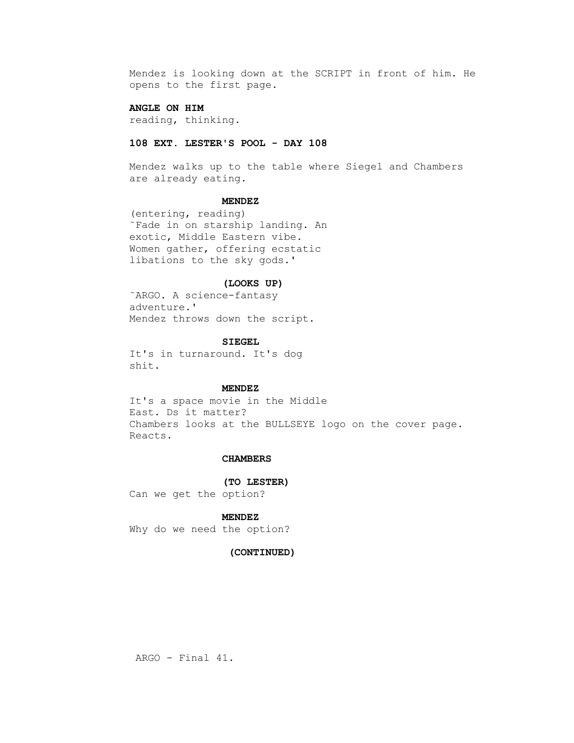Mendez is looking down at the SCRIPT in front of him. He opens to the first page.

# **ANGLE ON HIM**

reading, thinking.

# **108 EXT. LESTER'S POOL - DAY 108**

 Mendez walks up to the table where Siegel and Chambers are already eating.

# **MENDEZ**

 (entering, reading) ˜Fade in on starship landing. An exotic, Middle Eastern vibe. Women gather, offering ecstatic libations to the sky gods.'

# **(LOOKS UP)**

 ˜ARGO. A science-fantasy adventure.' Mendez throws down the script.

#### **SIEGEL**

 It's in turnaround. It's dog shit.

# **MENDEZ**

 It's a space movie in the Middle East. Ds it matter? Chambers looks at the BULLSEYE logo on the cover page. Reacts.

# **CHAMBERS**

# **(TO LESTER)**

Can we get the option?

# **MENDEZ**

Why do we need the option?

# **(CONTINUED)**

ARGO - Final 41.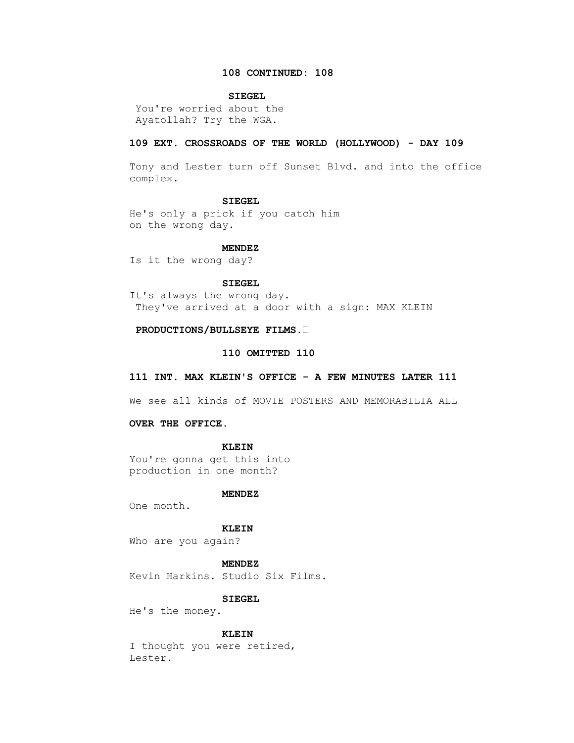# **108 CONTINUED: 108**

# **SIEGEL**

 You're worried about the Ayatollah? Try the WGA.

# **109 EXT. CROSSROADS OF THE WORLD (HOLLYWOOD) - DAY 109**

 Tony and Lester turn off Sunset Blvd. and into the office complex.

### **SIEGEL**

 He's only a prick if you catch him on the wrong day.

# **MENDEZ**

Is it the wrong day?

# **SIEGEL**

 It's always the wrong day. They've arrived at a door with a sign: MAX KLEIN

# **PRODUCTIONS/BULLSEYE FILMS.•**

# **110 OMITTED 110**

# **111 INT. MAX KLEIN'S OFFICE - A FEW MINUTES LATER 111**

We see all kinds of MOVIE POSTERS AND MEMORABILIA ALL

# **OVER THE OFFICE.**

### **KLEIN**

 You're gonna get this into production in one month?

### **MENDEZ**

One month.

# **KLEIN**

Who are you again?

# **MENDEZ**

Kevin Harkins. Studio Six Films.

# **SIEGEL**

He's the money.

### **KLEIN**

 I thought you were retired, Lester.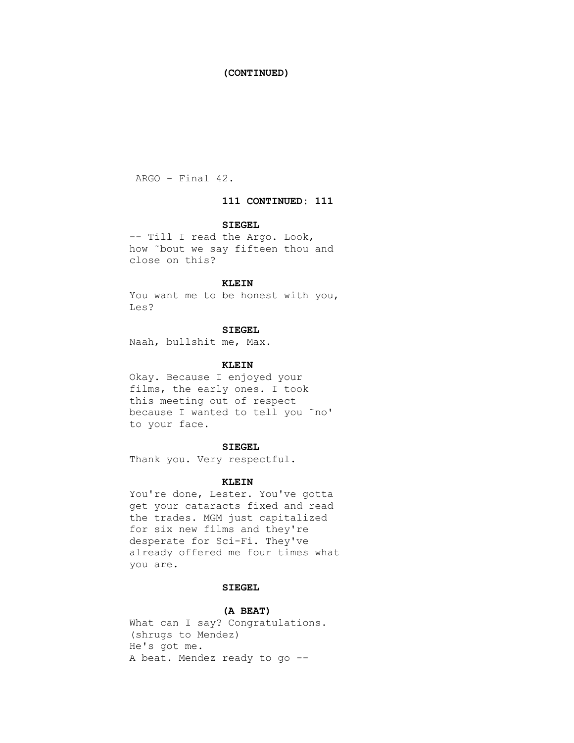# **(CONTINUED)**

ARGO - Final 42.

# **111 CONTINUED: 111**

# **SIEGEL**

 -- Till I read the Argo. Look, how ˜bout we say fifteen thou and close on this?

# **KLEIN**

You want me to be honest with you, Les?

# **SIEGEL**

Naah, bullshit me, Max.

# **KLEIN**

 Okay. Because I enjoyed your films, the early ones. I took this meeting out of respect because I wanted to tell you ˜no' to your face.

# **SIEGEL**

Thank you. Very respectful.

### **KLEIN**

 You're done, Lester. You've gotta get your cataracts fixed and read the trades. MGM just capitalized for six new films and they're desperate for Sci-Fi. They've already offered me four times what you are.

# **SIEGEL**

# **(A BEAT)**

 What can I say? Congratulations. (shrugs to Mendez) He's got me. A beat. Mendez ready to go --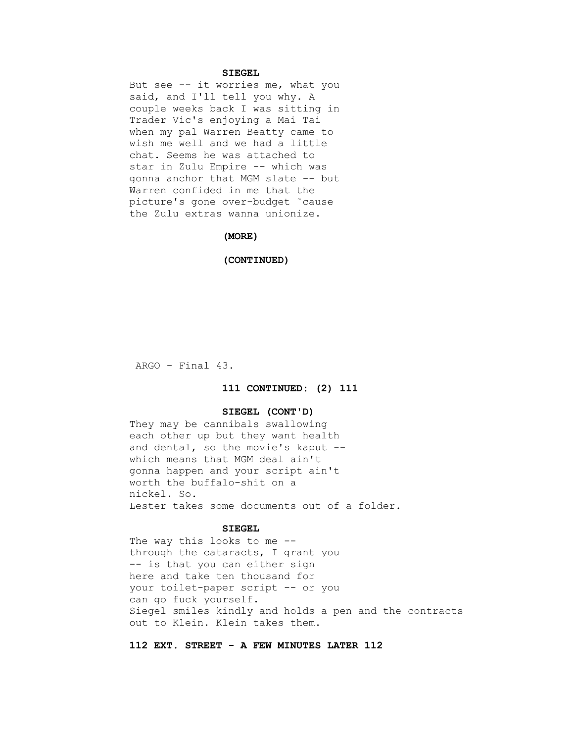# **SIEGEL**

But see  $-$  it worries me, what you said, and I'll tell you why. A couple weeks back I was sitting in Trader Vic's enjoying a Mai Tai when my pal Warren Beatty came to wish me well and we had a little chat. Seems he was attached to star in Zulu Empire -- which was gonna anchor that MGM slate -- but Warren confided in me that the picture's gone over-budget ˜cause the Zulu extras wanna unionize.

# **(MORE)**

#### **(CONTINUED)**

ARGO - Final 43.

# **111 CONTINUED: (2) 111**

# **SIEGEL (CONT'D)**

 They may be cannibals swallowing each other up but they want health and dental, so the movie's kaput - which means that MGM deal ain't gonna happen and your script ain't worth the buffalo-shit on a nickel. So. Lester takes some documents out of a folder.

# **SIEGEL**

The way this looks to me - through the cataracts, I grant you -- is that you can either sign here and take ten thousand for your toilet-paper script -- or you can go fuck yourself. Siegel smiles kindly and holds a pen and the contracts out to Klein. Klein takes them.

# **112 EXT. STREET - A FEW MINUTES LATER 112**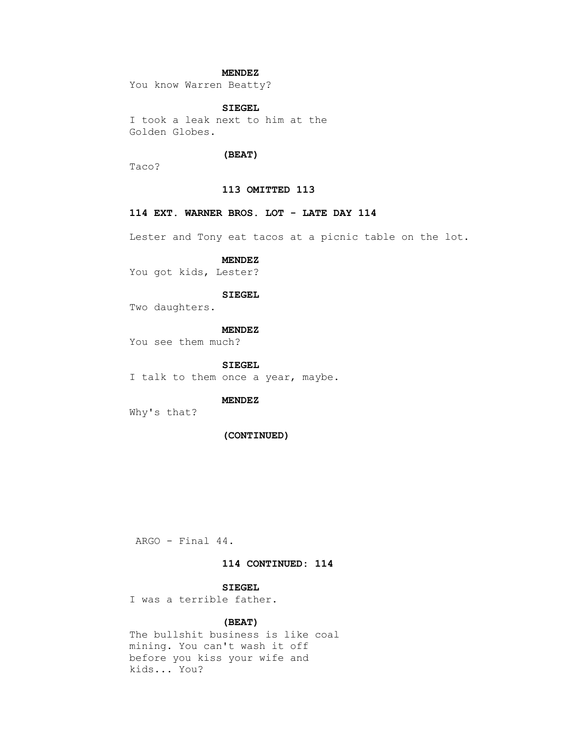# **MENDEZ**

You know Warren Beatty?

# **SIEGEL**

 I took a leak next to him at the Golden Globes.

# **(BEAT)**

Taco?

# **113 OMITTED 113**

# **114 EXT. WARNER BROS. LOT - LATE DAY 114**

Lester and Tony eat tacos at a picnic table on the lot.

# **MENDEZ**

You got kids, Lester?

# **SIEGEL**

Two daughters.

 **MENDEZ**

You see them much?

 **SIEGEL**

I talk to them once a year, maybe.

# **MENDEZ**

Why's that?

# **(CONTINUED)**

ARGO - Final 44.

# **114 CONTINUED: 114**

# **SIEGEL**

I was a terrible father.

# **(BEAT)**

 The bullshit business is like coal mining. You can't wash it off before you kiss your wife and kids... You?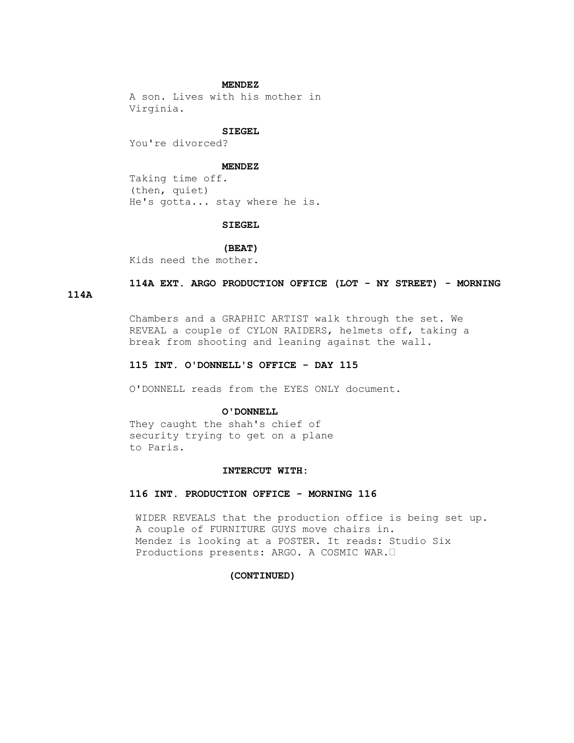### **MENDEZ**

 A son. Lives with his mother in Virginia.

#### **SIEGEL**

You're divorced?

### **MENDEZ**

 Taking time off. (then, quiet) He's gotta... stay where he is.

#### **SIEGEL**

# **(BEAT)**

Kids need the mother.

# **114A EXT. ARGO PRODUCTION OFFICE (LOT - NY STREET) - MORNING**

### **114A**

 Chambers and a GRAPHIC ARTIST walk through the set. We REVEAL a couple of CYLON RAIDERS, helmets off, taking a break from shooting and leaning against the wall.

# **115 INT. O'DONNELL'S OFFICE - DAY 115**

O'DONNELL reads from the EYES ONLY document.

### **O'DONNELL**

 They caught the shah's chief of security trying to get on a plane to Paris.

# **INTERCUT WITH:**

# **116 INT. PRODUCTION OFFICE - MORNING 116**

 WIDER REVEALS that the production office is being set up. A couple of FURNITURE GUYS move chairs in. Mendez is looking at a POSTER. It reads: Studio Six Productions presents: ARGO. A COSMIC WAR.•

#### **(CONTINUED)**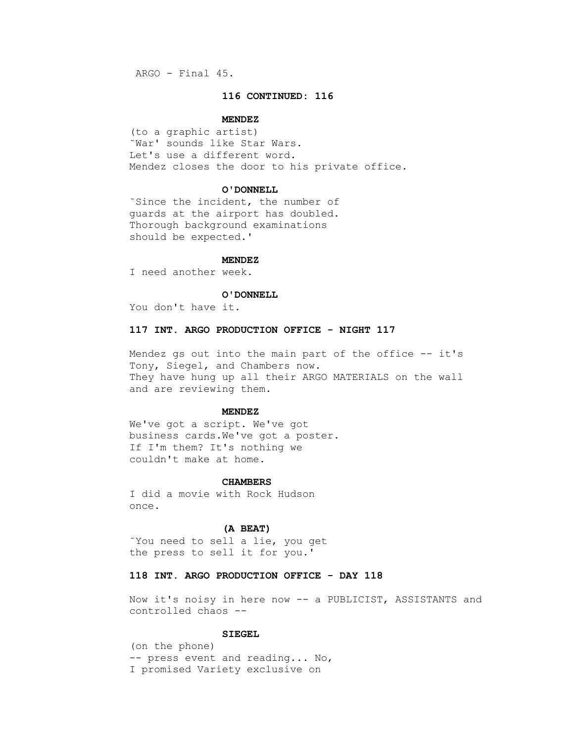ARGO - Final 45.

# **116 CONTINUED: 116**

#### **MENDEZ**

 (to a graphic artist) ˜War' sounds like Star Wars. Let's use a different word. Mendez closes the door to his private office.

### **O'DONNELL**

 ˜Since the incident, the number of guards at the airport has doubled. Thorough background examinations should be expected.'

#### **MENDEZ**

I need another week.

# **O'DONNELL**

You don't have it.

# **117 INT. ARGO PRODUCTION OFFICE - NIGHT 117**

 Mendez gs out into the main part of the office -- it's Tony, Siegel, and Chambers now. They have hung up all their ARGO MATERIALS on the wall and are reviewing them.

# **MENDEZ**

 We've got a script. We've got business cards.We've got a poster. If I'm them? It's nothing we couldn't make at home.

#### **CHAMBERS**

 I did a movie with Rock Hudson once.

#### **(A BEAT)**

 ˜You need to sell a lie, you get the press to sell it for you.'

# **118 INT. ARGO PRODUCTION OFFICE - DAY 118**

 Now it's noisy in here now -- a PUBLICIST, ASSISTANTS and controlled chaos --

# **SIEGEL**

 (on the phone) -- press event and reading... No, I promised Variety exclusive on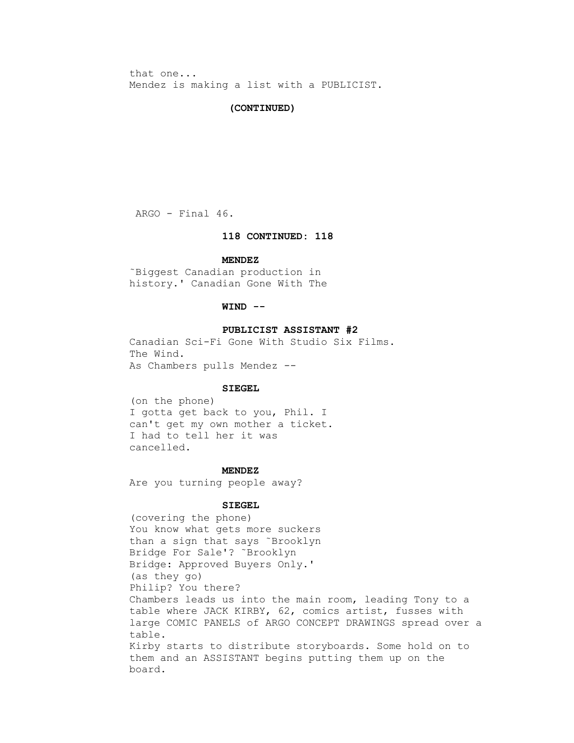that one... Mendez is making a list with a PUBLICIST.

# **(CONTINUED)**

ARGO - Final 46.

# **118 CONTINUED: 118**

#### **MENDEZ**

 ˜Biggest Canadian production in history.' Canadian Gone With The

# **WIND --**

# **PUBLICIST ASSISTANT #2**

 Canadian Sci-Fi Gone With Studio Six Films. The Wind. As Chambers pulls Mendez --

#### **SIEGEL**

 (on the phone) I gotta get back to you, Phil. I can't get my own mother a ticket. I had to tell her it was cancelled.

# **MENDEZ**

Are you turning people away?

# **SIEGEL**

 (covering the phone) You know what gets more suckers than a sign that says ˜Brooklyn Bridge For Sale'? ˜Brooklyn Bridge: Approved Buyers Only.' (as they go) Philip? You there? Chambers leads us into the main room, leading Tony to a table where JACK KIRBY, 62, comics artist, fusses with large COMIC PANELS of ARGO CONCEPT DRAWINGS spread over a table. Kirby starts to distribute storyboards. Some hold on to them and an ASSISTANT begins putting them up on the board.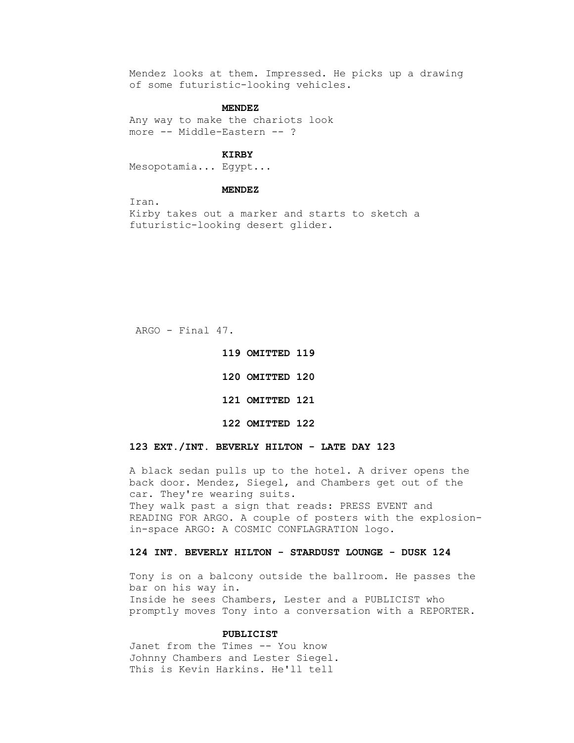Mendez looks at them. Impressed. He picks up a drawing of some futuristic-looking vehicles.

### **MENDEZ**

```
 Any way to make the chariots look
more -- Middle-Eastern -- ?
```
# **KIRBY**

Mesopotamia... Egypt...

# **MENDEZ**

 Iran. Kirby takes out a marker and starts to sketch a futuristic-looking desert glider.

ARGO - Final 47.

 **120 OMITTED 120 121 OMITTED 121 122 OMITTED 122** 

 **119 OMITTED 119** 

# **123 EXT./INT. BEVERLY HILTON - LATE DAY 123**

 A black sedan pulls up to the hotel. A driver opens the back door. Mendez, Siegel, and Chambers get out of the car. They're wearing suits. They walk past a sign that reads: PRESS EVENT and READING FOR ARGO. A couple of posters with the explosion in-space ARGO: A COSMIC CONFLAGRATION logo.

# **124 INT. BEVERLY HILTON - STARDUST LOUNGE - DUSK 124**

 Tony is on a balcony outside the ballroom. He passes the bar on his way in. Inside he sees Chambers, Lester and a PUBLICIST who promptly moves Tony into a conversation with a REPORTER.

#### **PUBLICIST**

 Janet from the Times -- You know Johnny Chambers and Lester Siegel. This is Kevin Harkins. He'll tell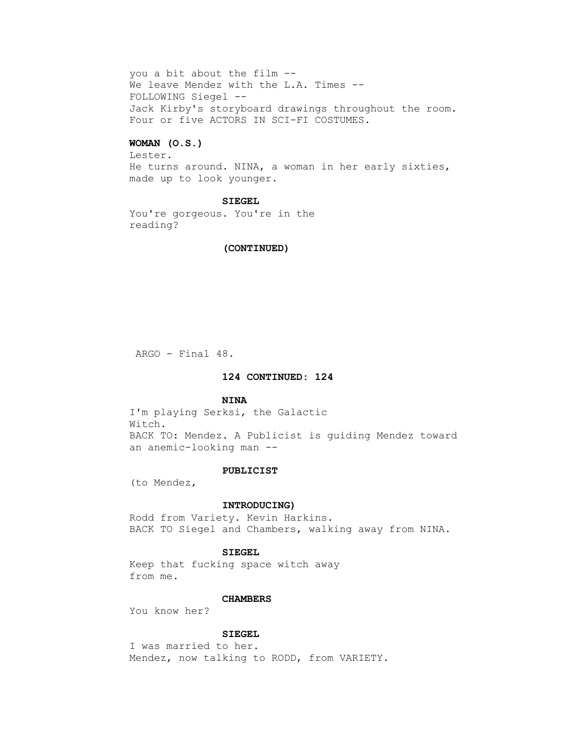you a bit about the film -- We leave Mendez with the L.A. Times -- FOLLOWING Siegel -- Jack Kirby's storyboard drawings throughout the room. Four or five ACTORS IN SCI-FI COSTUMES.

# **WOMAN (O.S.)**

 Lester. He turns around. NINA, a woman in her early sixties, made up to look younger.

# **SIEGEL**

 You're gorgeous. You're in the reading?

# **(CONTINUED)**

ARGO - Final 48.

# **124 CONTINUED: 124**

### **NINA**

 I'm playing Serksi, the Galactic Witch. BACK TO: Mendez. A Publicist is guiding Mendez toward an anemic-looking man --

#### **PUBLICIST**

(to Mendez,

# **INTRODUCING)**

 Rodd from Variety. Kevin Harkins. BACK TO Siegel and Chambers, walking away from NINA.

### **SIEGEL**

 Keep that fucking space witch away from me.

### **CHAMBERS**

You know her?

# **SIEGEL**

 I was married to her. Mendez, now talking to RODD, from VARIETY.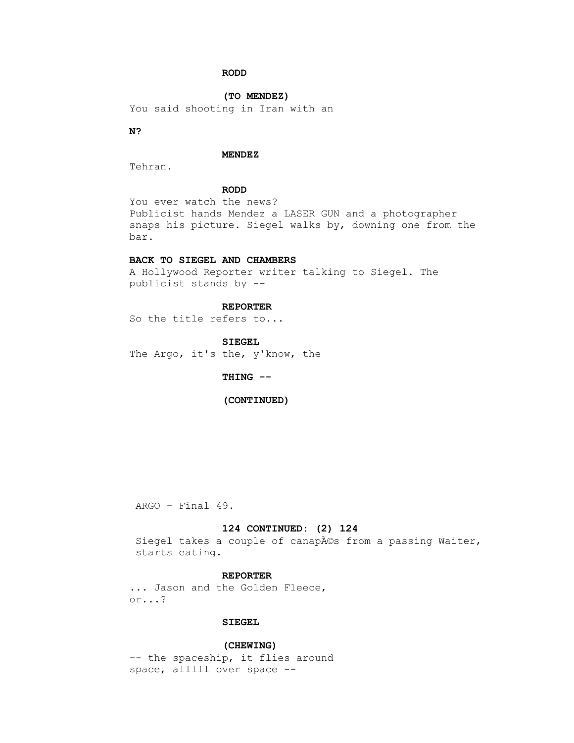# **RODD**

 **(TO MENDEZ)**

You said shooting in Iran with an

# **N?**

# **MENDEZ**

Tehran.

# **RODD**

 You ever watch the news? Publicist hands Mendez a LASER GUN and a photographer snaps his picture. Siegel walks by, downing one from the bar.

# **BACK TO SIEGEL AND CHAMBERS**

 A Hollywood Reporter writer talking to Siegel. The publicist stands by --

# **REPORTER**

So the title refers to...

#### **SIEGEL**

The Argo, it's the, y'know, the

# **THING --**

# **(CONTINUED)**

ARGO - Final 49.

# **124 CONTINUED: (2) 124**

Siegel takes a couple of canapés from a passing Waiter, starts eating.

# **REPORTER**

... Jason and the Golden Fleece, or...?

# **SIEGEL**

 **(CHEWING)** 

-- the spaceship, it flies around space, alllll over space --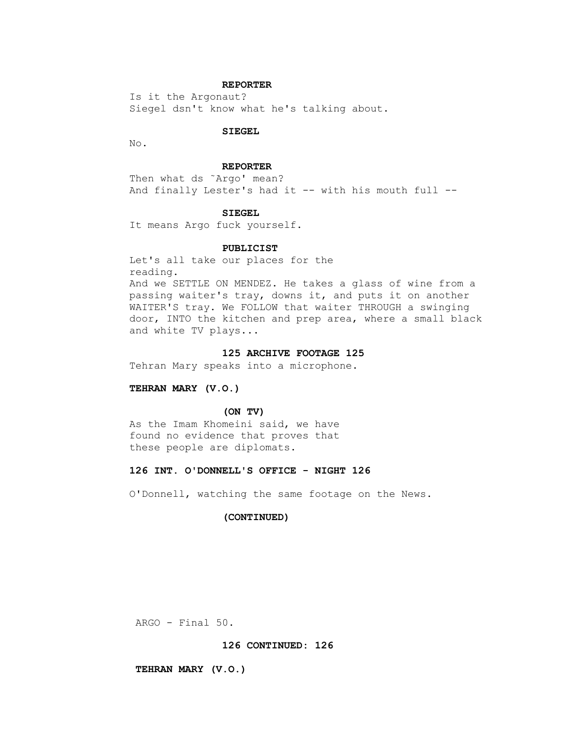# **REPORTER**

 Is it the Argonaut? Siegel dsn't know what he's talking about.

### **SIEGEL**

No.

# **REPORTER**

 Then what ds ˜Argo' mean? And finally Lester's had it -- with his mouth full --

### **SIEGEL**

It means Argo fuck yourself.

### **PUBLICIST**

 Let's all take our places for the reading.

 And we SETTLE ON MENDEZ. He takes a glass of wine from a passing waiter's tray, downs it, and puts it on another WAITER'S tray. We FOLLOW that waiter THROUGH a swinging door, INTO the kitchen and prep area, where a small black and white TV plays...

### **125 ARCHIVE FOOTAGE 125**

Tehran Mary speaks into a microphone.

### **TEHRAN MARY (V.O.)**

#### **(ON TV)**

 As the Imam Khomeini said, we have found no evidence that proves that these people are diplomats.

# **126 INT. O'DONNELL'S OFFICE - NIGHT 126**

O'Donnell, watching the same footage on the News.

# **(CONTINUED)**

ARGO - Final 50.

# **126 CONTINUED: 126**

### **TEHRAN MARY (V.O.)**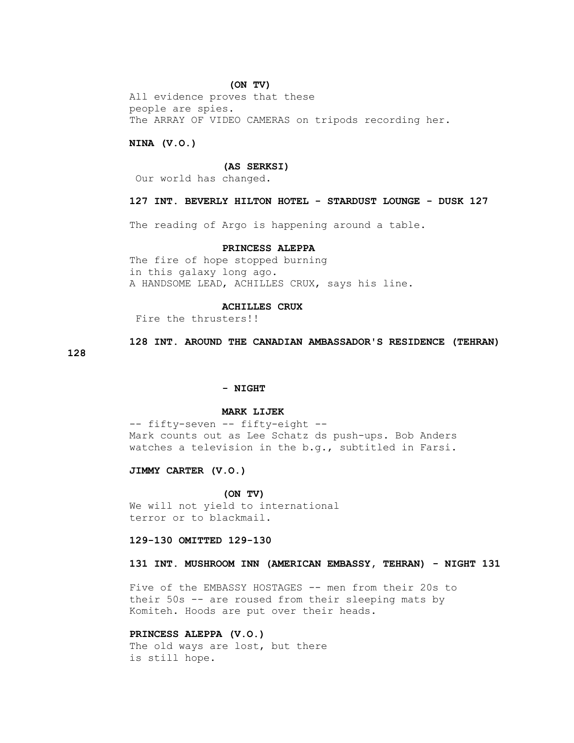#### **(ON TV)**

 All evidence proves that these people are spies. The ARRAY OF VIDEO CAMERAS on tripods recording her.

### **NINA (V.O.)**

#### **(AS SERKSI)**

Our world has changed.

# **127 INT. BEVERLY HILTON HOTEL - STARDUST LOUNGE - DUSK 127**

The reading of Argo is happening around a table.

# **PRINCESS ALEPPA**

 The fire of hope stopped burning in this galaxy long ago. A HANDSOME LEAD, ACHILLES CRUX, says his line.

# **ACHILLES CRUX**

Fire the thrusters!!

# **128 INT. AROUND THE CANADIAN AMBASSADOR'S RESIDENCE (TEHRAN)**

# **128**

#### **- NIGHT**

### **MARK LIJEK**

 -- fifty-seven -- fifty-eight -- Mark counts out as Lee Schatz ds push-ups. Bob Anders watches a television in the b.g., subtitled in Farsi.

 **JIMMY CARTER (V.O.)**

#### **(ON TV)**

 We will not yield to international terror or to blackmail.

# **129-130 OMITTED 129-130**

# **131 INT. MUSHROOM INN (AMERICAN EMBASSY, TEHRAN) - NIGHT 131**

 Five of the EMBASSY HOSTAGES -- men from their 20s to their 50s -- are roused from their sleeping mats by Komiteh. Hoods are put over their heads.

# **PRINCESS ALEPPA (V.O.)**

The old ways are lost, but there is still hope.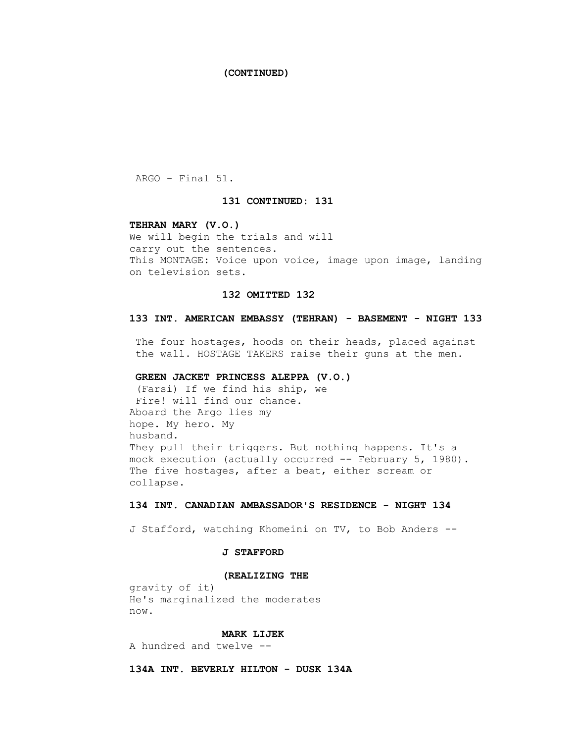# **(CONTINUED)**

ARGO - Final 51.

# **131 CONTINUED: 131**

### **TEHRAN MARY (V.O.)**

 We will begin the trials and will carry out the sentences. This MONTAGE: Voice upon voice, image upon image, landing on television sets.

# **132 OMITTED 132**

# **133 INT. AMERICAN EMBASSY (TEHRAN) - BASEMENT - NIGHT 133**

 The four hostages, hoods on their heads, placed against the wall. HOSTAGE TAKERS raise their guns at the men.

# **GREEN JACKET PRINCESS ALEPPA (V.O.)**

 (Farsi) If we find his ship, we Fire! will find our chance. Aboard the Argo lies my hope. My hero. My husband. They pull their triggers. But nothing happens. It's a mock execution (actually occurred -- February 5, 1980). The five hostages, after a beat, either scream or collapse.

# **134 INT. CANADIAN AMBASSADOR'S RESIDENCE - NIGHT 134**

J Stafford, watching Khomeini on TV, to Bob Anders --

# **J STAFFORD**

#### **(REALIZING THE**

 gravity of it) He's marginalized the moderates now.

# **MARK LIJEK**

A hundred and twelve --

 **134A INT. BEVERLY HILTON - DUSK 134A**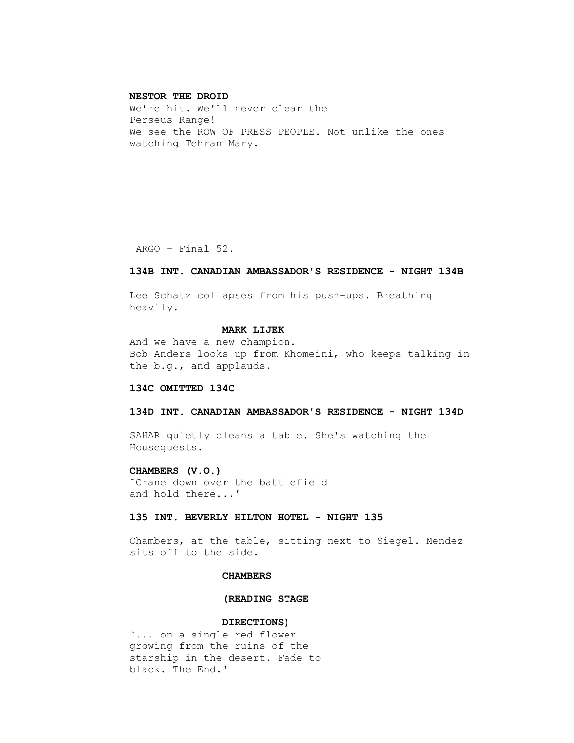#### **NESTOR THE DROID**

 We're hit. We'll never clear the Perseus Range! We see the ROW OF PRESS PEOPLE. Not unlike the ones watching Tehran Mary.

ARGO - Final 52.

# **134B INT. CANADIAN AMBASSADOR'S RESIDENCE - NIGHT 134B**

 Lee Schatz collapses from his push-ups. Breathing heavily.

# **MARK LIJEK**

 And we have a new champion. Bob Anders looks up from Khomeini, who keeps talking in the b.g., and applauds.

### **134C OMITTED 134C**

### **134D INT. CANADIAN AMBASSADOR'S RESIDENCE - NIGHT 134D**

 SAHAR quietly cleans a table. She's watching the Houseguests.

# **CHAMBERS (V.O.)**

 ˜Crane down over the battlefield and hold there...'

# **135 INT. BEVERLY HILTON HOTEL - NIGHT 135**

 Chambers, at the table, sitting next to Siegel. Mendez sits off to the side.

# **CHAMBERS**

# **(READING STAGE**

# **DIRECTIONS)**

 ˜... on a single red flower growing from the ruins of the starship in the desert. Fade to black. The End.'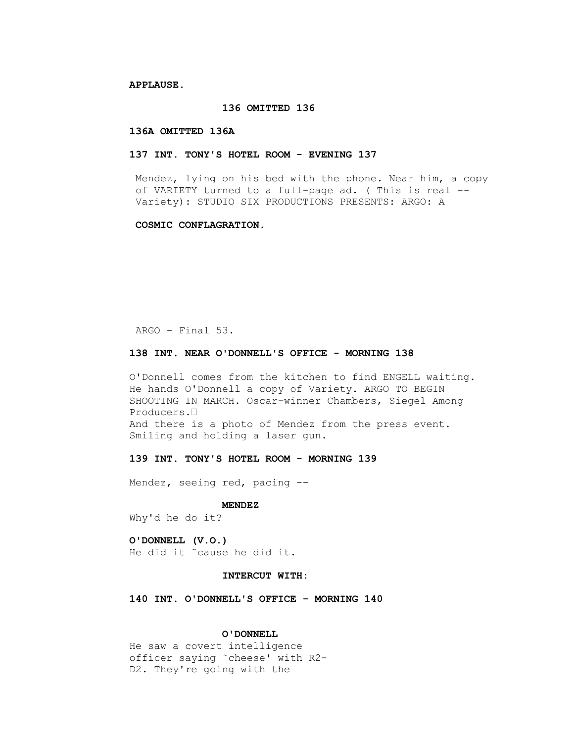**APPLAUSE.**

# **136 OMITTED 136**

### **136A OMITTED 136A**

# **137 INT. TONY'S HOTEL ROOM - EVENING 137**

 Mendez, lying on his bed with the phone. Near him, a copy of VARIETY turned to a full-page ad. ( This is real -- Variety): STUDIO SIX PRODUCTIONS PRESENTS: ARGO: A

### **COSMIC CONFLAGRATION.**

ARGO - Final 53.

# **138 INT. NEAR O'DONNELL'S OFFICE - MORNING 138**

 O'Donnell comes from the kitchen to find ENGELL waiting. He hands O'Donnell a copy of Variety. ARGO TO BEGIN SHOOTING IN MARCH. Oscar-winner Chambers, Siegel Among Producers.• And there is a photo of Mendez from the press event. Smiling and holding a laser gun.

# **139 INT. TONY'S HOTEL ROOM - MORNING 139**

Mendez, seeing red, pacing --

# **MENDEZ**

Why'd he do it?

# **O'DONNELL (V.O.)** He did it ˜cause he did it.

# **INTERCUT WITH:**

 **140 INT. O'DONNELL'S OFFICE - MORNING 140**

### **O'DONNELL**

 He saw a covert intelligence officer saying ˜cheese' with R2- D2. They're going with the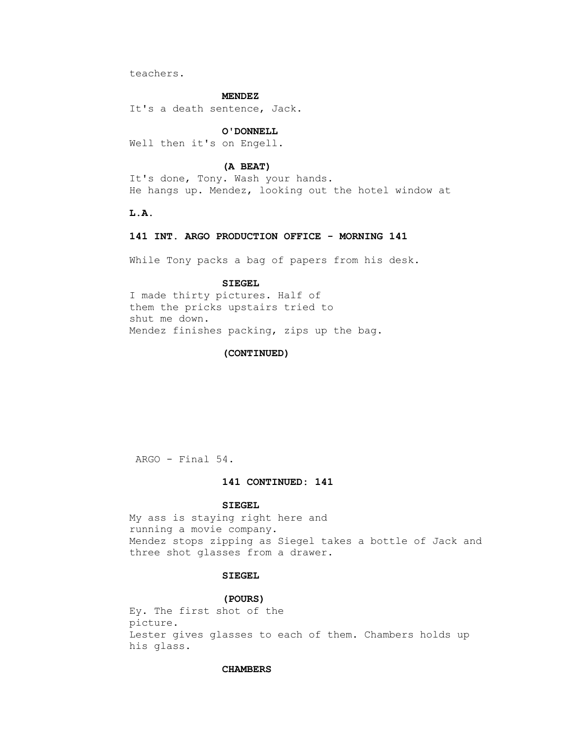teachers.

#### **MENDEZ**

It's a death sentence, Jack.

# **O'DONNELL**

Well then it's on Engell.

# **(A BEAT)**

 It's done, Tony. Wash your hands. He hangs up. Mendez, looking out the hotel window at

 **L.A.**

### **141 INT. ARGO PRODUCTION OFFICE - MORNING 141**

While Tony packs a bag of papers from his desk.

# **SIEGEL**

 I made thirty pictures. Half of them the pricks upstairs tried to shut me down. Mendez finishes packing, zips up the bag.

# **(CONTINUED)**

ARGO - Final 54.

# **141 CONTINUED: 141**

### **SIEGEL**

 My ass is staying right here and running a movie company. Mendez stops zipping as Siegel takes a bottle of Jack and three shot glasses from a drawer.

# **SIEGEL**

#### **(POURS)**

 Ey. The first shot of the picture. Lester gives glasses to each of them. Chambers holds up his glass.

### **CHAMBERS**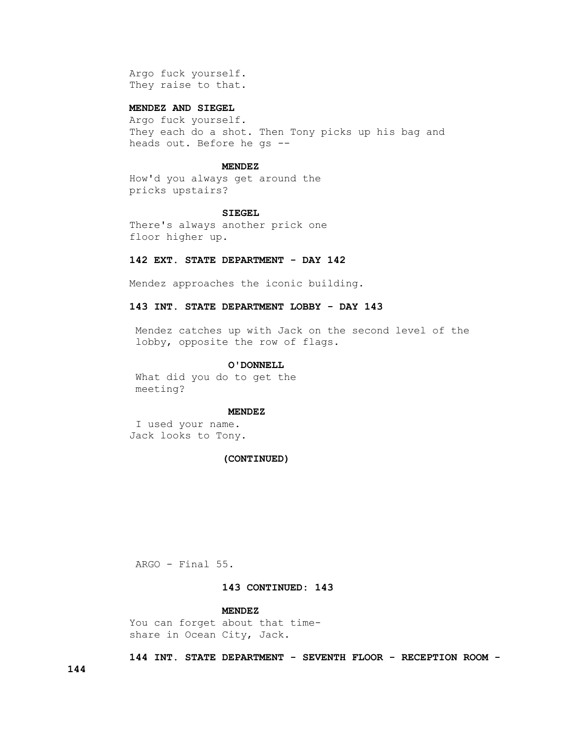Argo fuck yourself. They raise to that.

# **MENDEZ AND SIEGEL**

 Argo fuck yourself. They each do a shot. Then Tony picks up his bag and heads out. Before he gs --

# **MENDEZ**

 How'd you always get around the pricks upstairs?

#### **SIEGEL**

 There's always another prick one floor higher up.

# **142 EXT. STATE DEPARTMENT - DAY 142**

Mendez approaches the iconic building.

# **143 INT. STATE DEPARTMENT LOBBY - DAY 143**

 Mendez catches up with Jack on the second level of the lobby, opposite the row of flags.

### **O'DONNELL**

 What did you do to get the meeting?

### **MENDEZ**

 I used your name. Jack looks to Tony.

### **(CONTINUED)**

ARGO - Final 55.

# **143 CONTINUED: 143**

# **MENDEZ**

 You can forget about that time share in Ocean City, Jack.

 **144 INT. STATE DEPARTMENT - SEVENTH FLOOR - RECEPTION ROOM -**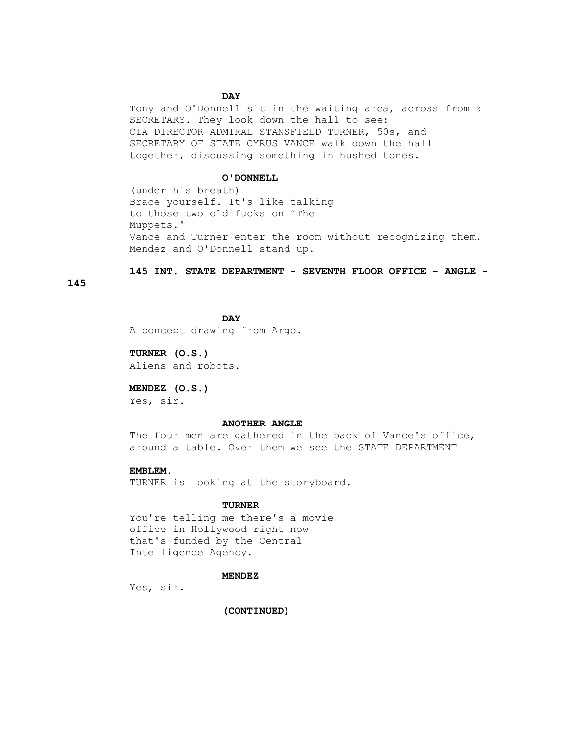# **DAY**

 Tony and O'Donnell sit in the waiting area, across from a SECRETARY. They look down the hall to see: CIA DIRECTOR ADMIRAL STANSFIELD TURNER, 50s, and SECRETARY OF STATE CYRUS VANCE walk down the hall together, discussing something in hushed tones.

#### **O'DONNELL**

 (under his breath) Brace yourself. It's like talking to those two old fucks on ˜The Muppets.' Vance and Turner enter the room without recognizing them. Mendez and O'Donnell stand up.

# **145 INT. STATE DEPARTMENT - SEVENTH FLOOR OFFICE - ANGLE -**

**145**

**DAY** A concept drawing from Argo.

> **TURNER (O.S.)** Aliens and robots.

# **MENDEZ (O.S.)**

Yes, sir.

# **ANOTHER ANGLE**

The four men are gathered in the back of Vance's office, around a table. Over them we see the STATE DEPARTMENT

# **EMBLEM.**

TURNER is looking at the storyboard.

# **TURNER**

 You're telling me there's a movie office in Hollywood right now that's funded by the Central Intelligence Agency.

### **MENDEZ**

Yes, sir.

 **(CONTINUED)**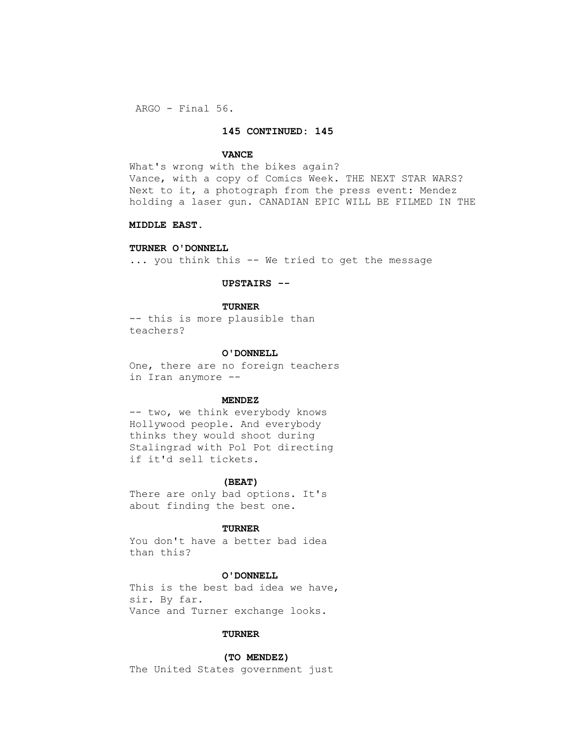ARGO - Final 56.

# **145 CONTINUED: 145**

### **VANCE**

What's wrong with the bikes again? Vance, with a copy of Comics Week. THE NEXT STAR WARS? Next to it, a photograph from the press event: Mendez holding a laser gun. CANADIAN EPIC WILL BE FILMED IN THE

# **MIDDLE EAST.**

# **TURNER O'DONNELL**

... you think this -- We tried to get the message

# **UPSTAIRS --**

### **TURNER**

 -- this is more plausible than teachers?

#### **O'DONNELL**

 One, there are no foreign teachers in Iran anymore --

### **MENDEZ**

-- two, we think everybody knows Hollywood people. And everybody thinks they would shoot during Stalingrad with Pol Pot directing if it'd sell tickets.

#### **(BEAT)**

 There are only bad options. It's about finding the best one.

# **TURNER**

 You don't have a better bad idea than this?

# **O'DONNELL**

 This is the best bad idea we have, sir. By far. Vance and Turner exchange looks.

# **TURNER**

# **(TO MENDEZ)**

The United States government just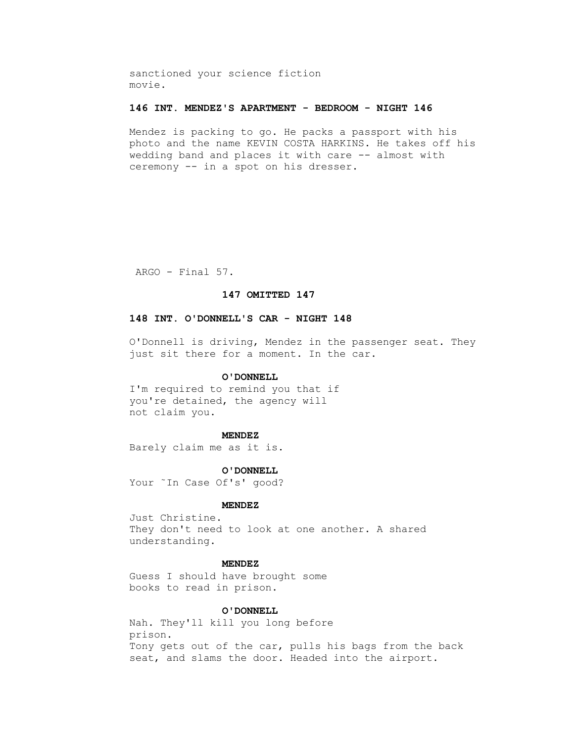sanctioned your science fiction movie.

# **146 INT. MENDEZ'S APARTMENT - BEDROOM - NIGHT 146**

 Mendez is packing to go. He packs a passport with his photo and the name KEVIN COSTA HARKINS. He takes off his wedding band and places it with care -- almost with ceremony -- in a spot on his dresser.

ARGO - Final 57.

# **147 OMITTED 147**

# **148 INT. O'DONNELL'S CAR - NIGHT 148**

 O'Donnell is driving, Mendez in the passenger seat. They just sit there for a moment. In the car.

# **O'DONNELL**

 I'm required to remind you that if you're detained, the agency will not claim you.

#### **MENDEZ**

Barely claim me as it is.

 **O'DONNELL** Your ˜In Case Of's' good?

#### **MENDEZ**

 Just Christine. They don't need to look at one another. A shared understanding.

# **MENDEZ**

 Guess I should have brought some books to read in prison.

# **O'DONNELL**

 Nah. They'll kill you long before prison. Tony gets out of the car, pulls his bags from the back seat, and slams the door. Headed into the airport.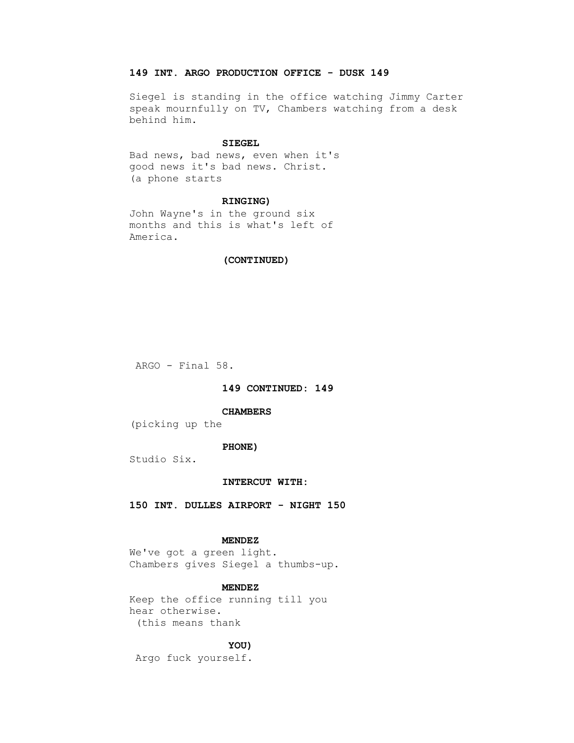# **149 INT. ARGO PRODUCTION OFFICE - DUSK 149**

 Siegel is standing in the office watching Jimmy Carter speak mournfully on TV, Chambers watching from a desk behind him.

### **SIEGEL**

 Bad news, bad news, even when it's good news it's bad news. Christ. (a phone starts

# **RINGING)**

 John Wayne's in the ground six months and this is what's left of America.

### **(CONTINUED)**

ARGO - Final 58.

# **149 CONTINUED: 149**

# **CHAMBERS**

(picking up the

# **PHONE)**

Studio Six.

# **INTERCUT WITH:**

 **150 INT. DULLES AIRPORT - NIGHT 150**

### **MENDEZ**

 We've got a green light. Chambers gives Siegel a thumbs-up.

### **MENDEZ**

 Keep the office running till you hear otherwise. (this means thank

### **YOU)**

Argo fuck yourself.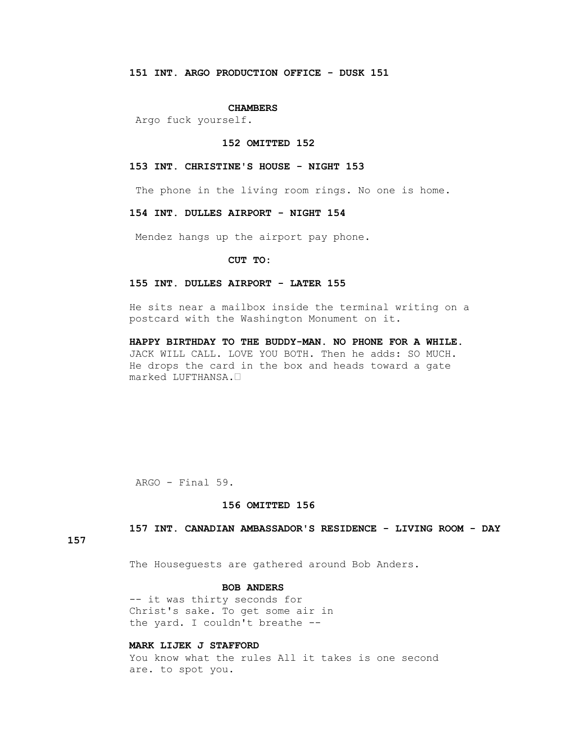### **CHAMBERS**

Argo fuck yourself.

#### **152 OMITTED 152**

# **153 INT. CHRISTINE'S HOUSE - NIGHT 153**

The phone in the living room rings. No one is home.

### **154 INT. DULLES AIRPORT - NIGHT 154**

Mendez hangs up the airport pay phone.

### **CUT TO:**

# **155 INT. DULLES AIRPORT - LATER 155**

 He sits near a mailbox inside the terminal writing on a postcard with the Washington Monument on it.

 **HAPPY BIRTHDAY TO THE BUDDY-MAN. NO PHONE FOR A WHILE.** JACK WILL CALL. LOVE YOU BOTH. Then he adds: SO MUCH. He drops the card in the box and heads toward a gate marked LUFTHANSA.•

ARGO - Final 59.

# **156 OMITTED 156**

 **157 INT. CANADIAN AMBASSADOR'S RESIDENCE - LIVING ROOM - DAY** 

**157**

The Houseguests are gathered around Bob Anders.

# **BOB ANDERS**

 -- it was thirty seconds for Christ's sake. To get some air in the yard. I couldn't breathe --

# **MARK LIJEK J STAFFORD**

 You know what the rules All it takes is one second are. to spot you.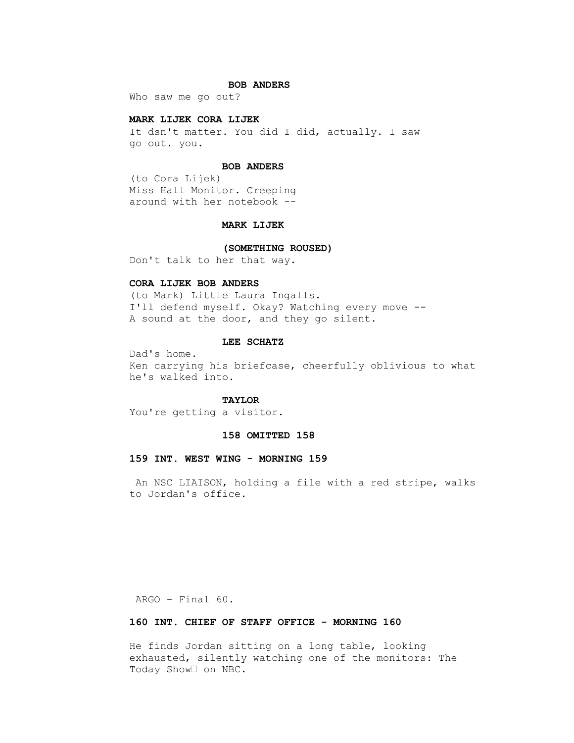### **BOB ANDERS**

Who saw me go out?

# **MARK LIJEK CORA LIJEK**

 It dsn't matter. You did I did, actually. I saw go out. you.

# **BOB ANDERS**

 (to Cora Lijek) Miss Hall Monitor. Creeping around with her notebook --

# **MARK LIJEK**

# **(SOMETHING ROUSED)**

Don't talk to her that way.

# **CORA LIJEK BOB ANDERS**

 (to Mark) Little Laura Ingalls. I'll defend myself. Okay? Watching every move -- A sound at the door, and they go silent.

### **LEE SCHATZ**

 Dad's home. Ken carrying his briefcase, cheerfully oblivious to what he's walked into.

# **TAYLOR**

You're getting a visitor.

### **158 OMITTED 158**

# **159 INT. WEST WING - MORNING 159**

 An NSC LIAISON, holding a file with a red stripe, walks to Jordan's office.

ARGO - Final 60.

# **160 INT. CHIEF OF STAFF OFFICE - MORNING 160**

 He finds Jordan sitting on a long table, looking exhausted, silently watching one of the monitors: The Today Show• on NBC.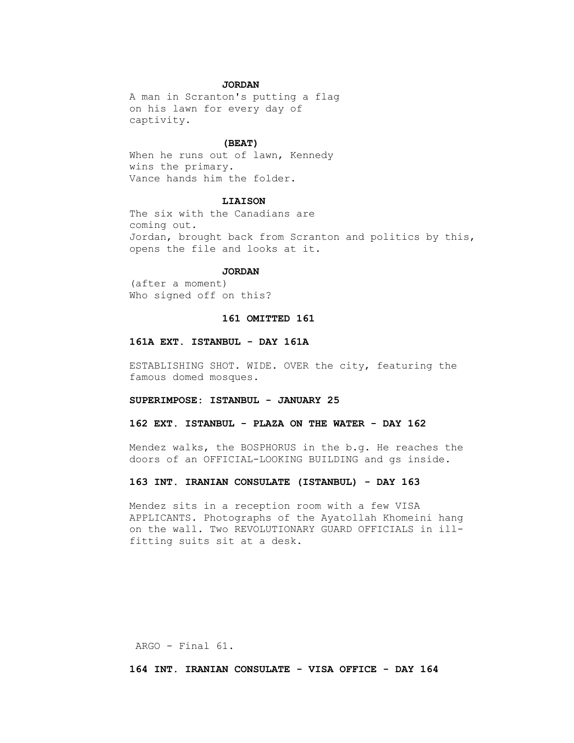# **JORDAN**

 A man in Scranton's putting a flag on his lawn for every day of captivity.

# **(BEAT)**

 When he runs out of lawn, Kennedy wins the primary. Vance hands him the folder.

# **LIAISON**

 The six with the Canadians are coming out. Jordan, brought back from Scranton and politics by this, opens the file and looks at it.

### **JORDAN**

 (after a moment) Who signed off on this?

# **161 OMITTED 161**

# **161A EXT. ISTANBUL - DAY 161A**

 ESTABLISHING SHOT. WIDE. OVER the city, featuring the famous domed mosques.

# **SUPERIMPOSE: ISTANBUL - JANUARY 25**

# **162 EXT. ISTANBUL - PLAZA ON THE WATER - DAY 162**

 Mendez walks, the BOSPHORUS in the b.g. He reaches the doors of an OFFICIAL-LOOKING BUILDING and gs inside.

### **163 INT. IRANIAN CONSULATE (ISTANBUL) - DAY 163**

 Mendez sits in a reception room with a few VISA APPLICANTS. Photographs of the Ayatollah Khomeini hang on the wall. Two REVOLUTIONARY GUARD OFFICIALS in ill fitting suits sit at a desk.

ARGO - Final 61.

 **164 INT. IRANIAN CONSULATE - VISA OFFICE - DAY 164**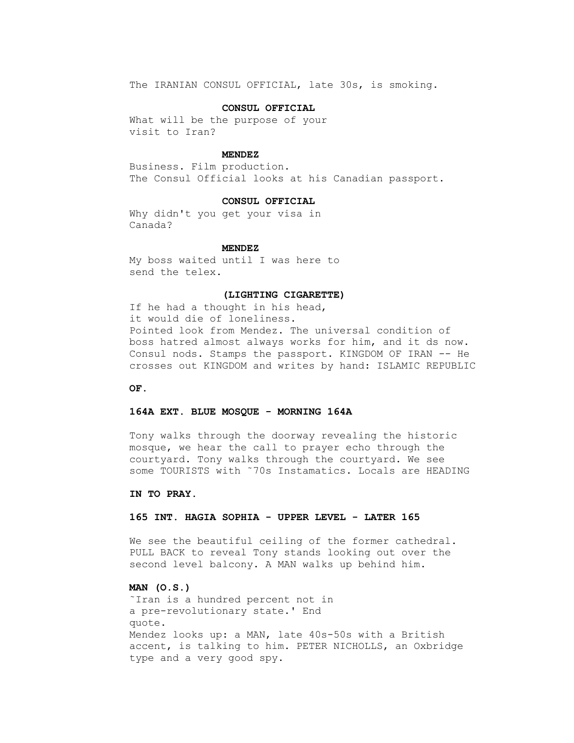The IRANIAN CONSUL OFFICIAL, late 30s, is smoking.

## **CONSUL OFFICIAL**

 What will be the purpose of your visit to Iran?

## **MENDEZ**

 Business. Film production. The Consul Official looks at his Canadian passport.

#### **CONSUL OFFICIAL**

 Why didn't you get your visa in Canada?

#### **MENDEZ**

 My boss waited until I was here to send the telex.

#### **(LIGHTING CIGARETTE)**

 If he had a thought in his head, it would die of loneliness. Pointed look from Mendez. The universal condition of boss hatred almost always works for him, and it ds now. Consul nods. Stamps the passport. KINGDOM OF IRAN -- He crosses out KINGDOM and writes by hand: ISLAMIC REPUBLIC

 **OF.**

## **164A EXT. BLUE MOSQUE - MORNING 164A**

 Tony walks through the doorway revealing the historic mosque, we hear the call to prayer echo through the courtyard. Tony walks through the courtyard. We see some TOURISTS with ˜70s Instamatics. Locals are HEADING

#### **IN TO PRAY.**

## **165 INT. HAGIA SOPHIA - UPPER LEVEL - LATER 165**

 We see the beautiful ceiling of the former cathedral. PULL BACK to reveal Tony stands looking out over the second level balcony. A MAN walks up behind him.

## **MAN (O.S.)**

 ˜Iran is a hundred percent not in a pre-revolutionary state.' End quote. Mendez looks up: a MAN, late 40s-50s with a British accent, is talking to him. PETER NICHOLLS, an Oxbridge type and a very good spy.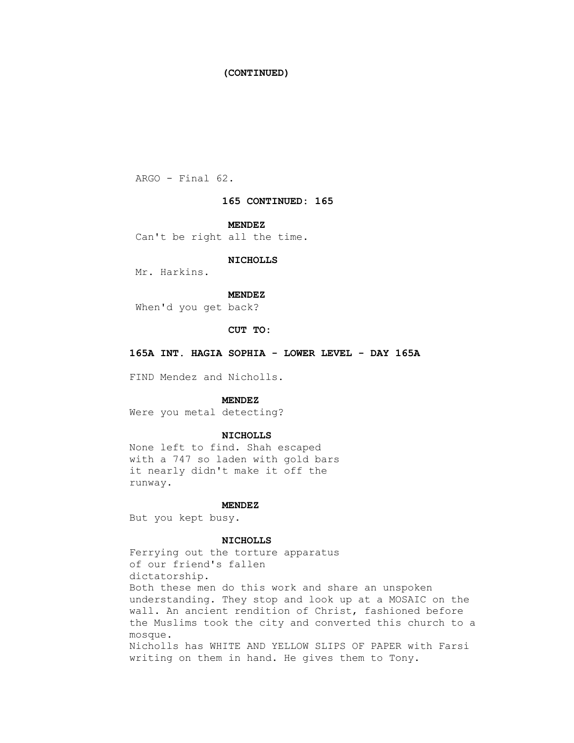## **(CONTINUED)**

ARGO - Final 62.

## **165 CONTINUED: 165**

 **MENDEZ**

Can't be right all the time.

#### **NICHOLLS**

Mr. Harkins.

## **MENDEZ**

When'd you get back?

#### **CUT TO:**

 **165A INT. HAGIA SOPHIA - LOWER LEVEL - DAY 165A**

FIND Mendez and Nicholls.

## **MENDEZ**

Were you metal detecting?

#### **NICHOLLS**

 None left to find. Shah escaped with a 747 so laden with gold bars it nearly didn't make it off the runway.

#### **MENDEZ**

But you kept busy.

#### **NICHOLLS**

 Ferrying out the torture apparatus of our friend's fallen dictatorship. Both these men do this work and share an unspoken understanding. They stop and look up at a MOSAIC on the wall. An ancient rendition of Christ, fashioned before the Muslims took the city and converted this church to a mosque. Nicholls has WHITE AND YELLOW SLIPS OF PAPER with Farsi writing on them in hand. He gives them to Tony.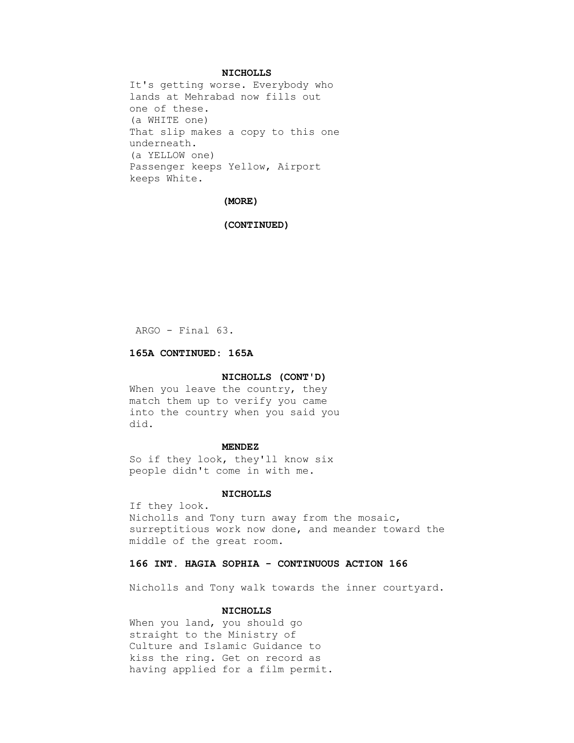## **NICHOLLS**

 It's getting worse. Everybody who lands at Mehrabad now fills out one of these. (a WHITE one) That slip makes a copy to this one underneath. (a YELLOW one) Passenger keeps Yellow, Airport keeps White.

## **(MORE)**

#### **(CONTINUED)**

ARGO - Final 63.

## **165A CONTINUED: 165A**

## **NICHOLLS (CONT'D)**

When you leave the country, they match them up to verify you came into the country when you said you did.

#### **MENDEZ**

 So if they look, they'll know six people didn't come in with me.

#### **NICHOLLS**

 If they look. Nicholls and Tony turn away from the mosaic, surreptitious work now done, and meander toward the middle of the great room.

## **166 INT. HAGIA SOPHIA - CONTINUOUS ACTION 166**

Nicholls and Tony walk towards the inner courtyard.

## **NICHOLLS**

 When you land, you should go straight to the Ministry of Culture and Islamic Guidance to kiss the ring. Get on record as having applied for a film permit.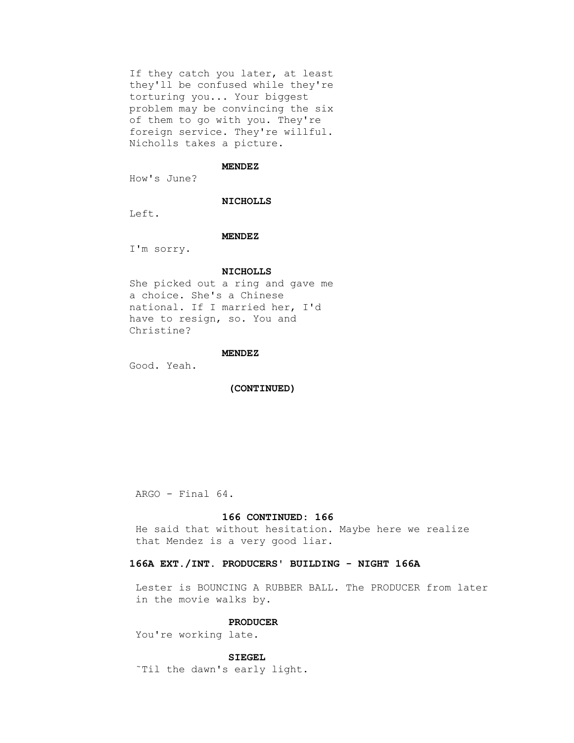If they catch you later, at least they'll be confused while they're torturing you... Your biggest problem may be convincing the six of them to go with you. They're foreign service. They're willful. Nicholls takes a picture.

#### **MENDEZ**

How's June?

## **NICHOLLS**

Left.

#### **MENDEZ**

I'm sorry.

#### **NICHOLLS**

 She picked out a ring and gave me a choice. She's a Chinese national. If I married her, I'd have to resign, so. You and Christine?

#### **MENDEZ**

Good. Yeah.

 **(CONTINUED)**

ARGO - Final 64.

#### **166 CONTINUED: 166**

 He said that without hesitation. Maybe here we realize that Mendez is a very good liar.

## **166A EXT./INT. PRODUCERS' BUILDING - NIGHT 166A**

 Lester is BOUNCING A RUBBER BALL. The PRODUCER from later in the movie walks by.

## **PRODUCER**

You're working late.

## **SIEGEL**

˜Til the dawn's early light.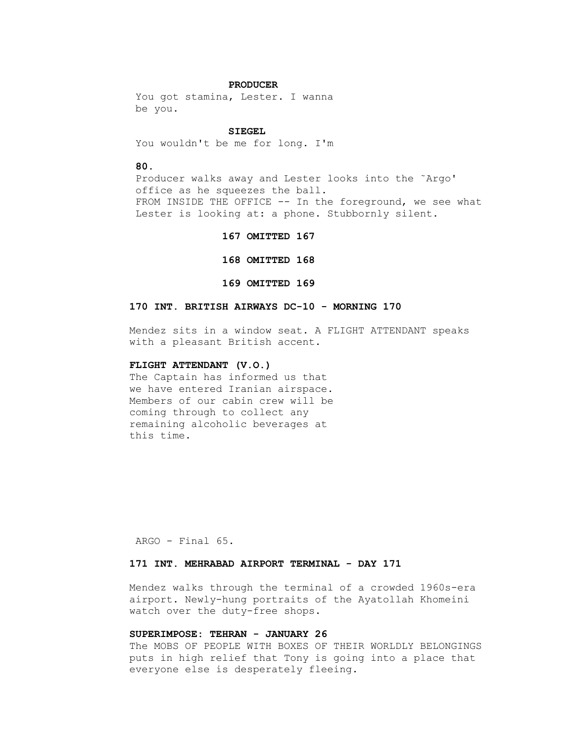#### **PRODUCER**

You got stamina, Lester. I wanna be you.

#### **SIEGEL**

You wouldn't be me for long. I'm

## **80.**

 Producer walks away and Lester looks into the ˜Argo' office as he squeezes the ball. FROM INSIDE THE OFFICE -- In the foreground, we see what Lester is looking at: a phone. Stubbornly silent.

#### **167 OMITTED 167**

 **168 OMITTED 168** 

#### **169 OMITTED 169**

#### **170 INT. BRITISH AIRWAYS DC-10 - MORNING 170**

 Mendez sits in a window seat. A FLIGHT ATTENDANT speaks with a pleasant British accent.

## **FLIGHT ATTENDANT (V.O.)**

 The Captain has informed us that we have entered Iranian airspace. Members of our cabin crew will be coming through to collect any remaining alcoholic beverages at this time.

ARGO - Final 65.

## **171 INT. MEHRABAD AIRPORT TERMINAL - DAY 171**

 Mendez walks through the terminal of a crowded 1960s-era airport. Newly-hung portraits of the Ayatollah Khomeini watch over the duty-free shops.

## **SUPERIMPOSE: TEHRAN - JANUARY 26**

 The MOBS OF PEOPLE WITH BOXES OF THEIR WORLDLY BELONGINGS puts in high relief that Tony is going into a place that everyone else is desperately fleeing.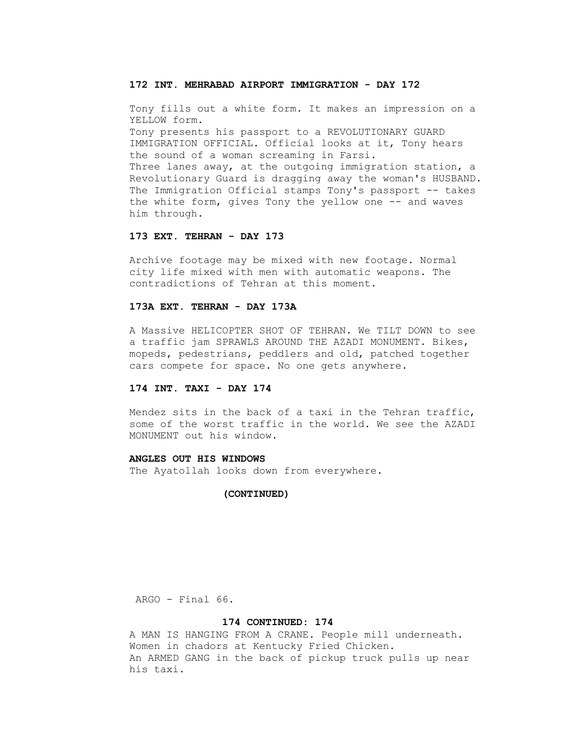## **172 INT. MEHRABAD AIRPORT IMMIGRATION - DAY 172**

 Tony fills out a white form. It makes an impression on a YELLOW form. Tony presents his passport to a REVOLUTIONARY GUARD IMMIGRATION OFFICIAL. Official looks at it, Tony hears the sound of a woman screaming in Farsi. Three lanes away, at the outgoing immigration station, a Revolutionary Guard is dragging away the woman's HUSBAND. The Immigration Official stamps Tony's passport -- takes the white form, gives Tony the yellow one -- and waves him through.

## **173 EXT. TEHRAN - DAY 173**

 Archive footage may be mixed with new footage. Normal city life mixed with men with automatic weapons. The contradictions of Tehran at this moment.

## **173A EXT. TEHRAN - DAY 173A**

 A Massive HELICOPTER SHOT OF TEHRAN. We TILT DOWN to see a traffic jam SPRAWLS AROUND THE AZADI MONUMENT. Bikes, mopeds, pedestrians, peddlers and old, patched together cars compete for space. No one gets anywhere.

## **174 INT. TAXI - DAY 174**

 Mendez sits in the back of a taxi in the Tehran traffic, some of the worst traffic in the world. We see the AZADI MONUMENT out his window.

#### **ANGLES OUT HIS WINDOWS**

The Ayatollah looks down from everywhere.

#### **(CONTINUED)**

ARGO - Final 66.

#### **174 CONTINUED: 174**

 A MAN IS HANGING FROM A CRANE. People mill underneath. Women in chadors at Kentucky Fried Chicken. An ARMED GANG in the back of pickup truck pulls up near his taxi.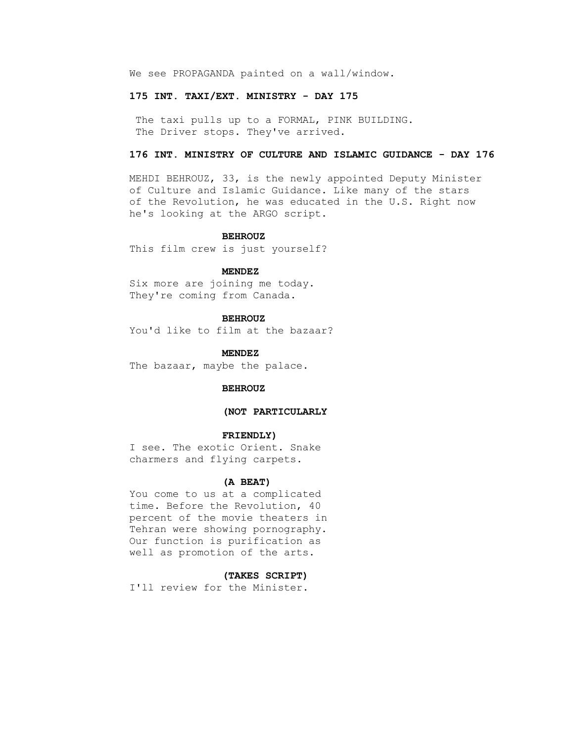We see PROPAGANDA painted on a wall/window.

#### **175 INT. TAXI/EXT. MINISTRY - DAY 175**

The taxi pulls up to a FORMAL, PINK BUILDING. The Driver stops. They've arrived.

## **176 INT. MINISTRY OF CULTURE AND ISLAMIC GUIDANCE - DAY 176**

 MEHDI BEHROUZ, 33, is the newly appointed Deputy Minister of Culture and Islamic Guidance. Like many of the stars of the Revolution, he was educated in the U.S. Right now he's looking at the ARGO script.

#### **BEHROUZ**

This film crew is just yourself?

## **MENDEZ**

 Six more are joining me today. They're coming from Canada.

## **BEHROUZ**

You'd like to film at the bazaar?

 **MENDEZ** The bazaar, maybe the palace.

#### **BEHROUZ**

## **(NOT PARTICULARLY**

#### **FRIENDLY)**

 I see. The exotic Orient. Snake charmers and flying carpets.

#### **(A BEAT)**

 You come to us at a complicated time. Before the Revolution, 40 percent of the movie theaters in Tehran were showing pornography. Our function is purification as well as promotion of the arts.

#### **(TAKES SCRIPT)**

I'll review for the Minister.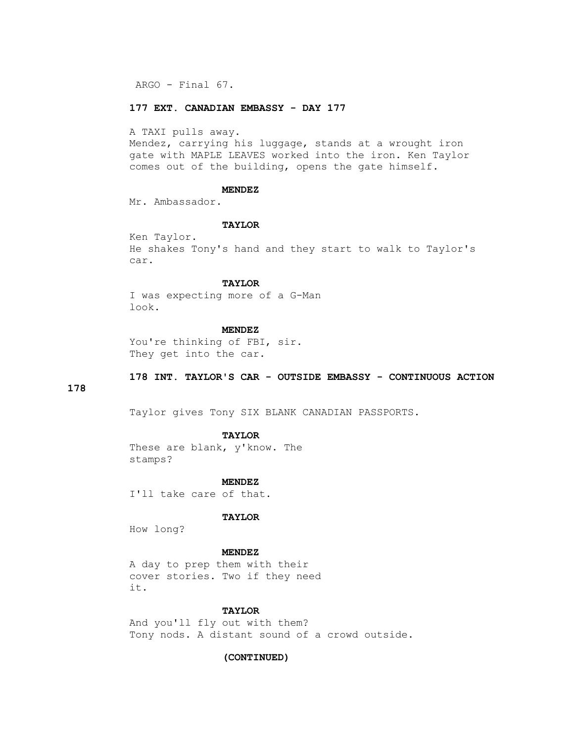ARGO - Final 67.

## **177 EXT. CANADIAN EMBASSY - DAY 177**

A TAXI pulls away.

 Mendez, carrying his luggage, stands at a wrought iron gate with MAPLE LEAVES worked into the iron. Ken Taylor comes out of the building, opens the gate himself.

#### **MENDEZ**

Mr. Ambassador.

#### **TAYLOR**

 Ken Taylor. He shakes Tony's hand and they start to walk to Taylor's car.

## **TAYLOR**

 I was expecting more of a G-Man look.

## **MENDEZ**

You're thinking of FBI, sir. They get into the car.

## **178 INT. TAYLOR'S CAR - OUTSIDE EMBASSY - CONTINUOUS ACTION**

## **178**

Taylor gives Tony SIX BLANK CANADIAN PASSPORTS.

## **TAYLOR**

 These are blank, y'know. The stamps?

 **MENDEZ**

I'll take care of that.

## **TAYLOR**

How long?

 **MENDEZ**

 A day to prep them with their cover stories. Two if they need it.

## **TAYLOR**

 And you'll fly out with them? Tony nods. A distant sound of a crowd outside.

## **(CONTINUED)**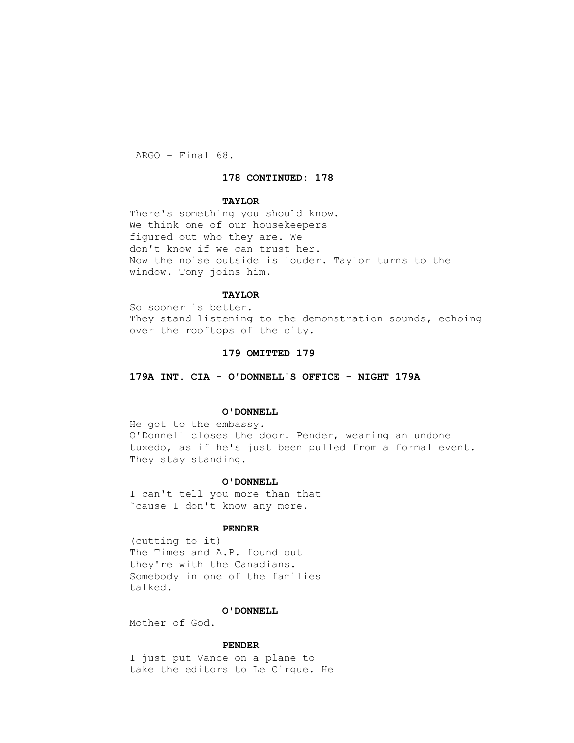ARGO - Final 68.

#### **178 CONTINUED: 178**

## **TAYLOR**

 There's something you should know. We think one of our housekeepers figured out who they are. We don't know if we can trust her. Now the noise outside is louder. Taylor turns to the window. Tony joins him.

## **TAYLOR**

 So sooner is better. They stand listening to the demonstration sounds, echoing over the rooftops of the city.

## **179 OMITTED 179**

 **179A INT. CIA - O'DONNELL'S OFFICE - NIGHT 179A**

#### **O'DONNELL**

 He got to the embassy. O'Donnell closes the door. Pender, wearing an undone tuxedo, as if he's just been pulled from a formal event. They stay standing.

#### **O'DONNELL**

 I can't tell you more than that ˜cause I don't know any more.

#### **PENDER**

 (cutting to it) The Times and A.P. found out they're with the Canadians. Somebody in one of the families talked.

## **O'DONNELL**

Mother of God.

## **PENDER**

 I just put Vance on a plane to take the editors to Le Cirque. He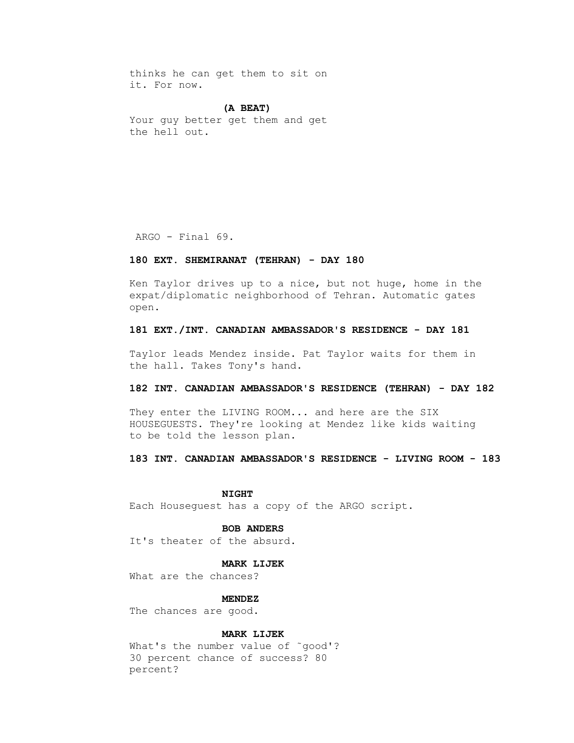thinks he can get them to sit on it. For now.

## **(A BEAT)**

 Your guy better get them and get the hell out.

ARGO - Final 69.

## **180 EXT. SHEMIRANAT (TEHRAN) - DAY 180**

 Ken Taylor drives up to a nice, but not huge, home in the expat/diplomatic neighborhood of Tehran. Automatic gates open.

## **181 EXT./INT. CANADIAN AMBASSADOR'S RESIDENCE - DAY 181**

 Taylor leads Mendez inside. Pat Taylor waits for them in the hall. Takes Tony's hand.

#### **182 INT. CANADIAN AMBASSADOR'S RESIDENCE (TEHRAN) - DAY 182**

 They enter the LIVING ROOM... and here are the SIX HOUSEGUESTS. They're looking at Mendez like kids waiting to be told the lesson plan.

#### **183 INT. CANADIAN AMBASSADOR'S RESIDENCE - LIVING ROOM - 183**

 **NIGHT**

Each Houseguest has a copy of the ARGO script.

#### **BOB ANDERS**

It's theater of the absurd.

#### **MARK LIJEK**

What are the chances?

 **MENDEZ**

The chances are good.

## **MARK LIJEK**

What's the number value of ~good'? 30 percent chance of success? 80 percent?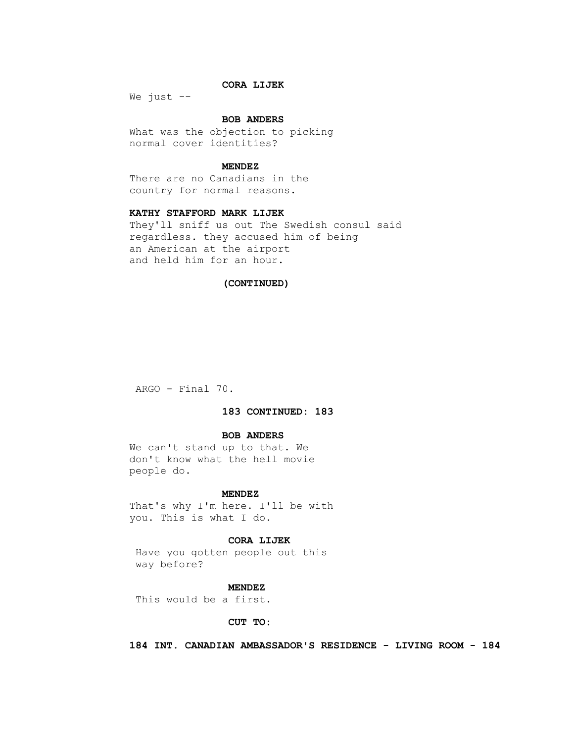## **CORA LIJEK**

We just  $--$ 

## **BOB ANDERS**

 What was the objection to picking normal cover identities?

#### **MENDEZ**

 There are no Canadians in the country for normal reasons.

## **KATHY STAFFORD MARK LIJEK**

 They'll sniff us out The Swedish consul said regardless. they accused him of being an American at the airport and held him for an hour.

## **(CONTINUED)**

ARGO - Final 70.

## **183 CONTINUED: 183**

#### **BOB ANDERS**

 We can't stand up to that. We don't know what the hell movie people do.

#### **MENDEZ**

 That's why I'm here. I'll be with you. This is what I do.

#### **CORA LIJEK**

 Have you gotten people out this way before?

#### **MENDEZ**

This would be a first.

## **CUT TO:**

 **184 INT. CANADIAN AMBASSADOR'S RESIDENCE - LIVING ROOM - 184**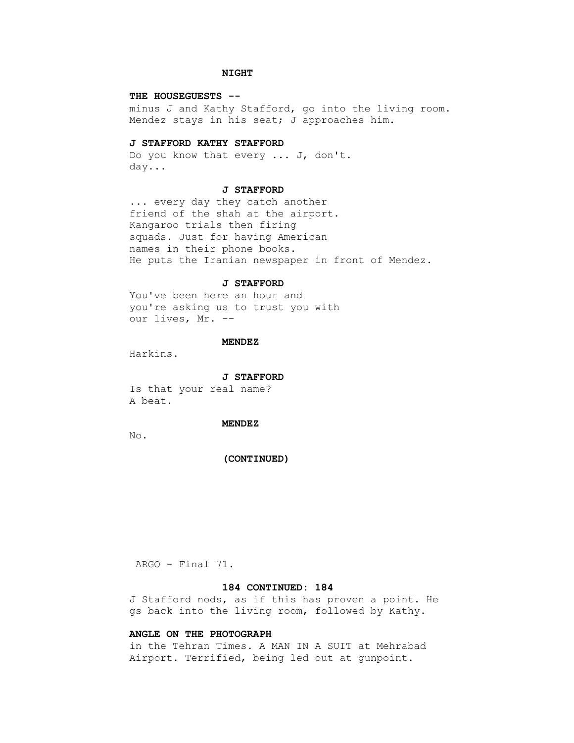## **NIGHT**

## **THE HOUSEGUESTS --**

 minus J and Kathy Stafford, go into the living room. Mendez stays in his seat; J approaches him.

#### **J STAFFORD KATHY STAFFORD**

 Do you know that every ... J, don't. day...

#### **J STAFFORD**

 ... every day they catch another friend of the shah at the airport. Kangaroo trials then firing squads. Just for having American names in their phone books. He puts the Iranian newspaper in front of Mendez.

#### **J STAFFORD**

 You've been here an hour and you're asking us to trust you with our lives, Mr. --

#### **MENDEZ**

Harkins.

## **J STAFFORD**

 Is that your real name? A beat.

#### **MENDEZ**

No.

#### **(CONTINUED)**

ARGO - Final 71.

#### **184 CONTINUED: 184**

 J Stafford nods, as if this has proven a point. He gs back into the living room, followed by Kathy.

## **ANGLE ON THE PHOTOGRAPH**

 in the Tehran Times. A MAN IN A SUIT at Mehrabad Airport. Terrified, being led out at gunpoint.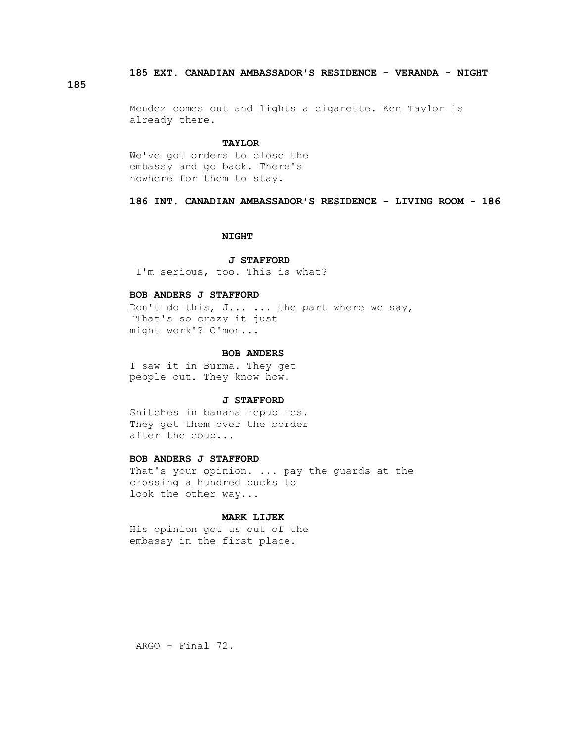## **185 EXT. CANADIAN AMBASSADOR'S RESIDENCE - VERANDA - NIGHT**

## **185**

 Mendez comes out and lights a cigarette. Ken Taylor is already there.

#### **TAYLOR**

 We've got orders to close the embassy and go back. There's nowhere for them to stay.

## **186 INT. CANADIAN AMBASSADOR'S RESIDENCE - LIVING ROOM - 186**

#### **NIGHT**

#### **J STAFFORD**

I'm serious, too. This is what?

#### **BOB ANDERS J STAFFORD**

 Don't do this, J... ... the part where we say, ˜That's so crazy it just might work'? C'mon...

#### **BOB ANDERS**

 I saw it in Burma. They get people out. They know how.

#### **J STAFFORD**

 Snitches in banana republics. They get them over the border after the coup...

## **BOB ANDERS J STAFFORD**

 That's your opinion. ... pay the guards at the crossing a hundred bucks to look the other way...

#### **MARK LIJEK**

 His opinion got us out of the embassy in the first place.

ARGO - Final 72.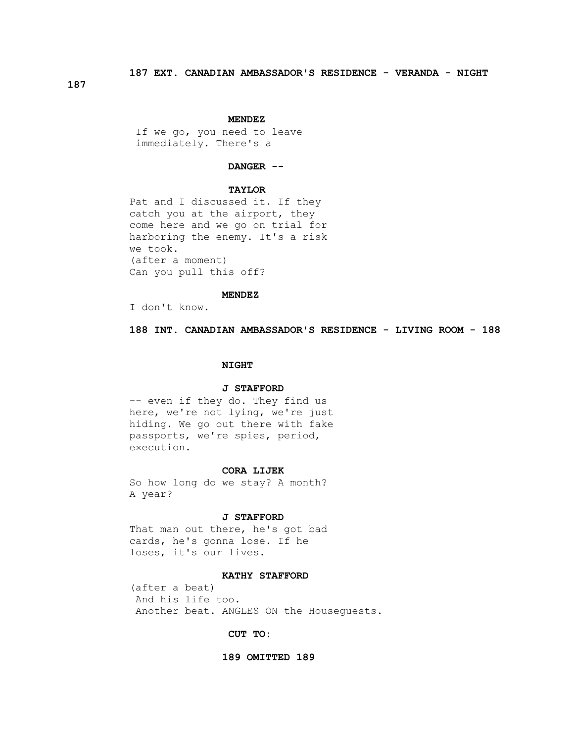**187**

#### **MENDEZ**

 If we go, you need to leave immediately. There's a

## **DANGER --**

## **TAYLOR**

 Pat and I discussed it. If they catch you at the airport, they come here and we go on trial for harboring the enemy. It's a risk we took. (after a moment) Can you pull this off?

## **MENDEZ**

I don't know.

 **188 INT. CANADIAN AMBASSADOR'S RESIDENCE - LIVING ROOM - 188**

#### **NIGHT**

#### **J STAFFORD**

 -- even if they do. They find us here, we're not lying, we're just hiding. We go out there with fake passports, we're spies, period, execution.

#### **CORA LIJEK**

 So how long do we stay? A month? A year?

#### **J STAFFORD**

 That man out there, he's got bad cards, he's gonna lose. If he loses, it's our lives.

#### **KATHY STAFFORD**

 (after a beat) And his life too. Another beat. ANGLES ON the Houseguests.

 **CUT TO:** 

#### **189 OMITTED 189**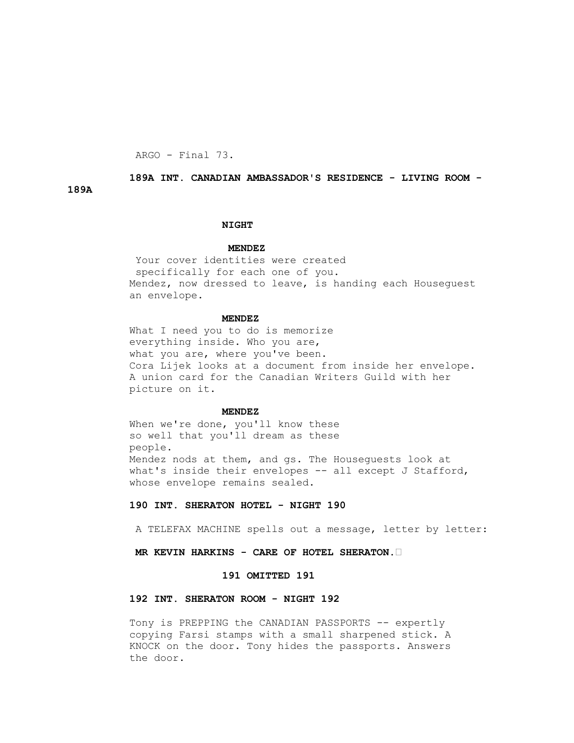ARGO - Final 73.

## **189A INT. CANADIAN AMBASSADOR'S RESIDENCE - LIVING ROOM -**

**189A** 

#### **NIGHT**

#### **MENDEZ**

 Your cover identities were created specifically for each one of you. Mendez, now dressed to leave, is handing each Houseguest an envelope.

## **MENDEZ**

What I need you to do is memorize everything inside. Who you are, what you are, where you've been. Cora Lijek looks at a document from inside her envelope. A union card for the Canadian Writers Guild with her picture on it.

#### **MENDEZ**

When we're done, you'll know these so well that you'll dream as these people. Mendez nods at them, and gs. The Houseguests look at what's inside their envelopes -- all except J Stafford, whose envelope remains sealed.

## **190 INT. SHERATON HOTEL - NIGHT 190**

A TELEFAX MACHINE spells out a message, letter by letter:

## **MR KEVIN HARKINS - CARE OF HOTEL SHERATON.•**

#### **191 OMITTED 191**

## **192 INT. SHERATON ROOM - NIGHT 192**

Tony is PREPPING the CANADIAN PASSPORTS -- expertly copying Farsi stamps with a small sharpened stick. A KNOCK on the door. Tony hides the passports. Answers the door.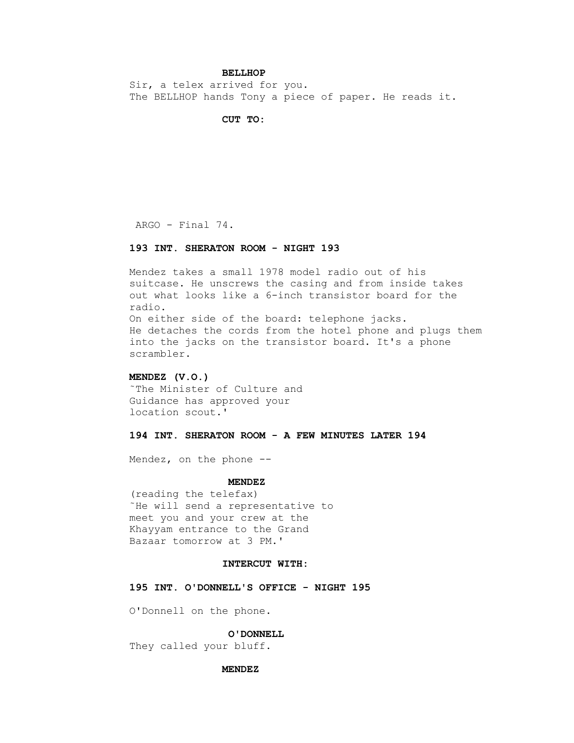## **BELLHOP**

 Sir, a telex arrived for you. The BELLHOP hands Tony a piece of paper. He reads it.

## **CUT TO:**

ARGO - Final 74.

## **193 INT. SHERATON ROOM - NIGHT 193**

 Mendez takes a small 1978 model radio out of his suitcase. He unscrews the casing and from inside takes out what looks like a 6-inch transistor board for the radio. On either side of the board: telephone jacks. He detaches the cords from the hotel phone and plugs them into the jacks on the transistor board. It's a phone scrambler.

## **MENDEZ (V.O.)**

 ˜The Minister of Culture and Guidance has approved your location scout.'

#### **194 INT. SHERATON ROOM - A FEW MINUTES LATER 194**

Mendez, on the phone --

#### **MENDEZ**

 (reading the telefax) ˜He will send a representative to meet you and your crew at the Khayyam entrance to the Grand Bazaar tomorrow at 3 PM.'

#### **INTERCUT WITH:**

 **195 INT. O'DONNELL'S OFFICE - NIGHT 195**

O'Donnell on the phone.

#### **O'DONNELL**

They called your bluff.

#### **MENDEZ**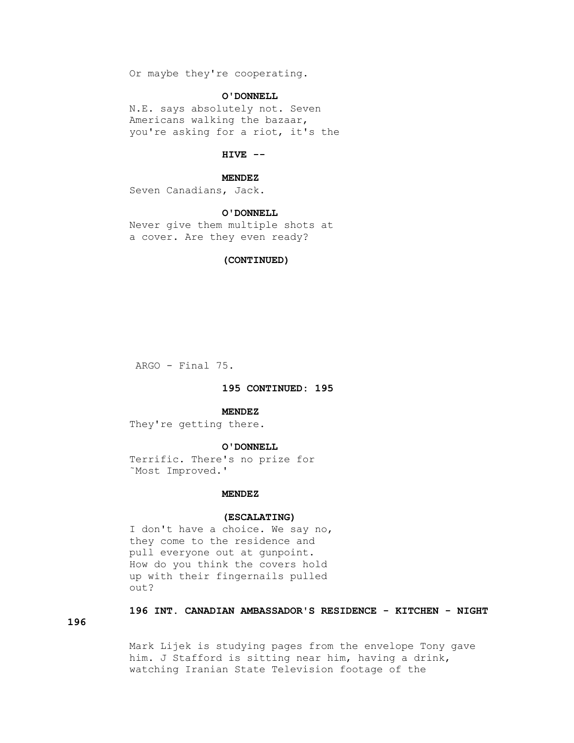Or maybe they're cooperating.

## **O'DONNELL**

 N.E. says absolutely not. Seven Americans walking the bazaar, you're asking for a riot, it's the

## **HIVE --**

#### **MENDEZ**

Seven Canadians, Jack.

#### **O'DONNELL**

 Never give them multiple shots at a cover. Are they even ready?

## **(CONTINUED)**

ARGO - Final 75.

## **195 CONTINUED: 195**

#### **MENDEZ**

They're getting there.

#### **O'DONNELL**

 Terrific. There's no prize for ˜Most Improved.'

#### **MENDEZ**

#### **(ESCALATING)**

 I don't have a choice. We say no, they come to the residence and pull everyone out at gunpoint. How do you think the covers hold up with their fingernails pulled out?

## **196 INT. CANADIAN AMBASSADOR'S RESIDENCE - KITCHEN - NIGHT**

**196**

 Mark Lijek is studying pages from the envelope Tony gave him. J Stafford is sitting near him, having a drink, watching Iranian State Television footage of the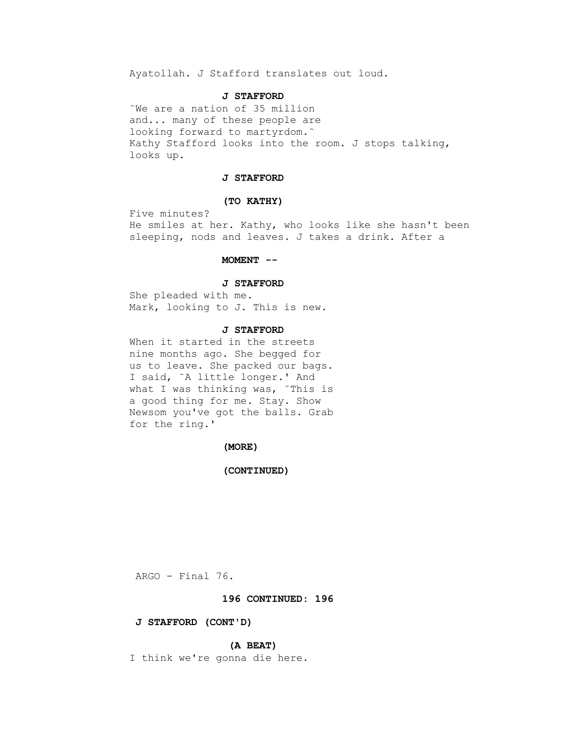Ayatollah. J Stafford translates out loud.

#### **J STAFFORD**

 ˜We are a nation of 35 million and... many of these people are looking forward to martyrdom.˜ Kathy Stafford looks into the room. J stops talking, looks up.

#### **J STAFFORD**

## **(TO KATHY)**

 Five minutes? He smiles at her. Kathy, who looks like she hasn't been sleeping, nods and leaves. J takes a drink. After a

#### **MOMENT --**

#### **J STAFFORD**

 She pleaded with me. Mark, looking to J. This is new.

#### **J STAFFORD**

 When it started in the streets nine months ago. She begged for us to leave. She packed our bags. I said, ˜A little longer.' And what I was thinking was, ~This is a good thing for me. Stay. Show Newsom you've got the balls. Grab for the ring.'

#### **(MORE)**

## **(CONTINUED)**

ARGO - Final 76.

## **196 CONTINUED: 196**

#### **J STAFFORD (CONT'D)**

#### **(A BEAT)**

I think we're gonna die here.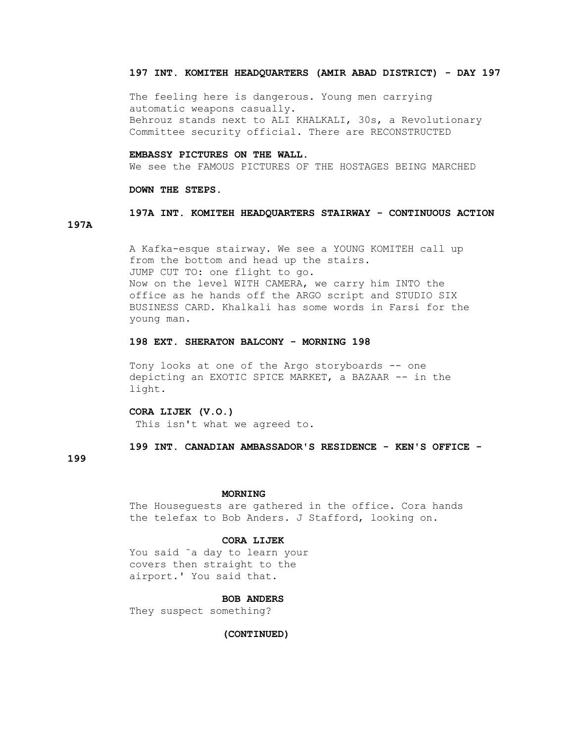## **197 INT. KOMITEH HEADQUARTERS (AMIR ABAD DISTRICT) - DAY 197**

 The feeling here is dangerous. Young men carrying automatic weapons casually. Behrouz stands next to ALI KHALKALI, 30s, a Revolutionary Committee security official. There are RECONSTRUCTED

## **EMBASSY PICTURES ON THE WALL.**

We see the FAMOUS PICTURES OF THE HOSTAGES BEING MARCHED

#### **DOWN THE STEPS.**

# **197A INT. KOMITEH HEADQUARTERS STAIRWAY - CONTINUOUS ACTION**

 A Kafka-esque stairway. We see a YOUNG KOMITEH call up from the bottom and head up the stairs. JUMP CUT TO: one flight to go. Now on the level WITH CAMERA, we carry him INTO the office as he hands off the ARGO script and STUDIO SIX BUSINESS CARD. Khalkali has some words in Farsi for the young man.

#### **198 EXT. SHERATON BALCONY - MORNING 198**

 Tony looks at one of the Argo storyboards -- one depicting an EXOTIC SPICE MARKET, a BAZAAR -- in the light.

# **CORA LIJEK (V.O.)**

This isn't what we agreed to.

# **199 INT. CANADIAN AMBASSADOR'S RESIDENCE - KEN'S OFFICE -**

## **199**

**197A**

#### **MORNING**

 The Houseguests are gathered in the office. Cora hands the telefax to Bob Anders. J Stafford, looking on.

#### **CORA LIJEK**

 You said ˜a day to learn your covers then straight to the airport.' You said that.

## **BOB ANDERS**

They suspect something?

## **(CONTINUED)**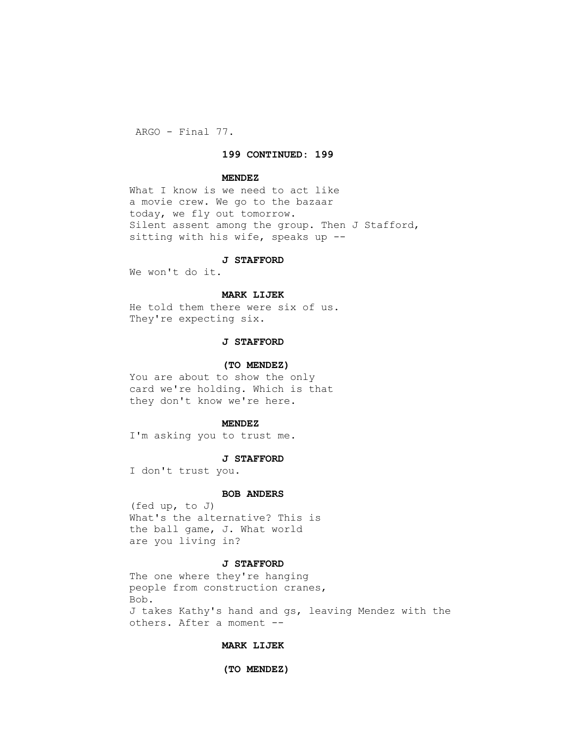ARGO - Final 77.

## **199 CONTINUED: 199**

#### **MENDEZ**

 What I know is we need to act like a movie crew. We go to the bazaar today, we fly out tomorrow. Silent assent among the group. Then J Stafford, sitting with his wife, speaks up --

#### **J STAFFORD**

We won't do it.

#### **MARK LIJEK**

 He told them there were six of us. They're expecting six.

## **J STAFFORD**

#### **(TO MENDEZ)**

 You are about to show the only card we're holding. Which is that they don't know we're here.

#### **MENDEZ**

I'm asking you to trust me.

#### **J STAFFORD**

I don't trust you.

#### **BOB ANDERS**

 (fed up, to J) What's the alternative? This is the ball game, J. What world are you living in?

#### **J STAFFORD**

 The one where they're hanging people from construction cranes, Bob. J takes Kathy's hand and gs, leaving Mendez with the others. After a moment --

## **MARK LIJEK**

#### **(TO MENDEZ)**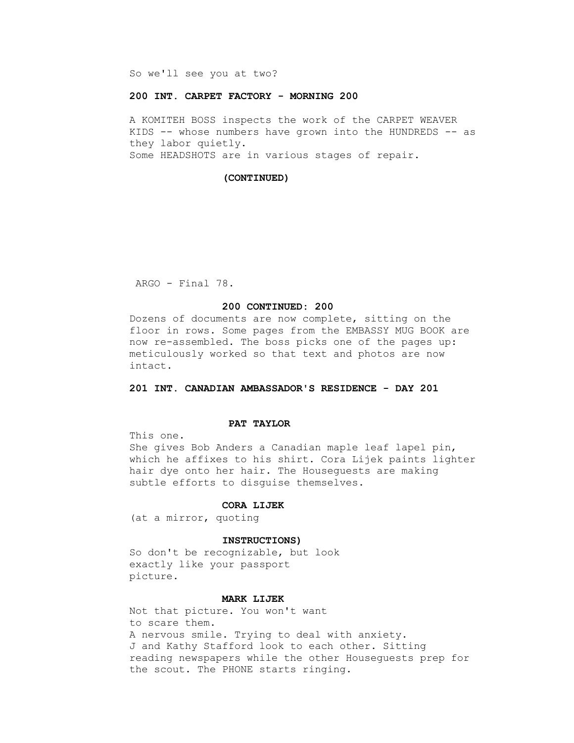So we'll see you at two?

#### **200 INT. CARPET FACTORY - MORNING 200**

 A KOMITEH BOSS inspects the work of the CARPET WEAVER KIDS -- whose numbers have grown into the HUNDREDS -- as they labor quietly. Some HEADSHOTS are in various stages of repair.

#### **(CONTINUED)**

ARGO - Final 78.

#### **200 CONTINUED: 200**

 Dozens of documents are now complete, sitting on the floor in rows. Some pages from the EMBASSY MUG BOOK are now re-assembled. The boss picks one of the pages up: meticulously worked so that text and photos are now intact.

 **201 INT. CANADIAN AMBASSADOR'S RESIDENCE - DAY 201**

#### **PAT TAYLOR**

This one.

 She gives Bob Anders a Canadian maple leaf lapel pin, which he affixes to his shirt. Cora Lijek paints lighter hair dye onto her hair. The Houseguests are making subtle efforts to disguise themselves.

#### **CORA LIJEK**

(at a mirror, quoting

#### **INSTRUCTIONS)**

 So don't be recognizable, but look exactly like your passport picture.

## **MARK LIJEK**

 Not that picture. You won't want to scare them. A nervous smile. Trying to deal with anxiety. J and Kathy Stafford look to each other. Sitting reading newspapers while the other Houseguests prep for the scout. The PHONE starts ringing.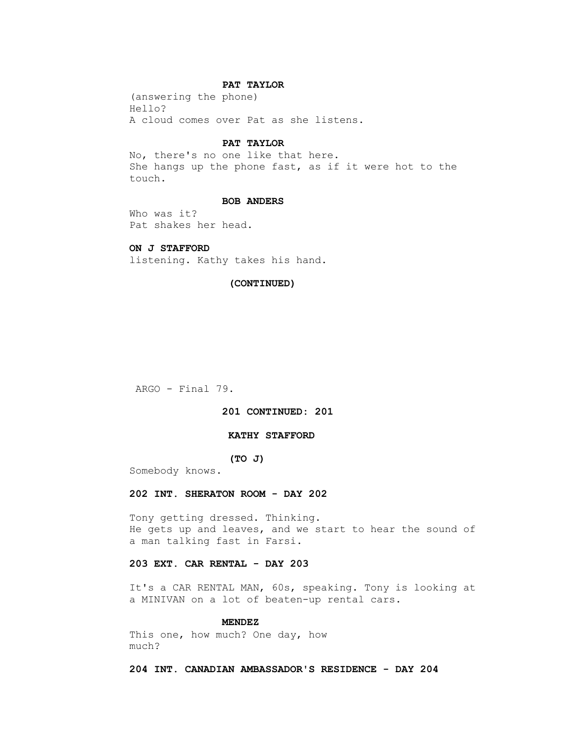## **PAT TAYLOR**

 (answering the phone) Hello? A cloud comes over Pat as she listens.

#### **PAT TAYLOR**

 No, there's no one like that here. She hangs up the phone fast, as if it were hot to the touch.

#### **BOB ANDERS**

 Who was it? Pat shakes her head.

## **ON J STAFFORD**

listening. Kathy takes his hand.

## **(CONTINUED)**

ARGO - Final 79.

#### **201 CONTINUED: 201**

#### **KATHY STAFFORD**

## **(TO J)**

Somebody knows.

#### **202 INT. SHERATON ROOM - DAY 202**

 Tony getting dressed. Thinking. He gets up and leaves, and we start to hear the sound of a man talking fast in Farsi.

## **203 EXT. CAR RENTAL - DAY 203**

 It's a CAR RENTAL MAN, 60s, speaking. Tony is looking at a MINIVAN on a lot of beaten-up rental cars.

## **MENDEZ**

 This one, how much? One day, how much?

 **204 INT. CANADIAN AMBASSADOR'S RESIDENCE - DAY 204**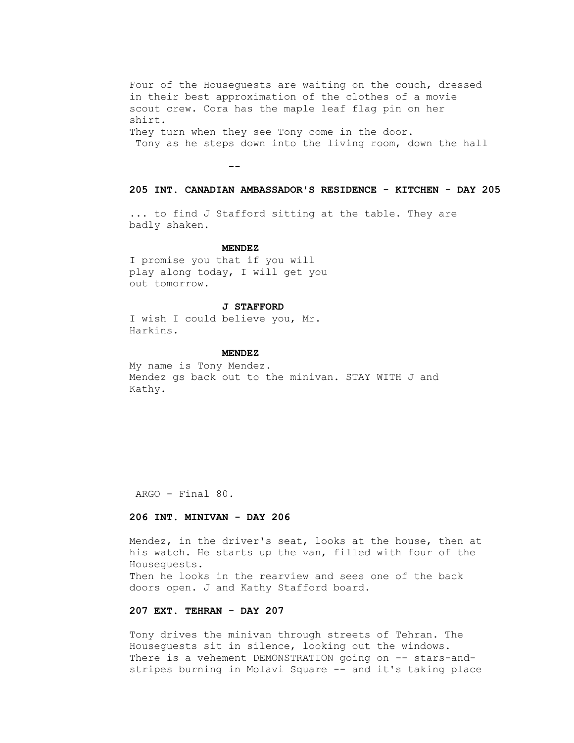Four of the Houseguests are waiting on the couch, dressed in their best approximation of the clothes of a movie scout crew. Cora has the maple leaf flag pin on her shirt. They turn when they see Tony come in the door. Tony as he steps down into the living room, down the hall

 **--**

#### **205 INT. CANADIAN AMBASSADOR'S RESIDENCE - KITCHEN - DAY 205**

 ... to find J Stafford sitting at the table. They are badly shaken.

#### **MENDEZ**

 I promise you that if you will play along today, I will get you out tomorrow.

#### **J STAFFORD**

 I wish I could believe you, Mr. Harkins.

#### **MENDEZ**

 My name is Tony Mendez. Mendez gs back out to the minivan. STAY WITH J and Kathy.

ARGO - Final 80.

## **206 INT. MINIVAN - DAY 206**

 Mendez, in the driver's seat, looks at the house, then at his watch. He starts up the van, filled with four of the Houseguests. Then he looks in the rearview and sees one of the back doors open. J and Kathy Stafford board.

## **207 EXT. TEHRAN - DAY 207**

 Tony drives the minivan through streets of Tehran. The Houseguests sit in silence, looking out the windows. There is a vehement DEMONSTRATION going on -- stars-andstripes burning in Molavi Square -- and it's taking place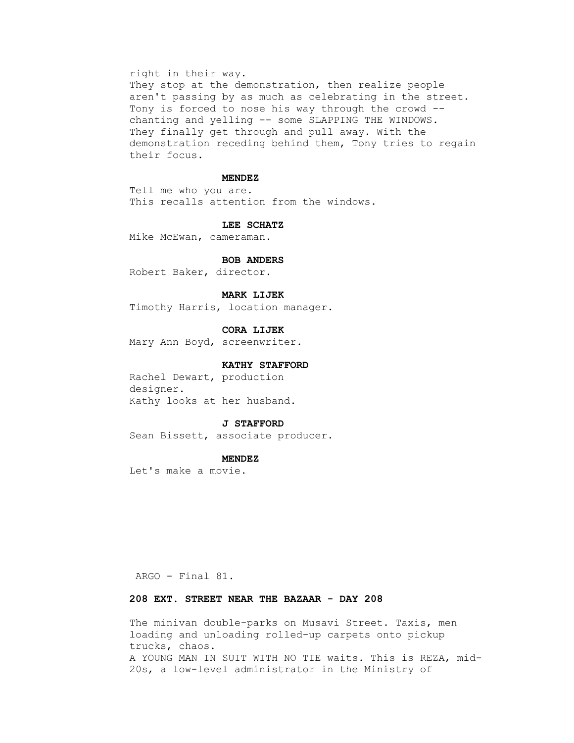#### right in their way.

They stop at the demonstration, then realize people aren't passing by as much as celebrating in the street. Tony is forced to nose his way through the crowd - chanting and yelling -- some SLAPPING THE WINDOWS. They finally get through and pull away. With the demonstration receding behind them, Tony tries to regain their focus.

#### **MENDEZ**

 Tell me who you are. This recalls attention from the windows.

#### **LEE SCHATZ**

Mike McEwan, cameraman.

#### **BOB ANDERS**

Robert Baker, director.

#### **MARK LIJEK**

Timothy Harris, location manager.

## **CORA LIJEK**

Mary Ann Boyd, screenwriter.

#### **KATHY STAFFORD**

 Rachel Dewart, production designer. Kathy looks at her husband.

#### **J STAFFORD**

Sean Bissett, associate producer.

#### **MENDEZ**

Let's make a movie.

ARGO - Final 81.

## **208 EXT. STREET NEAR THE BAZAAR - DAY 208**

 The minivan double-parks on Musavi Street. Taxis, men loading and unloading rolled-up carpets onto pickup trucks, chaos. A YOUNG MAN IN SUIT WITH NO TIE waits. This is REZA, mid- 20s, a low-level administrator in the Ministry of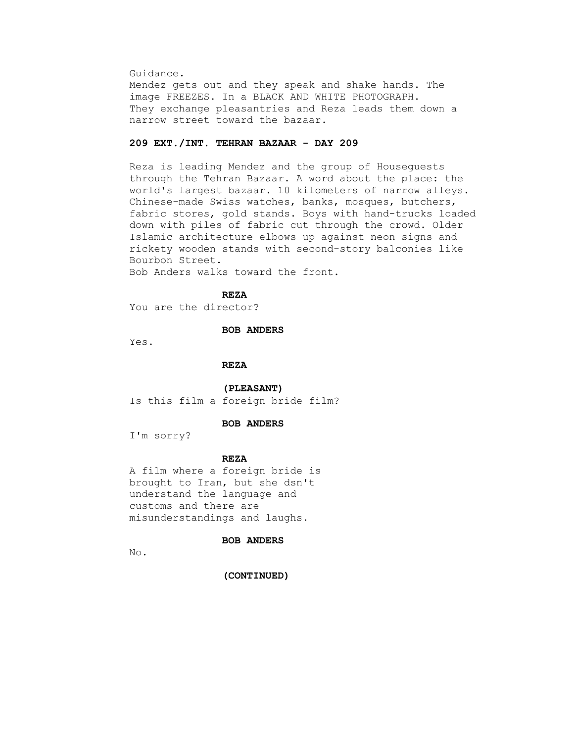Guidance.

 Mendez gets out and they speak and shake hands. The image FREEZES. In a BLACK AND WHITE PHOTOGRAPH. They exchange pleasantries and Reza leads them down a narrow street toward the bazaar.

## **209 EXT./INT. TEHRAN BAZAAR - DAY 209**

 Reza is leading Mendez and the group of Houseguests through the Tehran Bazaar. A word about the place: the world's largest bazaar. 10 kilometers of narrow alleys. Chinese-made Swiss watches, banks, mosques, butchers, fabric stores, gold stands. Boys with hand-trucks loaded down with piles of fabric cut through the crowd. Older Islamic architecture elbows up against neon signs and rickety wooden stands with second-story balconies like Bourbon Street.

Bob Anders walks toward the front.

 **REZA**

You are the director?

#### **BOB ANDERS**

Yes.

 **REZA**

 **(PLEASANT)** Is this film a foreign bride film?

## **BOB ANDERS**

I'm sorry?

## **REZA**

 A film where a foreign bride is brought to Iran, but she dsn't understand the language and customs and there are misunderstandings and laughs.

## **BOB ANDERS**

No.

 **(CONTINUED)**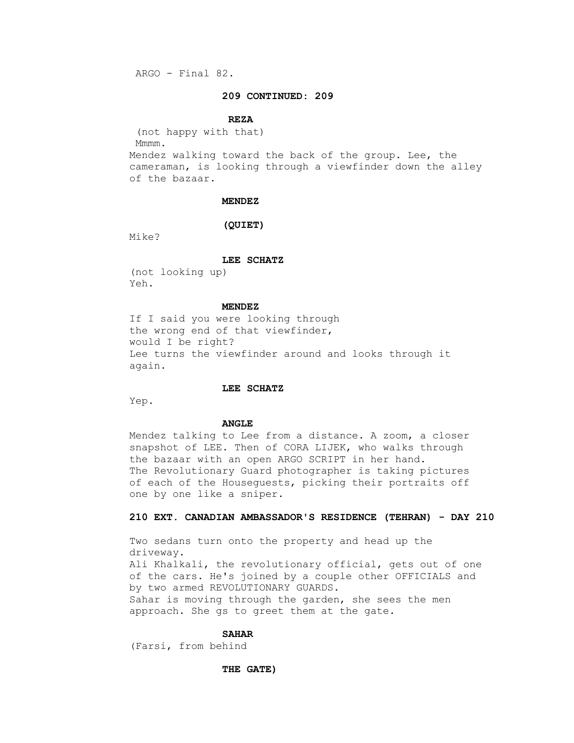ARGO - Final 82.

## **209 CONTINUED: 209**

#### **REZA**

 (not happy with that) Mmmm. Mendez walking toward the back of the group. Lee, the cameraman, is looking through a viewfinder down the alley

of the bazaar.

#### **MENDEZ**

#### **(QUIET)**

Mike?

#### **LEE SCHATZ**

 (not looking up) Yeh.

#### **MENDEZ**

 If I said you were looking through the wrong end of that viewfinder, would I be right? Lee turns the viewfinder around and looks through it again.

#### **LEE SCHATZ**

Yep.

#### **ANGLE**

 Mendez talking to Lee from a distance. A zoom, a closer snapshot of LEE. Then of CORA LIJEK, who walks through the bazaar with an open ARGO SCRIPT in her hand. The Revolutionary Guard photographer is taking pictures of each of the Houseguests, picking their portraits off one by one like a sniper.

## **210 EXT. CANADIAN AMBASSADOR'S RESIDENCE (TEHRAN) - DAY 210**

 Two sedans turn onto the property and head up the driveway. Ali Khalkali, the revolutionary official, gets out of one of the cars. He's joined by a couple other OFFICIALS and by two armed REVOLUTIONARY GUARDS. Sahar is moving through the garden, she sees the men approach. She gs to greet them at the gate.

#### **SAHAR**

(Farsi, from behind

#### **THE GATE)**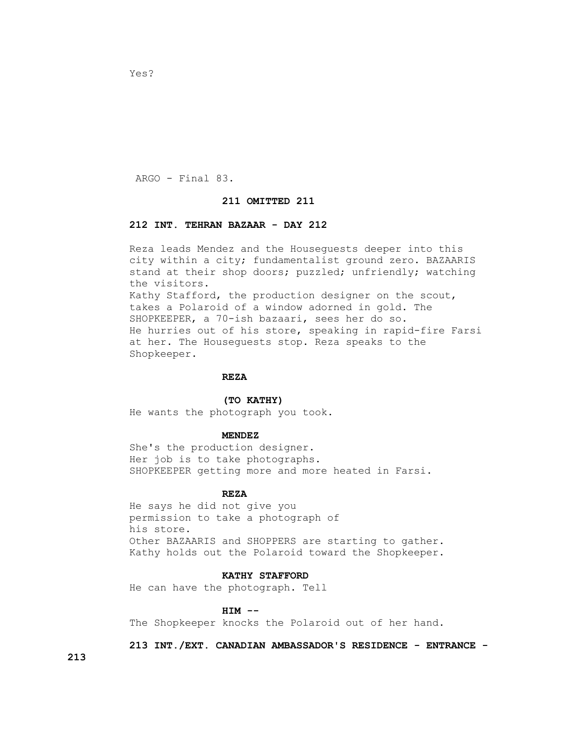ARGO - Final 83.

Yes?

#### **211 OMITTED 211**

#### **212 INT. TEHRAN BAZAAR - DAY 212**

 Reza leads Mendez and the Houseguests deeper into this city within a city; fundamentalist ground zero. BAZAARIS stand at their shop doors; puzzled; unfriendly; watching the visitors. Kathy Stafford, the production designer on the scout, takes a Polaroid of a window adorned in gold. The SHOPKEEPER, a 70-ish bazaari, sees her do so. He hurries out of his store, speaking in rapid-fire Farsi at her. The Houseguests stop. Reza speaks to the Shopkeeper.

## **REZA**

#### **(TO KATHY)**

He wants the photograph you took.

#### **MENDEZ**

 She's the production designer. Her job is to take photographs. SHOPKEEPER getting more and more heated in Farsi.

#### **REZA**

 He says he did not give you permission to take a photograph of his store. Other BAZAARIS and SHOPPERS are starting to gather. Kathy holds out the Polaroid toward the Shopkeeper.

## **KATHY STAFFORD**

He can have the photograph. Tell

#### **HIM --**

The Shopkeeper knocks the Polaroid out of her hand.

 **213 INT./EXT. CANADIAN AMBASSADOR'S RESIDENCE - ENTRANCE -**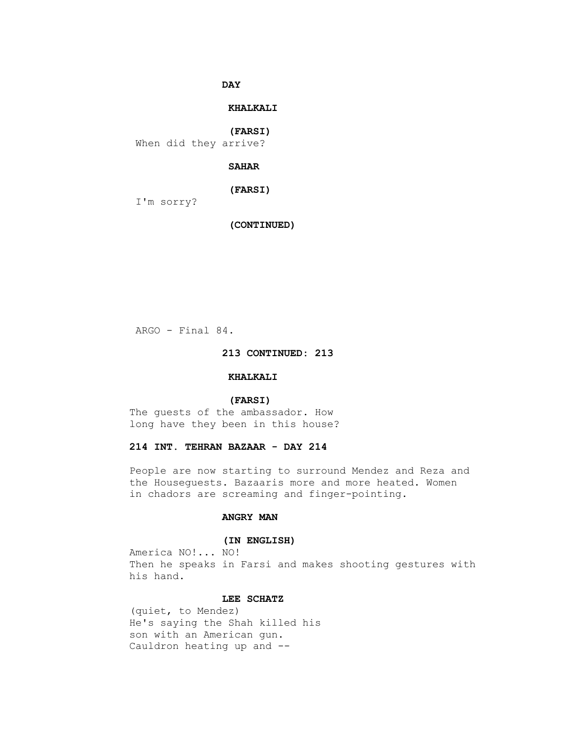**DAY** 

## **KHALKALI**

 **(FARSI)**

When did they arrive?

## **SAHAR**

 **(FARSI)**

I'm sorry?

 **(CONTINUED)**

ARGO - Final 84.

## **213 CONTINUED: 213**

## **KHALKALI**

## **(FARSI)**

 The guests of the ambassador. How long have they been in this house?

## **214 INT. TEHRAN BAZAAR - DAY 214**

 People are now starting to surround Mendez and Reza and the Houseguests. Bazaaris more and more heated. Women in chadors are screaming and finger-pointing.

## **ANGRY MAN**

## **(IN ENGLISH)**

 America NO!... NO! Then he speaks in Farsi and makes shooting gestures with his hand.

## **LEE SCHATZ**

 (quiet, to Mendez) He's saying the Shah killed his son with an American gun. Cauldron heating up and --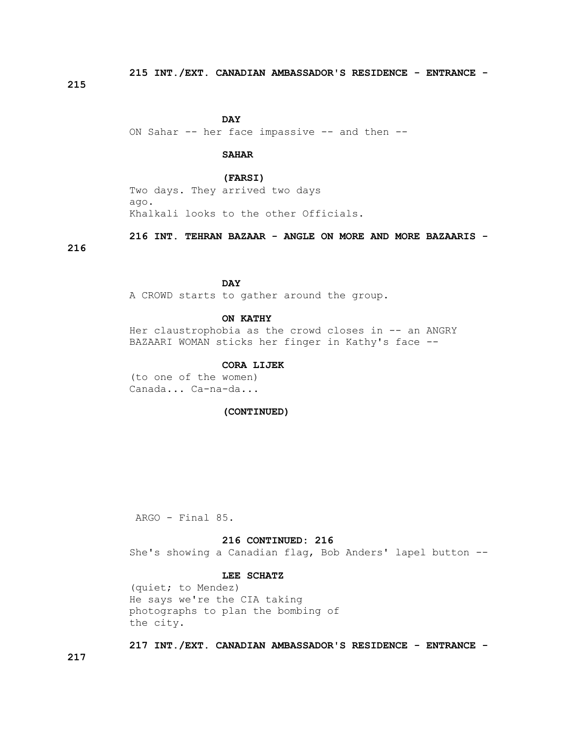**215 INT./EXT. CANADIAN AMBASSADOR'S RESIDENCE - ENTRANCE -**

**215**

**DAY** 

ON Sahar -- her face impassive -- and then --

## **SAHAR**

 **(FARSI)** Two days. They arrived two days ago. Khalkali looks to the other Officials.

 **216 INT. TEHRAN BAZAAR - ANGLE ON MORE AND MORE BAZAARIS -**

#### **216**

## **DAY**

A CROWD starts to gather around the group.

## **ON KATHY**

Her claustrophobia as the crowd closes in -- an ANGRY BAZAARI WOMAN sticks her finger in Kathy's face --

## **CORA LIJEK**

 (to one of the women) Canada... Ca-na-da...

## **(CONTINUED)**

ARGO - Final 85.

#### **216 CONTINUED: 216**

She's showing a Canadian flag, Bob Anders' lapel button --

## **LEE SCHATZ**

 (quiet; to Mendez) He says we're the CIA taking photographs to plan the bombing of the city.

 **217 INT./EXT. CANADIAN AMBASSADOR'S RESIDENCE - ENTRANCE -**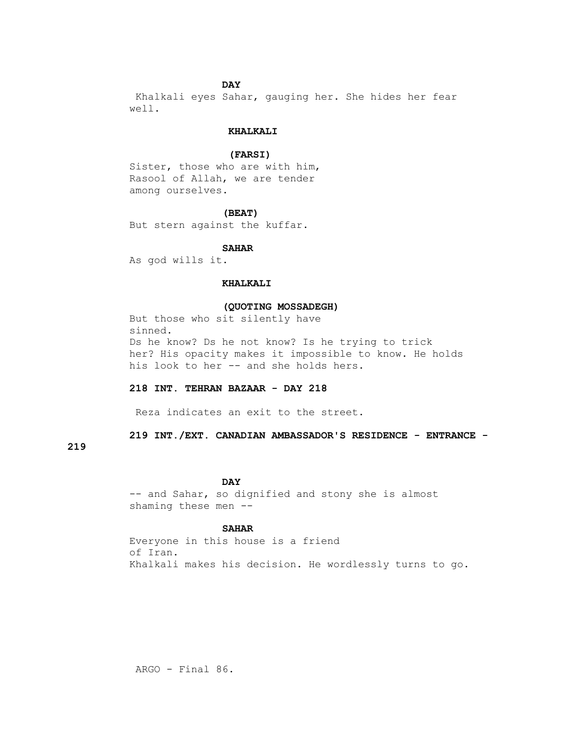## **DAY**

 Khalkali eyes Sahar, gauging her. She hides her fear well.

## **KHALKALI**

## **(FARSI)**

Sister, those who are with him, Rasool of Allah, we are tender among ourselves.

#### **(BEAT)**

But stern against the kuffar.

## **SAHAR**

As god wills it.

## **KHALKALI**

## **(QUOTING MOSSADEGH)**

 But those who sit silently have sinned. Ds he know? Ds he not know? Is he trying to trick her? His opacity makes it impossible to know. He holds his look to her -- and she holds hers.

#### **218 INT. TEHRAN BAZAAR - DAY 218**

Reza indicates an exit to the street.

 **219 INT./EXT. CANADIAN AMBASSADOR'S RESIDENCE - ENTRANCE -**

## **219**

## **DAY**

 -- and Sahar, so dignified and stony she is almost shaming these men --

## **SAHAR**

 Everyone in this house is a friend of Iran. Khalkali makes his decision. He wordlessly turns to go.

ARGO - Final 86.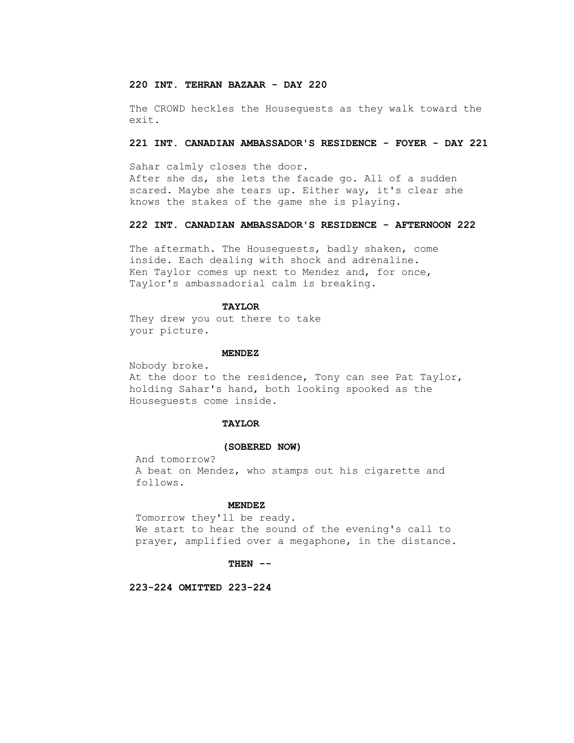## **220 INT. TEHRAN BAZAAR - DAY 220**

 The CROWD heckles the Houseguests as they walk toward the exit.

#### **221 INT. CANADIAN AMBASSADOR'S RESIDENCE - FOYER - DAY 221**

 Sahar calmly closes the door. After she ds, she lets the facade go. All of a sudden scared. Maybe she tears up. Either way, it's clear she knows the stakes of the game she is playing.

## **222 INT. CANADIAN AMBASSADOR'S RESIDENCE - AFTERNOON 222**

 The aftermath. The Houseguests, badly shaken, come inside. Each dealing with shock and adrenaline. Ken Taylor comes up next to Mendez and, for once, Taylor's ambassadorial calm is breaking.

#### **TAYLOR**

 They drew you out there to take your picture.

#### **MENDEZ**

 Nobody broke. At the door to the residence, Tony can see Pat Taylor, holding Sahar's hand, both looking spooked as the Houseguests come inside.

#### **TAYLOR**

#### **(SOBERED NOW)**

 And tomorrow? A beat on Mendez, who stamps out his cigarette and follows.

#### **MENDEZ**

 Tomorrow they'll be ready. We start to hear the sound of the evening's call to prayer, amplified over a megaphone, in the distance.

#### **THEN --**

 **223-224 OMITTED 223-224**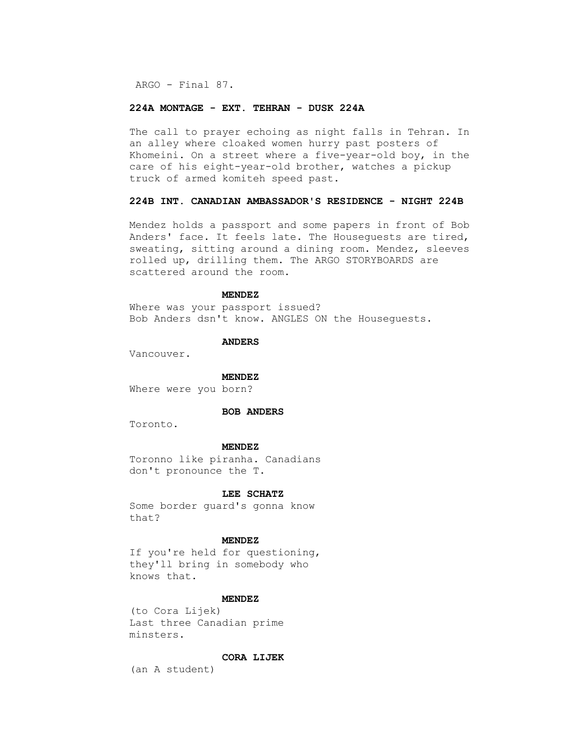ARGO - Final 87.

## **224A MONTAGE - EXT. TEHRAN - DUSK 224A**

 The call to prayer echoing as night falls in Tehran. In an alley where cloaked women hurry past posters of Khomeini. On a street where a five-year-old boy, in the care of his eight-year-old brother, watches a pickup truck of armed komiteh speed past.

## **224B INT. CANADIAN AMBASSADOR'S RESIDENCE - NIGHT 224B**

 Mendez holds a passport and some papers in front of Bob Anders' face. It feels late. The Houseguests are tired, sweating, sitting around a dining room. Mendez, sleeves rolled up, drilling them. The ARGO STORYBOARDS are scattered around the room.

## **MENDEZ**

 Where was your passport issued? Bob Anders dsn't know. ANGLES ON the Houseguests.

#### **ANDERS**

Vancouver.

#### **MENDEZ**

Where were you born?

#### **BOB ANDERS**

Toronto.

#### **MENDEZ**

 Toronno like piranha. Canadians don't pronounce the T.

#### **LEE SCHATZ**

 Some border guard's gonna know that?

#### **MENDEZ**

 If you're held for questioning, they'll bring in somebody who knows that.

#### **MENDEZ**

 (to Cora Lijek) Last three Canadian prime minsters.

## **CORA LIJEK**

(an A student)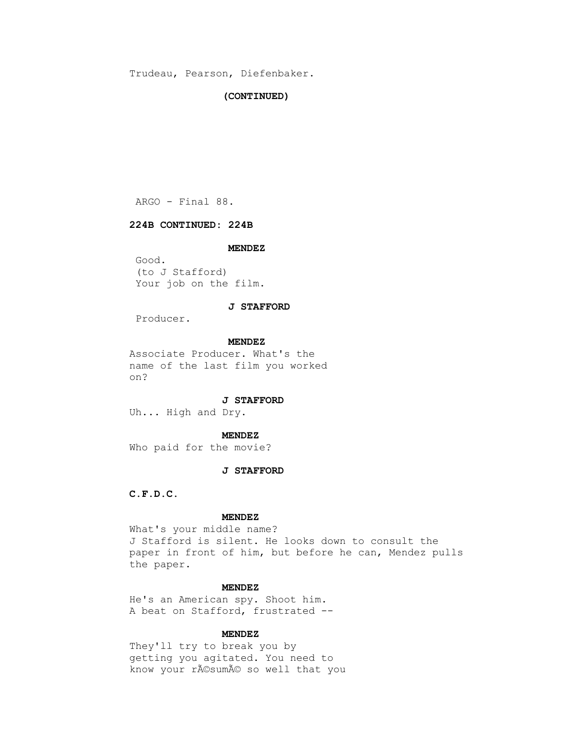Trudeau, Pearson, Diefenbaker.

#### **(CONTINUED)**

ARGO - Final 88.

## **224B CONTINUED: 224B**

#### **MENDEZ**

 Good. (to J Stafford) Your job on the film.

#### **J STAFFORD**

Producer.

#### **MENDEZ**

 Associate Producer. What's the name of the last film you worked on?

#### **J STAFFORD**

Uh... High and Dry.

#### **MENDEZ**

Who paid for the movie?

## **J STAFFORD**

 **C.F.D.C.**

## **MENDEZ**

 What's your middle name? J Stafford is silent. He looks down to consult the paper in front of him, but before he can, Mendez pulls the paper.

## **MENDEZ**

 He's an American spy. Shoot him. A beat on Stafford, frustrated --

#### **MENDEZ**

 They'll try to break you by getting you agitated. You need to know your résumé so well that you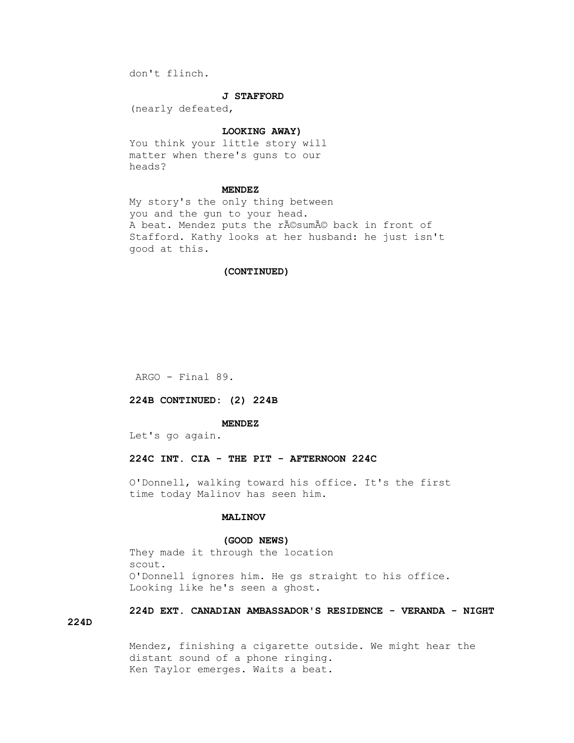don't flinch.

#### **J STAFFORD**

(nearly defeated,

## **LOOKING AWAY)**

 You think your little story will matter when there's guns to our heads?

## **MENDEZ**

 My story's the only thing between you and the gun to your head. A beat. Mendez puts the résumé back in front of Stafford. Kathy looks at her husband: he just isn't good at this.

## **(CONTINUED)**

ARGO - Final 89.

## **224B CONTINUED: (2) 224B**

#### **MENDEZ**

Let's go again.

## **224C INT. CIA - THE PIT - AFTERNOON 224C**

 O'Donnell, walking toward his office. It's the first time today Malinov has seen him.

## **MALINOV**

## **(GOOD NEWS)**

 They made it through the location scout. O'Donnell ignores him. He gs straight to his office. Looking like he's seen a ghost.

# **224D EXT. CANADIAN AMBASSADOR'S RESIDENCE - VERANDA - NIGHT**

**224D**

 Mendez, finishing a cigarette outside. We might hear the distant sound of a phone ringing. Ken Taylor emerges. Waits a beat.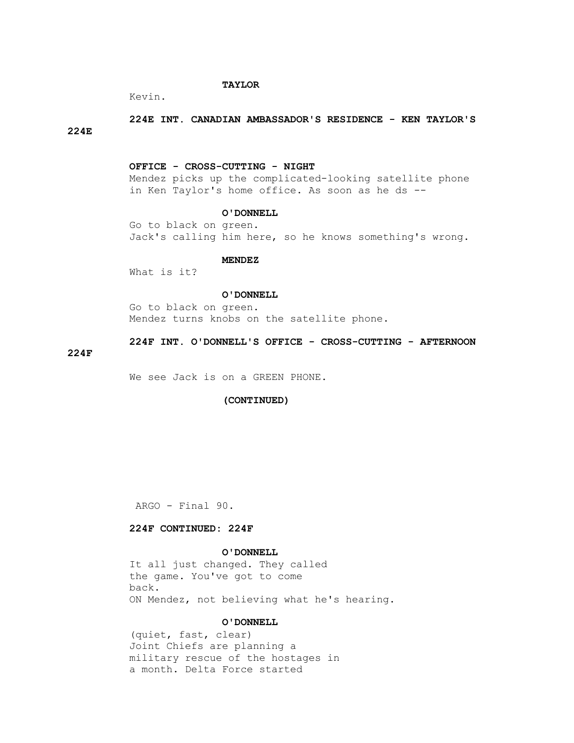## **TAYLOR**

Kevin.

## **224E INT. CANADIAN AMBASSADOR'S RESIDENCE - KEN TAYLOR'S 224E**

#### **OFFICE - CROSS-CUTTING - NIGHT**

 Mendez picks up the complicated-looking satellite phone in Ken Taylor's home office. As soon as he ds --

#### **O'DONNELL**

 Go to black on green. Jack's calling him here, so he knows something's wrong.

#### **MENDEZ**

What is it?

#### **O'DONNELL**

 Go to black on green. Mendez turns knobs on the satellite phone.

## **224F INT. O'DONNELL'S OFFICE - CROSS-CUTTING - AFTERNOON**

## **224F**

We see Jack is on a GREEN PHONE.

## **(CONTINUED)**

ARGO - Final 90.

## **224F CONTINUED: 224F**

#### **O'DONNELL**

 It all just changed. They called the game. You've got to come back. ON Mendez, not believing what he's hearing.

## **O'DONNELL**

 (quiet, fast, clear) Joint Chiefs are planning a military rescue of the hostages in a month. Delta Force started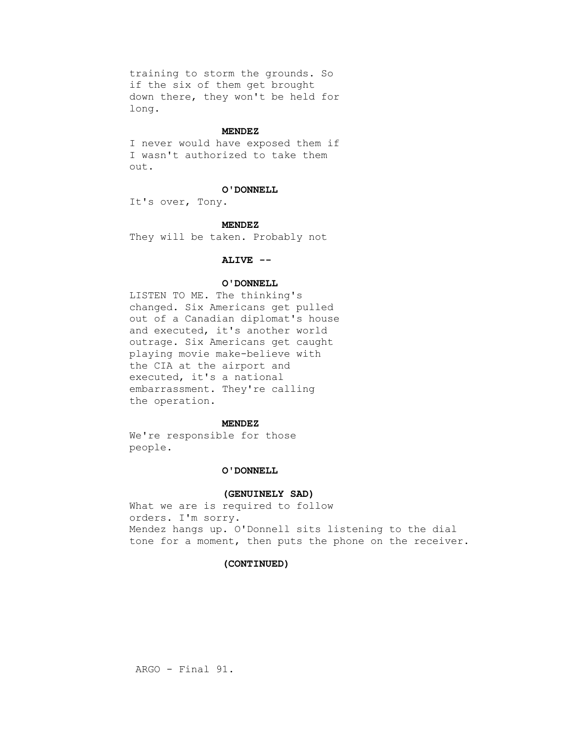training to storm the grounds. So if the six of them get brought down there, they won't be held for long.

#### **MENDEZ**

 I never would have exposed them if I wasn't authorized to take them out.

#### **O'DONNELL**

It's over, Tony.

#### **MENDEZ**

They will be taken. Probably not

#### **ALIVE --**

## **O'DONNELL**

 LISTEN TO ME. The thinking's changed. Six Americans get pulled out of a Canadian diplomat's house and executed, it's another world outrage. Six Americans get caught playing movie make-believe with the CIA at the airport and executed, it's a national embarrassment. They're calling the operation.

#### **MENDEZ**

 We're responsible for those people.

## **O'DONNELL**

#### **(GENUINELY SAD)**

 What we are is required to follow orders. I'm sorry. Mendez hangs up. O'Donnell sits listening to the dial tone for a moment, then puts the phone on the receiver.

#### **(CONTINUED)**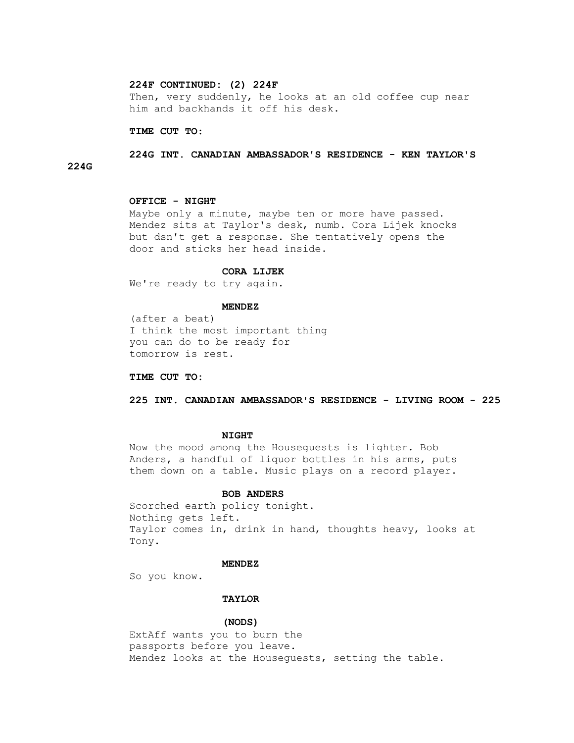# **224F CONTINUED: (2) 224F**

 Then, very suddenly, he looks at an old coffee cup near him and backhands it off his desk.

#### **TIME CUT TO:**

# **224G INT. CANADIAN AMBASSADOR'S RESIDENCE - KEN TAYLOR'S 224G**

## **OFFICE - NIGHT**

 Maybe only a minute, maybe ten or more have passed. Mendez sits at Taylor's desk, numb. Cora Lijek knocks but dsn't get a response. She tentatively opens the door and sticks her head inside.

## **CORA LIJEK**

We're ready to try again.

## **MENDEZ**

 (after a beat) I think the most important thing you can do to be ready for tomorrow is rest.

## **TIME CUT TO:**

 **225 INT. CANADIAN AMBASSADOR'S RESIDENCE - LIVING ROOM - 225**

#### **NIGHT**

 Now the mood among the Houseguests is lighter. Bob Anders, a handful of liquor bottles in his arms, puts them down on a table. Music plays on a record player.

#### **BOB ANDERS**

 Scorched earth policy tonight. Nothing gets left. Taylor comes in, drink in hand, thoughts heavy, looks at Tony.

#### **MENDEZ**

So you know.

## **TAYLOR**

#### **(NODS)**

 ExtAff wants you to burn the passports before you leave. Mendez looks at the Houseguests, setting the table.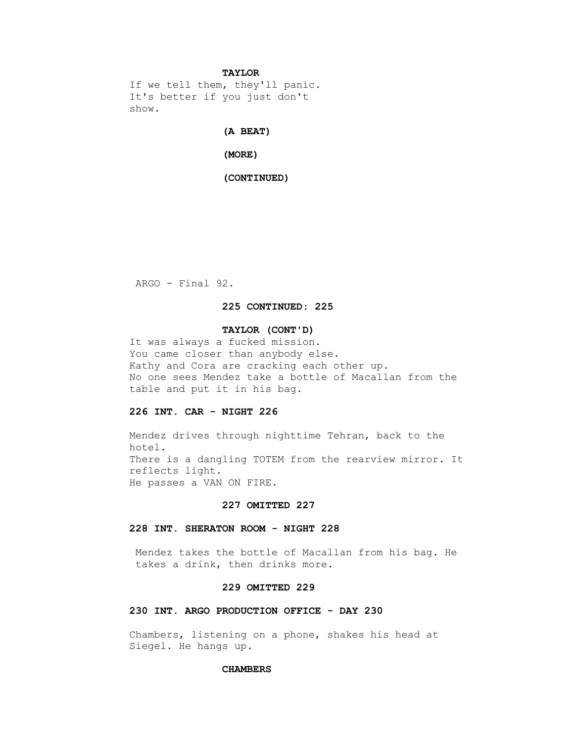## **TAYLOR**

 If we tell them, they'll panic. It's better if you just don't show.

## **(A BEAT)**

 **(MORE)**

## **(CONTINUED)**

ARGO - Final 92.

## **225 CONTINUED: 225**

## **TAYLOR (CONT'D)**

 It was always a fucked mission. You came closer than anybody else. Kathy and Cora are cracking each other up. No one sees Mendez take a bottle of Macallan from the table and put it in his bag.

# **226 INT. CAR - NIGHT 226**

 Mendez drives through nighttime Tehran, back to the hotel. There is a dangling TOTEM from the rearview mirror. It reflects light. He passes a VAN ON FIRE.

## **227 OMITTED 227**

## **228 INT. SHERATON ROOM - NIGHT 228**

 Mendez takes the bottle of Macallan from his bag. He takes a drink, then drinks more.

## **229 OMITTED 229**

# **230 INT. ARGO PRODUCTION OFFICE - DAY 230**

 Chambers, listening on a phone, shakes his head at Siegel. He hangs up.

## **CHAMBERS**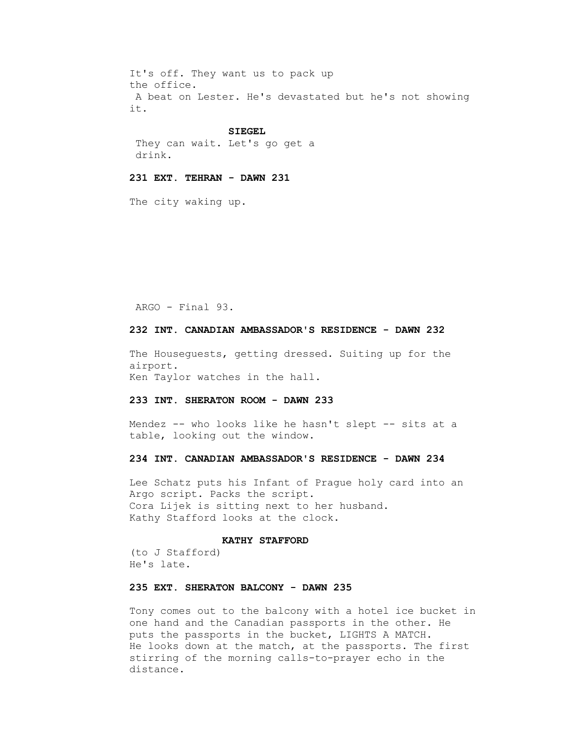It's off. They want us to pack up the office. A beat on Lester. He's devastated but he's not showing it.

#### **SIEGEL**

 They can wait. Let's go get a drink.

# **231 EXT. TEHRAN - DAWN 231**

The city waking up.

ARGO - Final 93.

# **232 INT. CANADIAN AMBASSADOR'S RESIDENCE - DAWN 232**

 The Houseguests, getting dressed. Suiting up for the airport. Ken Taylor watches in the hall.

## **233 INT. SHERATON ROOM - DAWN 233**

Mendez -- who looks like he hasn't slept -- sits at a table, looking out the window.

## **234 INT. CANADIAN AMBASSADOR'S RESIDENCE - DAWN 234**

 Lee Schatz puts his Infant of Prague holy card into an Argo script. Packs the script. Cora Lijek is sitting next to her husband. Kathy Stafford looks at the clock.

## **KATHY STAFFORD**

 (to J Stafford) He's late.

# **235 EXT. SHERATON BALCONY - DAWN 235**

 Tony comes out to the balcony with a hotel ice bucket in one hand and the Canadian passports in the other. He puts the passports in the bucket, LIGHTS A MATCH. He looks down at the match, at the passports. The first stirring of the morning calls-to-prayer echo in the distance.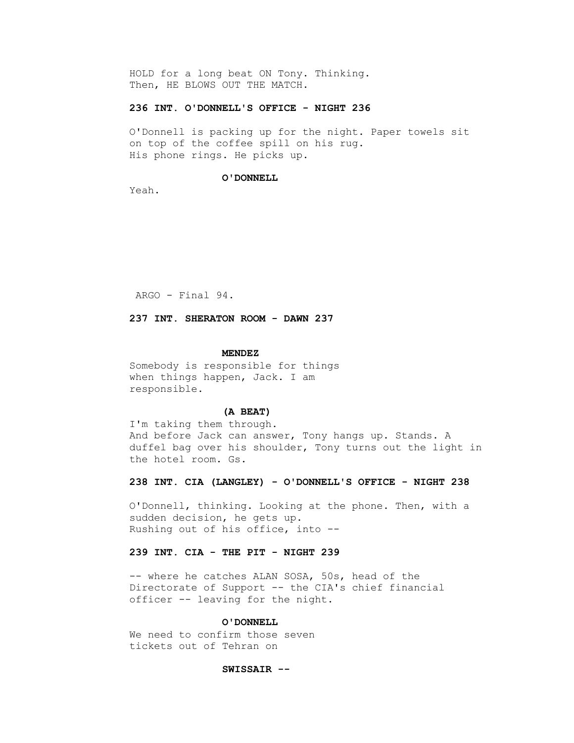HOLD for a long beat ON Tony. Thinking. Then, HE BLOWS OUT THE MATCH.

# **236 INT. O'DONNELL'S OFFICE - NIGHT 236**

 O'Donnell is packing up for the night. Paper towels sit on top of the coffee spill on his rug. His phone rings. He picks up.

#### **O'DONNELL**

Yeah.

ARGO - Final 94.

 **237 INT. SHERATON ROOM - DAWN 237**

#### **MENDEZ**

 Somebody is responsible for things when things happen, Jack. I am responsible.

## **(A BEAT)**

 I'm taking them through. And before Jack can answer, Tony hangs up. Stands. A duffel bag over his shoulder, Tony turns out the light in the hotel room. Gs.

## **238 INT. CIA (LANGLEY) - O'DONNELL'S OFFICE - NIGHT 238**

 O'Donnell, thinking. Looking at the phone. Then, with a sudden decision, he gets up. Rushing out of his office, into --

# **239 INT. CIA - THE PIT - NIGHT 239**

 -- where he catches ALAN SOSA, 50s, head of the Directorate of Support -- the CIA's chief financial officer -- leaving for the night.

## **O'DONNELL**

 We need to confirm those seven tickets out of Tehran on

## **SWISSAIR --**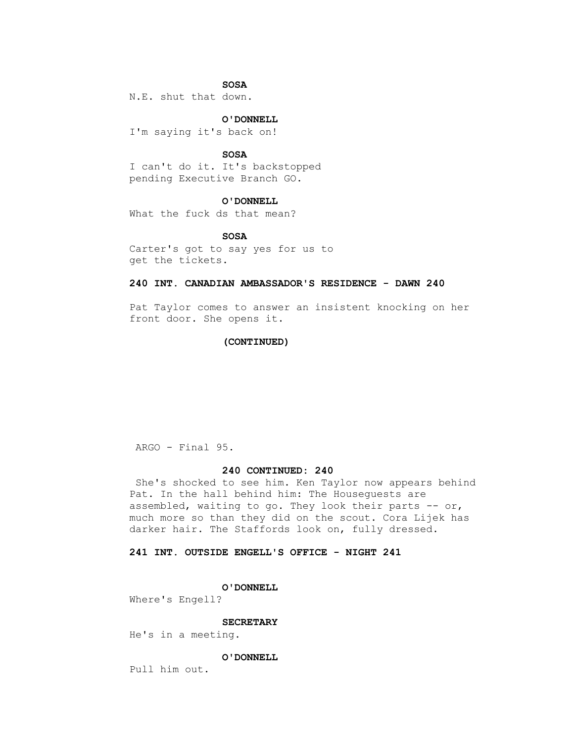## **SOSA**

N.E. shut that down.

 **O'DONNELL**

I'm saying it's back on!

 **SOSA**

 I can't do it. It's backstopped pending Executive Branch GO.

#### **O'DONNELL**

What the fuck ds that mean?

 **SOSA**

 Carter's got to say yes for us to get the tickets.

## **240 INT. CANADIAN AMBASSADOR'S RESIDENCE - DAWN 240**

 Pat Taylor comes to answer an insistent knocking on her front door. She opens it.

## **(CONTINUED)**

ARGO - Final 95.

## **240 CONTINUED: 240**

 She's shocked to see him. Ken Taylor now appears behind Pat. In the hall behind him: The Houseguests are assembled, waiting to go. They look their parts -- or, much more so than they did on the scout. Cora Lijek has darker hair. The Staffords look on, fully dressed.

# **241 INT. OUTSIDE ENGELL'S OFFICE - NIGHT 241**

 **O'DONNELL**

Where's Engell?

#### **SECRETARY**

He's in a meeting.

## **O'DONNELL**

Pull him out.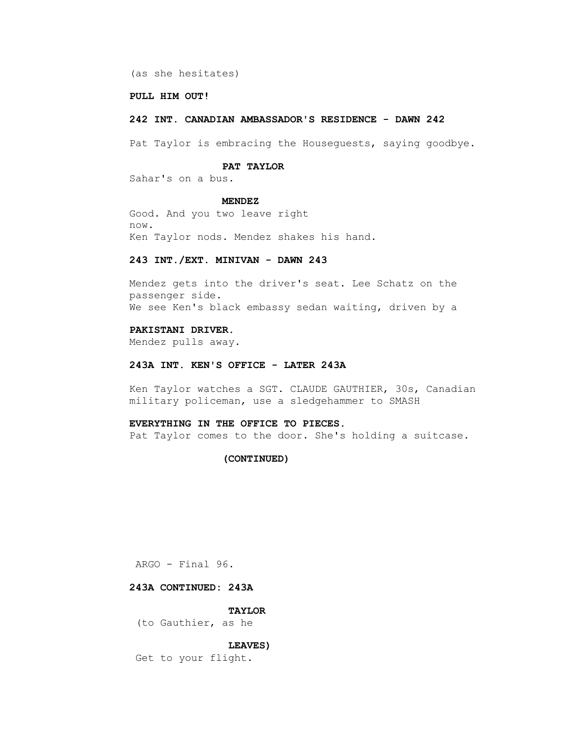(as she hesitates)

## **PULL HIM OUT!**

## **242 INT. CANADIAN AMBASSADOR'S RESIDENCE - DAWN 242**

Pat Taylor is embracing the Houseguests, saying goodbye.

## **PAT TAYLOR**

Sahar's on a bus.

#### **MENDEZ**

 Good. And you two leave right now. Ken Taylor nods. Mendez shakes his hand.

#### **243 INT./EXT. MINIVAN - DAWN 243**

 Mendez gets into the driver's seat. Lee Schatz on the passenger side. We see Ken's black embassy sedan waiting, driven by a

# **PAKISTANI DRIVER.**

Mendez pulls away.

## **243A INT. KEN'S OFFICE - LATER 243A**

 Ken Taylor watches a SGT. CLAUDE GAUTHIER, 30s, Canadian military policeman, use a sledgehammer to SMASH

# **EVERYTHING IN THE OFFICE TO PIECES.**

Pat Taylor comes to the door. She's holding a suitcase.

## **(CONTINUED)**

ARGO - Final 96.

# **243A CONTINUED: 243A**

 **TAYLOR**

(to Gauthier, as he

# **LEAVES)**

Get to your flight.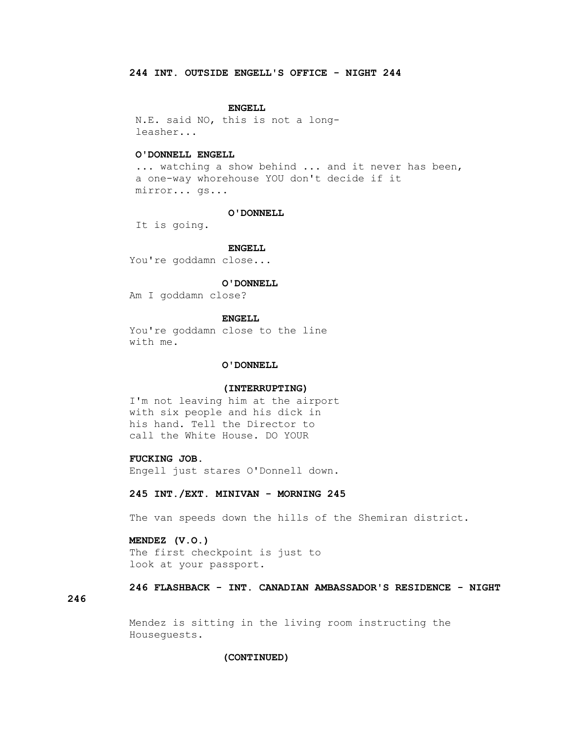#### **ENGELL**

 N.E. said NO, this is not a long leasher...

# **O'DONNELL ENGELL**

... watching a show behind ... and it never has been, a one-way whorehouse YOU don't decide if it mirror... gs...

#### **O'DONNELL**

It is going.

 **ENGELL**

You're goddamn close...

#### **O'DONNELL**

Am I goddamn close?

## **ENGELL**

 You're goddamn close to the line with me.

## **O'DONNELL**

#### **(INTERRUPTING)**

 I'm not leaving him at the airport with six people and his dick in his hand. Tell the Director to call the White House. DO YOUR

## **FUCKING JOB.**

Engell just stares O'Donnell down.

## **245 INT./EXT. MINIVAN - MORNING 245**

The van speeds down the hills of the Shemiran district.

# **MENDEZ (V.O.)**

 The first checkpoint is just to look at your passport.

# **246 FLASHBACK - INT. CANADIAN AMBASSADOR'S RESIDENCE - NIGHT**

## **246**

 Mendez is sitting in the living room instructing the Houseguests.

## **(CONTINUED)**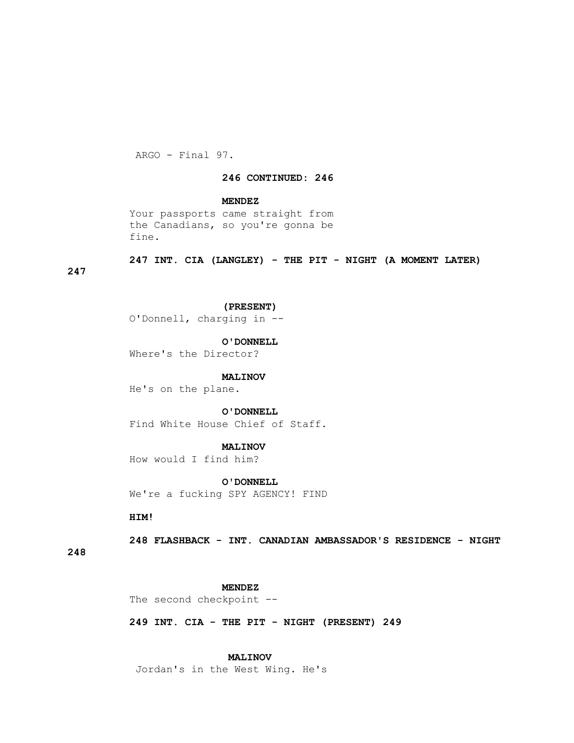ARGO - Final 97.

## **246 CONTINUED: 246**

## **MENDEZ**

 Your passports came straight from the Canadians, so you're gonna be fine.

 **247 INT. CIA (LANGLEY) - THE PIT - NIGHT (A MOMENT LATER)** 

# **247**

 **(PRESENT)**

O'Donnell, charging in --

 **O'DONNELL**

Where's the Director?

## **MALINOV**

He's on the plane.

#### **O'DONNELL**

Find White House Chief of Staff.

#### **MALINOV**

How would I find him?

 **O'DONNELL** We're a fucking SPY AGENCY! FIND

 **HIM!**

 **248 FLASHBACK - INT. CANADIAN AMBASSADOR'S RESIDENCE - NIGHT** 

**248**

#### **MENDEZ**

The second checkpoint --

 **249 INT. CIA - THE PIT - NIGHT (PRESENT) 249**

## **MALINOV**

Jordan's in the West Wing. He's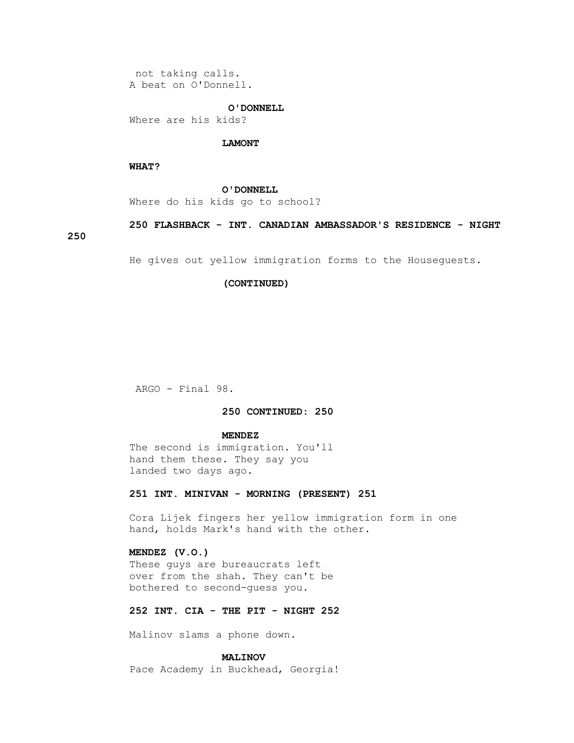not taking calls. A beat on O'Donnell.

## **O'DONNELL**

Where are his kids?

## **LAMONT**

## **WHAT?**

 **O'DONNELL**

Where do his kids go to school?

 **250 FLASHBACK - INT. CANADIAN AMBASSADOR'S RESIDENCE - NIGHT** 

# **250**

He gives out yellow immigration forms to the Houseguests.

## **(CONTINUED)**

ARGO - Final 98.

## **250 CONTINUED: 250**

#### **MENDEZ**

 The second is immigration. You'll hand them these. They say you landed two days ago.

# **251 INT. MINIVAN - MORNING (PRESENT) 251**

 Cora Lijek fingers her yellow immigration form in one hand, holds Mark's hand with the other.

## **MENDEZ (V.O.)**

 These guys are bureaucrats left over from the shah. They can't be bothered to second-guess you.

# **252 INT. CIA - THE PIT - NIGHT 252**

Malinov slams a phone down.

# **MALINOV**

Pace Academy in Buckhead, Georgia!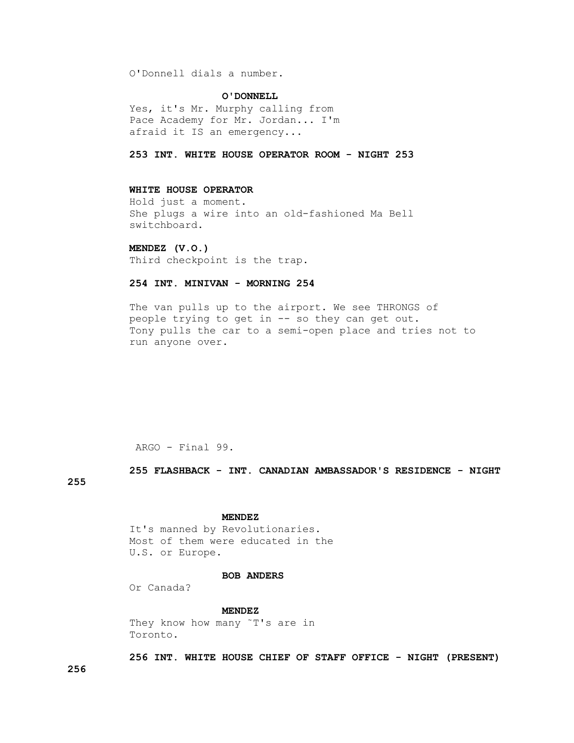O'Donnell dials a number.

 **O'DONNELL**

 Yes, it's Mr. Murphy calling from Pace Academy for Mr. Jordan... I'm afraid it IS an emergency...

 **253 INT. WHITE HOUSE OPERATOR ROOM - NIGHT 253**

## **WHITE HOUSE OPERATOR**

 Hold just a moment. She plugs a wire into an old-fashioned Ma Bell switchboard.

 **MENDEZ (V.O.)**

Third checkpoint is the trap.

# **254 INT. MINIVAN - MORNING 254**

 The van pulls up to the airport. We see THRONGS of people trying to get in -- so they can get out. Tony pulls the car to a semi-open place and tries not to run anyone over.

ARGO - Final 99.

 **255 FLASHBACK - INT. CANADIAN AMBASSADOR'S RESIDENCE - NIGHT** 

**255**

## **MENDEZ**

 It's manned by Revolutionaries. Most of them were educated in the U.S. or Europe.

## **BOB ANDERS**

Or Canada?

# **MENDEZ**

 They know how many ˜T's are in Toronto.

 **256 INT. WHITE HOUSE CHIEF OF STAFF OFFICE - NIGHT (PRESENT)** 

**256**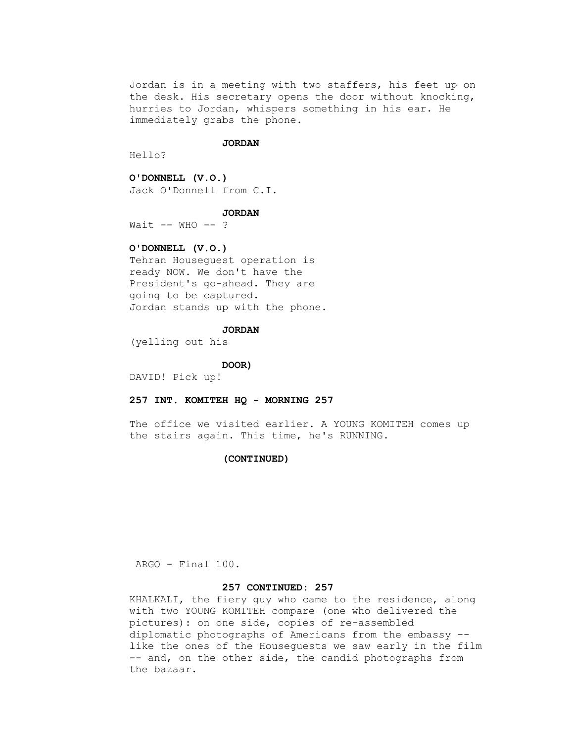Jordan is in a meeting with two staffers, his feet up on the desk. His secretary opens the door without knocking, hurries to Jordan, whispers something in his ear. He immediately grabs the phone.

#### **JORDAN**

Hello?

 **O'DONNELL (V.O.)** Jack O'Donnell from C.I.

#### **JORDAN**

Wait  $--$  WHO  $--$  ?

# **O'DONNELL (V.O.)**

 Tehran Houseguest operation is ready NOW. We don't have the President's go-ahead. They are going to be captured. Jordan stands up with the phone.

# **JORDAN**

(yelling out his

#### **DOOR)**

DAVID! Pick up!

## **257 INT. KOMITEH HQ - MORNING 257**

 The office we visited earlier. A YOUNG KOMITEH comes up the stairs again. This time, he's RUNNING.

## **(CONTINUED)**

ARGO - Final 100.

# **257 CONTINUED: 257**

 KHALKALI, the fiery guy who came to the residence, along with two YOUNG KOMITEH compare (one who delivered the pictures): on one side, copies of re-assembled diplomatic photographs of Americans from the embassy - like the ones of the Houseguests we saw early in the film -- and, on the other side, the candid photographs from the bazaar.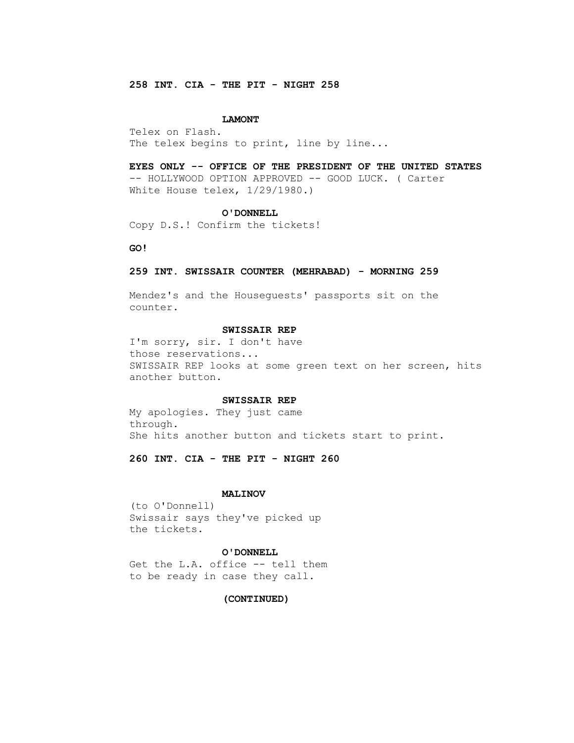# **258 INT. CIA - THE PIT - NIGHT 258**

#### **LAMONT**

 Telex on Flash. The telex begins to print, line by line...

 **EYES ONLY -- OFFICE OF THE PRESIDENT OF THE UNITED STATES** -- HOLLYWOOD OPTION APPROVED -- GOOD LUCK. ( Carter White House telex,  $1/29/1980$ .)

#### **O'DONNELL**

Copy D.S.! Confirm the tickets!

 **GO!**

## **259 INT. SWISSAIR COUNTER (MEHRABAD) - MORNING 259**

 Mendez's and the Houseguests' passports sit on the counter.

## **SWISSAIR REP**

 I'm sorry, sir. I don't have those reservations... SWISSAIR REP looks at some green text on her screen, hits another button.

#### **SWISSAIR REP**

 My apologies. They just came through. She hits another button and tickets start to print.

 **260 INT. CIA - THE PIT - NIGHT 260**

#### **MALINOV**

 (to O'Donnell) Swissair says they've picked up the tickets.

#### **O'DONNELL**

Get the L.A. office -- tell them to be ready in case they call.

## **(CONTINUED)**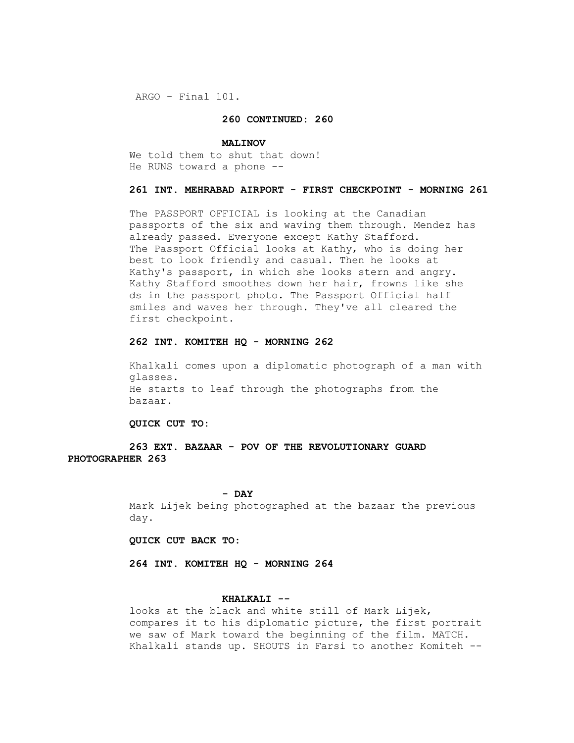ARGO - Final 101.

## **260 CONTINUED: 260**

#### **MALINOV**

 We told them to shut that down! He RUNS toward a phone --

## **261 INT. MEHRABAD AIRPORT - FIRST CHECKPOINT - MORNING 261**

 The PASSPORT OFFICIAL is looking at the Canadian passports of the six and waving them through. Mendez has already passed. Everyone except Kathy Stafford. The Passport Official looks at Kathy, who is doing her best to look friendly and casual. Then he looks at Kathy's passport, in which she looks stern and angry. Kathy Stafford smoothes down her hair, frowns like she ds in the passport photo. The Passport Official half smiles and waves her through. They've all cleared the first checkpoint.

## **262 INT. KOMITEH HQ - MORNING 262**

 Khalkali comes upon a diplomatic photograph of a man with glasses. He starts to leaf through the photographs from the bazaar.

#### **QUICK CUT TO:**

 **263 EXT. BAZAAR - POV OF THE REVOLUTIONARY GUARD PHOTOGRAPHER 263**

## **- DAY**

 Mark Lijek being photographed at the bazaar the previous day.

## **QUICK CUT BACK TO:**

 **264 INT. KOMITEH HQ - MORNING 264**

# **KHALKALI --**

 looks at the black and white still of Mark Lijek, compares it to his diplomatic picture, the first portrait we saw of Mark toward the beginning of the film. MATCH. Khalkali stands up. SHOUTS in Farsi to another Komiteh --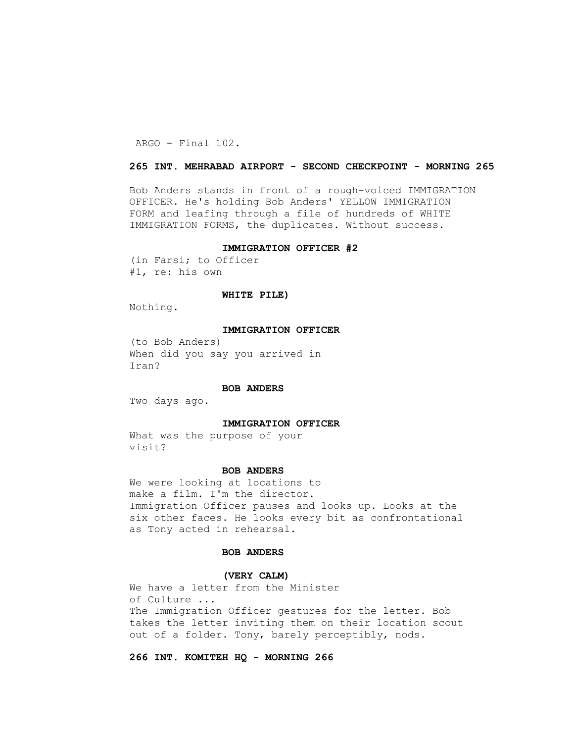ARGO - Final 102.

## **265 INT. MEHRABAD AIRPORT - SECOND CHECKPOINT - MORNING 265**

 Bob Anders stands in front of a rough-voiced IMMIGRATION OFFICER. He's holding Bob Anders' YELLOW IMMIGRATION FORM and leafing through a file of hundreds of WHITE IMMIGRATION FORMS, the duplicates. Without success.

## **IMMIGRATION OFFICER #2**

 (in Farsi; to Officer #1, re: his own

## **WHITE PILE)**

Nothing.

## **IMMIGRATION OFFICER**

 (to Bob Anders) When did you say you arrived in Iran?

#### **BOB ANDERS**

Two days ago.

## **IMMIGRATION OFFICER**

 What was the purpose of your visit?

#### **BOB ANDERS**

 We were looking at locations to make a film. I'm the director. Immigration Officer pauses and looks up. Looks at the six other faces. He looks every bit as confrontational as Tony acted in rehearsal.

## **BOB ANDERS**

#### **(VERY CALM)**

 We have a letter from the Minister of Culture ... The Immigration Officer gestures for the letter. Bob takes the letter inviting them on their location scout out of a folder. Tony, barely perceptibly, nods.

# **266 INT. KOMITEH HQ - MORNING 266**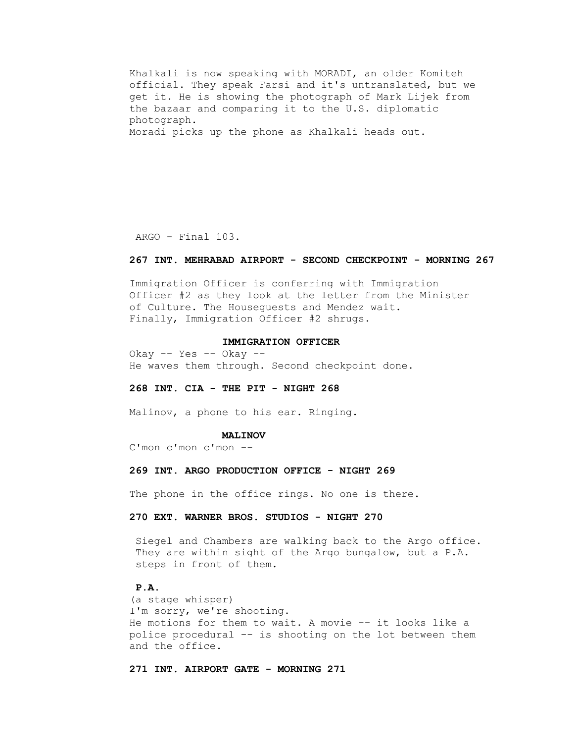Khalkali is now speaking with MORADI, an older Komiteh official. They speak Farsi and it's untranslated, but we get it. He is showing the photograph of Mark Lijek from the bazaar and comparing it to the U.S. diplomatic photograph. Moradi picks up the phone as Khalkali heads out.

ARGO - Final 103.

#### **267 INT. MEHRABAD AIRPORT - SECOND CHECKPOINT - MORNING 267**

 Immigration Officer is conferring with Immigration Officer #2 as they look at the letter from the Minister of Culture. The Houseguests and Mendez wait. Finally, Immigration Officer #2 shrugs.

#### **IMMIGRATION OFFICER**

 Okay -- Yes -- Okay -- He waves them through. Second checkpoint done.

#### **268 INT. CIA - THE PIT - NIGHT 268**

Malinov, a phone to his ear. Ringing.

#### **MALINOV**

C'mon c'mon c'mon --

## **269 INT. ARGO PRODUCTION OFFICE - NIGHT 269**

The phone in the office rings. No one is there.

# **270 EXT. WARNER BROS. STUDIOS - NIGHT 270**

 Siegel and Chambers are walking back to the Argo office. They are within sight of the Argo bungalow, but a P.A. steps in front of them.

# **P.A.**

 (a stage whisper) I'm sorry, we're shooting. He motions for them to wait. A movie -- it looks like a police procedural -- is shooting on the lot between them and the office.

 **271 INT. AIRPORT GATE - MORNING 271**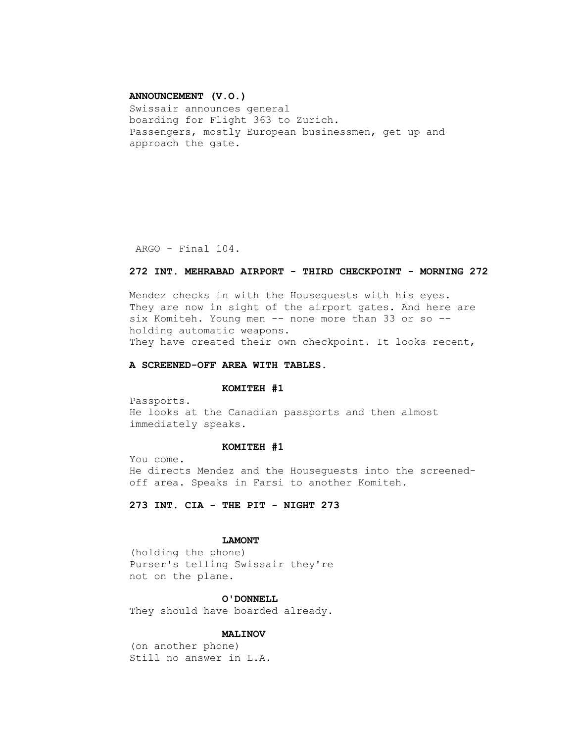## **ANNOUNCEMENT (V.O.)**

 Swissair announces general boarding for Flight 363 to Zurich. Passengers, mostly European businessmen, get up and approach the gate.

ARGO - Final 104.

## **272 INT. MEHRABAD AIRPORT - THIRD CHECKPOINT - MORNING 272**

 Mendez checks in with the Houseguests with his eyes. They are now in sight of the airport gates. And here are six Komiteh. Young men -- none more than 33 or so - holding automatic weapons. They have created their own checkpoint. It looks recent,

## **A SCREENED-OFF AREA WITH TABLES.**

#### **KOMITEH #1**

 Passports. He looks at the Canadian passports and then almost immediately speaks.

## **KOMITEH #1**

 You come. He directs Mendez and the Houseguests into the screened off area. Speaks in Farsi to another Komiteh.

 **273 INT. CIA - THE PIT - NIGHT 273**

## **LAMONT**

 (holding the phone) Purser's telling Swissair they're not on the plane.

## **O'DONNELL**

They should have boarded already.

## **MALINOV**

 (on another phone) Still no answer in L.A.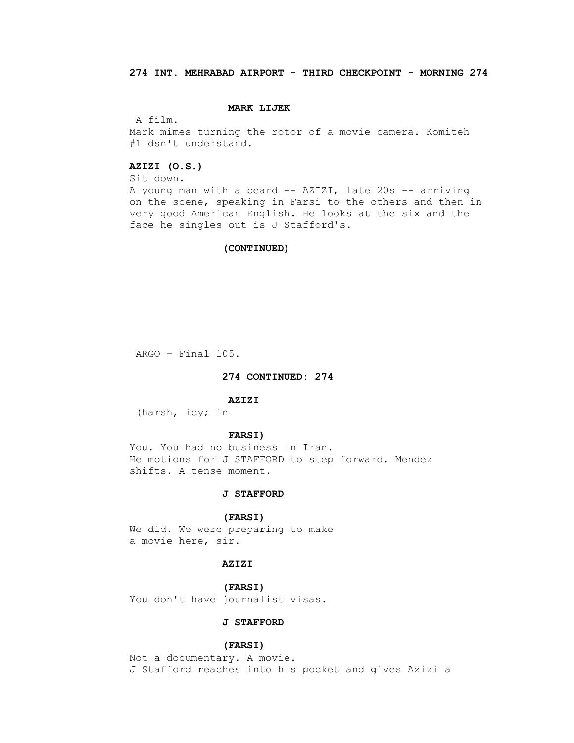# **MARK LIJEK**

A film.

 Mark mimes turning the rotor of a movie camera. Komiteh #1 dsn't understand.

# **AZIZI (O.S.)**

Sit down.

 A young man with a beard -- AZIZI, late 20s -- arriving on the scene, speaking in Farsi to the others and then in very good American English. He looks at the six and the face he singles out is J Stafford's.

## **(CONTINUED)**

ARGO - Final 105.

## **274 CONTINUED: 274**

#### **AZIZI**

(harsh, icy; in

#### **FARSI)**

 You. You had no business in Iran. He motions for J STAFFORD to step forward. Mendez shifts. A tense moment.

## **J STAFFORD**

## **(FARSI)**

 We did. We were preparing to make a movie here, sir.

## **AZIZI**

 **(FARSI)**  You don't have journalist visas.

# **J STAFFORD**

## **(FARSI)**

 Not a documentary. A movie. J Stafford reaches into his pocket and gives Azizi a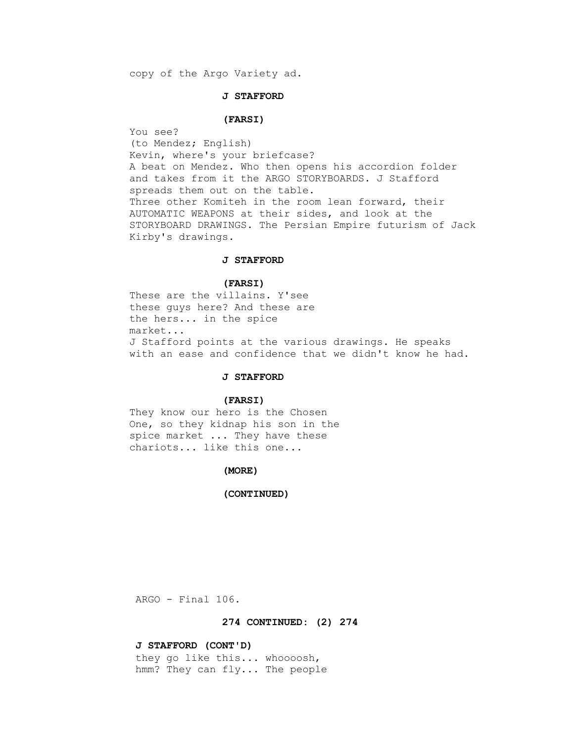copy of the Argo Variety ad.

## **J STAFFORD**

## **(FARSI)**

 You see? (to Mendez; English) Kevin, where's your briefcase? A beat on Mendez. Who then opens his accordion folder and takes from it the ARGO STORYBOARDS. J Stafford spreads them out on the table. Three other Komiteh in the room lean forward, their AUTOMATIC WEAPONS at their sides, and look at the STORYBOARD DRAWINGS. The Persian Empire futurism of Jack Kirby's drawings.

## **J STAFFORD**

# **(FARSI)**

 These are the villains. Y'see these guys here? And these are the hers... in the spice market... J Stafford points at the various drawings. He speaks with an ease and confidence that we didn't know he had.

# **J STAFFORD**

#### **(FARSI)**

 They know our hero is the Chosen One, so they kidnap his son in the spice market ... They have these chariots... like this one...

## **(MORE)**

## **(CONTINUED)**

ARGO - Final 106.

## **274 CONTINUED: (2) 274**

## **J STAFFORD (CONT'D)**

 they go like this... whoooosh, hmm? They can fly... The people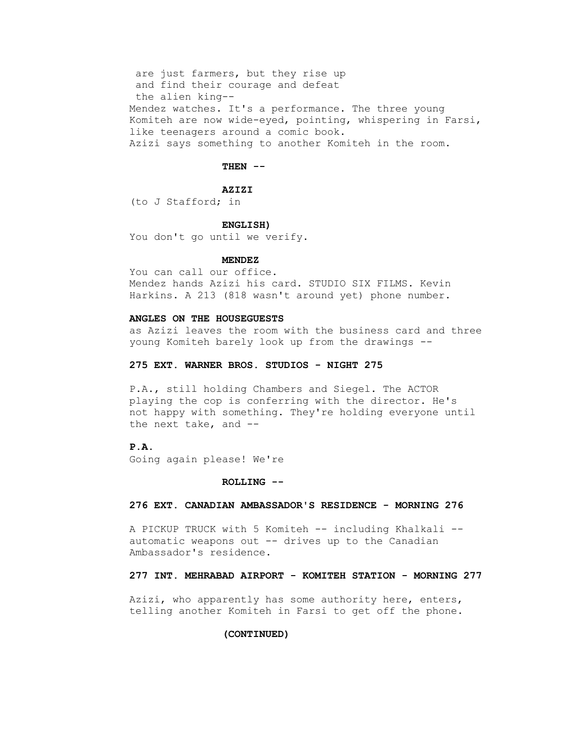are just farmers, but they rise up and find their courage and defeat the alien king-- Mendez watches. It's a performance. The three young Komiteh are now wide-eyed, pointing, whispering in Farsi, like teenagers around a comic book. Azizi says something to another Komiteh in the room.

## **THEN --**

## **AZIZI**

(to J Stafford; in

#### **ENGLISH)**

You don't go until we verify.

#### **MENDEZ**

 You can call our office. Mendez hands Azizi his card. STUDIO SIX FILMS. Kevin Harkins. A 213 (818 wasn't around yet) phone number.

## **ANGLES ON THE HOUSEGUESTS**

 as Azizi leaves the room with the business card and three young Komiteh barely look up from the drawings --

## **275 EXT. WARNER BROS. STUDIOS - NIGHT 275**

 P.A., still holding Chambers and Siegel. The ACTOR playing the cop is conferring with the director. He's not happy with something. They're holding everyone until the next take, and --

# **P.A.**

Going again please! We're

#### **ROLLING --**

## **276 EXT. CANADIAN AMBASSADOR'S RESIDENCE - MORNING 276**

A PICKUP TRUCK with 5 Komiteh -- including Khalkali - automatic weapons out -- drives up to the Canadian Ambassador's residence.

# **277 INT. MEHRABAD AIRPORT - KOMITEH STATION - MORNING 277**

 Azizi, who apparently has some authority here, enters, telling another Komiteh in Farsi to get off the phone.

# **(CONTINUED)**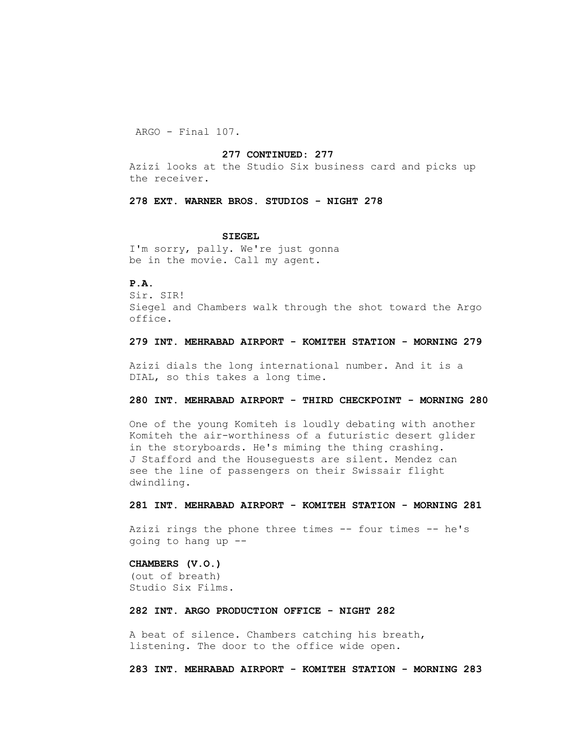ARGO - Final 107.

## **277 CONTINUED: 277**

 Azizi looks at the Studio Six business card and picks up the receiver.

## **278 EXT. WARNER BROS. STUDIOS - NIGHT 278**

#### **SIEGEL**

 I'm sorry, pally. We're just gonna be in the movie. Call my agent.

# **P.A.**

 Sir. SIR! Siegel and Chambers walk through the shot toward the Argo office.

## **279 INT. MEHRABAD AIRPORT - KOMITEH STATION - MORNING 279**

 Azizi dials the long international number. And it is a DIAL, so this takes a long time.

## **280 INT. MEHRABAD AIRPORT - THIRD CHECKPOINT - MORNING 280**

 One of the young Komiteh is loudly debating with another Komiteh the air-worthiness of a futuristic desert glider in the storyboards. He's miming the thing crashing. J Stafford and the Houseguests are silent. Mendez can see the line of passengers on their Swissair flight dwindling.

## **281 INT. MEHRABAD AIRPORT - KOMITEH STATION - MORNING 281**

 Azizi rings the phone three times -- four times -- he's going to hang up --

## **CHAMBERS (V.O.)**

 (out of breath) Studio Six Films.

# **282 INT. ARGO PRODUCTION OFFICE - NIGHT 282**

 A beat of silence. Chambers catching his breath, listening. The door to the office wide open.

 **283 INT. MEHRABAD AIRPORT - KOMITEH STATION - MORNING 283**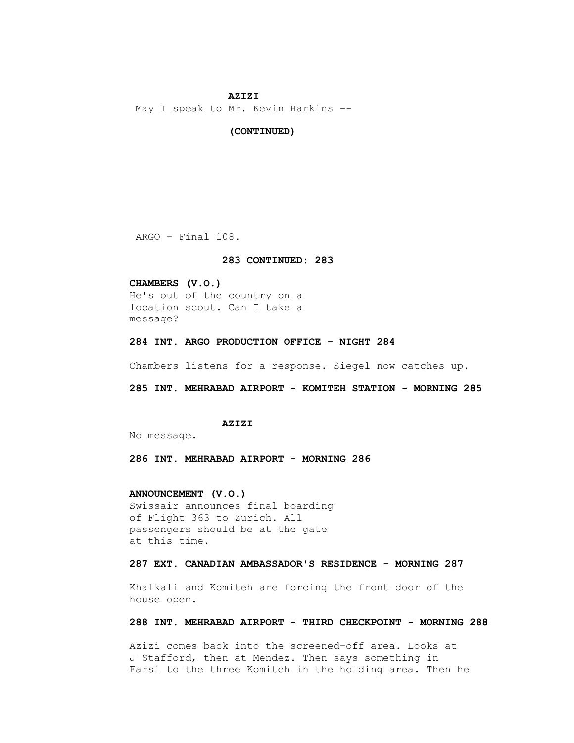#### **AZIZI**

May I speak to Mr. Kevin Harkins --

#### **(CONTINUED)**

ARGO - Final 108.

#### **283 CONTINUED: 283**

## **CHAMBERS (V.O.)**

 He's out of the country on a location scout. Can I take a message?

 **284 INT. ARGO PRODUCTION OFFICE - NIGHT 284**

Chambers listens for a response. Siegel now catches up.

 **285 INT. MEHRABAD AIRPORT - KOMITEH STATION - MORNING 285**

## **AZIZI**

No message.

 **286 INT. MEHRABAD AIRPORT - MORNING 286**

# **ANNOUNCEMENT (V.O.)**

 Swissair announces final boarding of Flight 363 to Zurich. All passengers should be at the gate at this time.

## **287 EXT. CANADIAN AMBASSADOR'S RESIDENCE - MORNING 287**

 Khalkali and Komiteh are forcing the front door of the house open.

# **288 INT. MEHRABAD AIRPORT - THIRD CHECKPOINT - MORNING 288**

 Azizi comes back into the screened-off area. Looks at J Stafford, then at Mendez. Then says something in Farsi to the three Komiteh in the holding area. Then he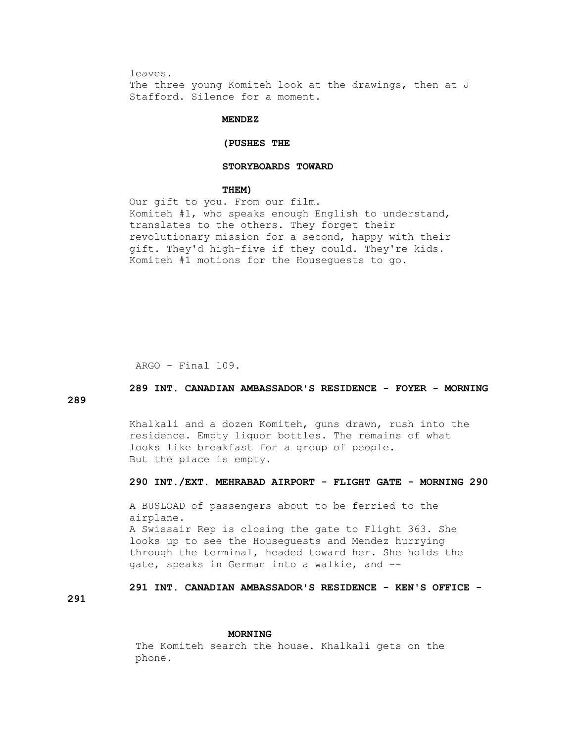leaves.

 The three young Komiteh look at the drawings, then at J Stafford. Silence for a moment.

## **MENDEZ**

## **(PUSHES THE**

## **STORYBOARDS TOWARD**

#### **THEM)**

 Our gift to you. From our film. Komiteh #1, who speaks enough English to understand, translates to the others. They forget their revolutionary mission for a second, happy with their gift. They'd high-five if they could. They're kids. Komiteh #1 motions for the Houseguests to go.

ARGO - Final 109.

# **289 INT. CANADIAN AMBASSADOR'S RESIDENCE - FOYER - MORNING**

**289**

 Khalkali and a dozen Komiteh, guns drawn, rush into the residence. Empty liquor bottles. The remains of what looks like breakfast for a group of people. But the place is empty.

## **290 INT./EXT. MEHRABAD AIRPORT - FLIGHT GATE - MORNING 290**

 A BUSLOAD of passengers about to be ferried to the airplane. A Swissair Rep is closing the gate to Flight 363. She looks up to see the Houseguests and Mendez hurrying through the terminal, headed toward her. She holds the gate, speaks in German into a walkie, and --

 **291 INT. CANADIAN AMBASSADOR'S RESIDENCE - KEN'S OFFICE -**

**291**

#### **MORNING**

 The Komiteh search the house. Khalkali gets on the phone.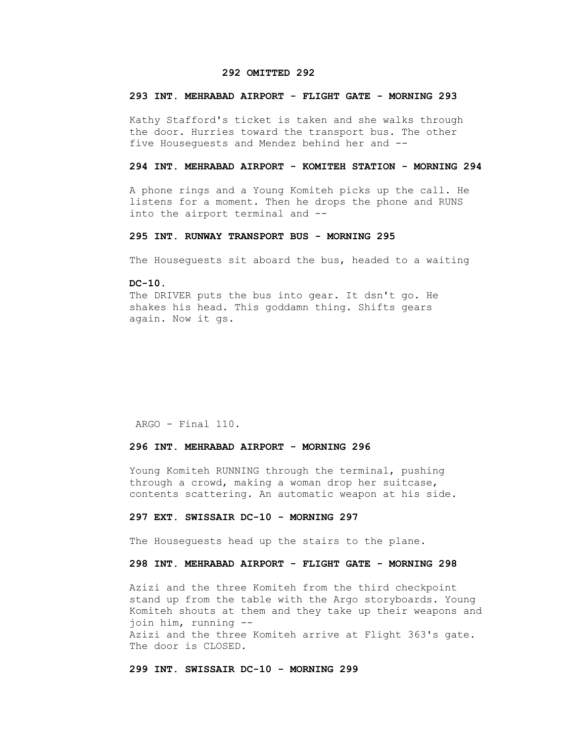## **292 OMITTED 292**

# **293 INT. MEHRABAD AIRPORT - FLIGHT GATE - MORNING 293**

 Kathy Stafford's ticket is taken and she walks through the door. Hurries toward the transport bus. The other five Houseguests and Mendez behind her and --

## **294 INT. MEHRABAD AIRPORT - KOMITEH STATION - MORNING 294**

 A phone rings and a Young Komiteh picks up the call. He listens for a moment. Then he drops the phone and RUNS into the airport terminal and --

## **295 INT. RUNWAY TRANSPORT BUS - MORNING 295**

The Houseguests sit aboard the bus, headed to a waiting

## **DC-10.**

The DRIVER puts the bus into gear. It dsn't go. He shakes his head. This goddamn thing. Shifts gears again. Now it gs.

ARGO - Final 110.

## **296 INT. MEHRABAD AIRPORT - MORNING 296**

 Young Komiteh RUNNING through the terminal, pushing through a crowd, making a woman drop her suitcase, contents scattering. An automatic weapon at his side.

## **297 EXT. SWISSAIR DC-10 - MORNING 297**

The Houseguests head up the stairs to the plane.

# **298 INT. MEHRABAD AIRPORT - FLIGHT GATE - MORNING 298**

 Azizi and the three Komiteh from the third checkpoint stand up from the table with the Argo storyboards. Young Komiteh shouts at them and they take up their weapons and join him, running -- Azizi and the three Komiteh arrive at Flight 363's gate. The door is CLOSED.

 **299 INT. SWISSAIR DC-10 - MORNING 299**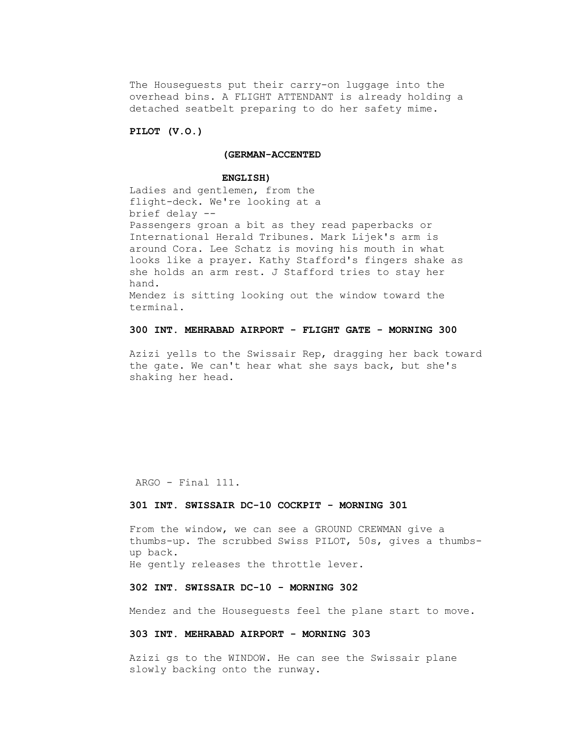The Houseguests put their carry-on luggage into the overhead bins. A FLIGHT ATTENDANT is already holding a detached seatbelt preparing to do her safety mime.

## **PILOT (V.O.)**

# **(GERMAN-ACCENTED**

#### **ENGLISH)**

 Ladies and gentlemen, from the flight-deck. We're looking at a brief delay -- Passengers groan a bit as they read paperbacks or International Herald Tribunes. Mark Lijek's arm is around Cora. Lee Schatz is moving his mouth in what looks like a prayer. Kathy Stafford's fingers shake as she holds an arm rest. J Stafford tries to stay her hand. Mendez is sitting looking out the window toward the terminal.

# **300 INT. MEHRABAD AIRPORT - FLIGHT GATE - MORNING 300**

 Azizi yells to the Swissair Rep, dragging her back toward the gate. We can't hear what she says back, but she's shaking her head.

ARGO - Final 111.

## **301 INT. SWISSAIR DC-10 COCKPIT - MORNING 301**

 From the window, we can see a GROUND CREWMAN give a thumbs-up. The scrubbed Swiss PILOT, 50s, gives a thumbs up back. He gently releases the throttle lever.

## **302 INT. SWISSAIR DC-10 - MORNING 302**

Mendez and the Houseguests feel the plane start to move.

# **303 INT. MEHRABAD AIRPORT - MORNING 303**

 Azizi gs to the WINDOW. He can see the Swissair plane slowly backing onto the runway.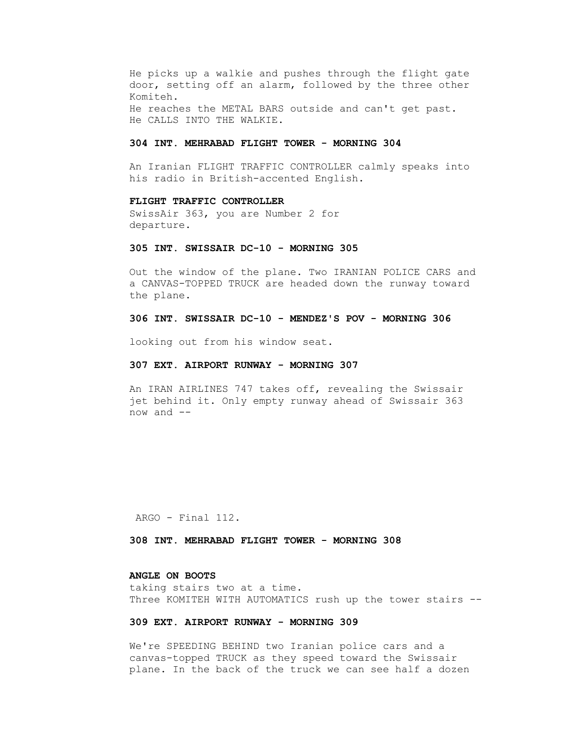He picks up a walkie and pushes through the flight gate door, setting off an alarm, followed by the three other Komiteh. He reaches the METAL BARS outside and can't get past. He CALLS INTO THE WALKIE.

## **304 INT. MEHRABAD FLIGHT TOWER - MORNING 304**

 An Iranian FLIGHT TRAFFIC CONTROLLER calmly speaks into his radio in British-accented English.

## **FLIGHT TRAFFIC CONTROLLER**

 SwissAir 363, you are Number 2 for departure.

## **305 INT. SWISSAIR DC-10 - MORNING 305**

 Out the window of the plane. Two IRANIAN POLICE CARS and a CANVAS-TOPPED TRUCK are headed down the runway toward the plane.

## **306 INT. SWISSAIR DC-10 - MENDEZ'S POV - MORNING 306**

looking out from his window seat.

## **307 EXT. AIRPORT RUNWAY - MORNING 307**

 An IRAN AIRLINES 747 takes off, revealing the Swissair jet behind it. Only empty runway ahead of Swissair 363 now and --

ARGO - Final 112.

 **308 INT. MEHRABAD FLIGHT TOWER - MORNING 308**

## **ANGLE ON BOOTS**

 taking stairs two at a time. Three KOMITEH WITH AUTOMATICS rush up the tower stairs --

# **309 EXT. AIRPORT RUNWAY - MORNING 309**

 We're SPEEDING BEHIND two Iranian police cars and a canvas-topped TRUCK as they speed toward the Swissair plane. In the back of the truck we can see half a dozen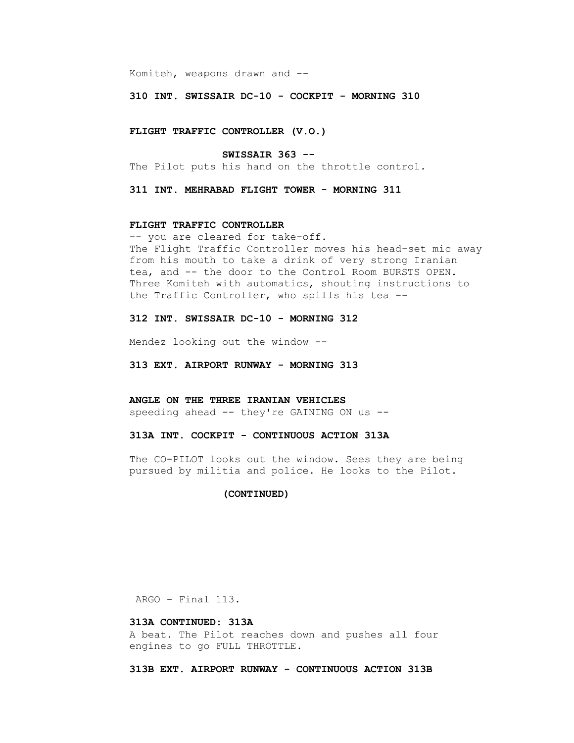Komiteh, weapons drawn and --

 **310 INT. SWISSAIR DC-10 - COCKPIT - MORNING 310**

 **FLIGHT TRAFFIC CONTROLLER (V.O.)**

#### **SWISSAIR 363 --**

The Pilot puts his hand on the throttle control.

 **311 INT. MEHRABAD FLIGHT TOWER - MORNING 311**

## **FLIGHT TRAFFIC CONTROLLER**

 -- you are cleared for take-off. The Flight Traffic Controller moves his head-set mic away from his mouth to take a drink of very strong Iranian tea, and -- the door to the Control Room BURSTS OPEN. Three Komiteh with automatics, shouting instructions to the Traffic Controller, who spills his tea --

## **312 INT. SWISSAIR DC-10 - MORNING 312**

Mendez looking out the window --

 **313 EXT. AIRPORT RUNWAY - MORNING 313**

 **ANGLE ON THE THREE IRANIAN VEHICLES** speeding ahead -- they're GAINING ON us --

 **313A INT. COCKPIT - CONTINUOUS ACTION 313A**

 The CO-PILOT looks out the window. Sees they are being pursued by militia and police. He looks to the Pilot.

## **(CONTINUED)**

ARGO - Final 113.

## **313A CONTINUED: 313A**

 A beat. The Pilot reaches down and pushes all four engines to go FULL THROTTLE.

 **313B EXT. AIRPORT RUNWAY - CONTINUOUS ACTION 313B**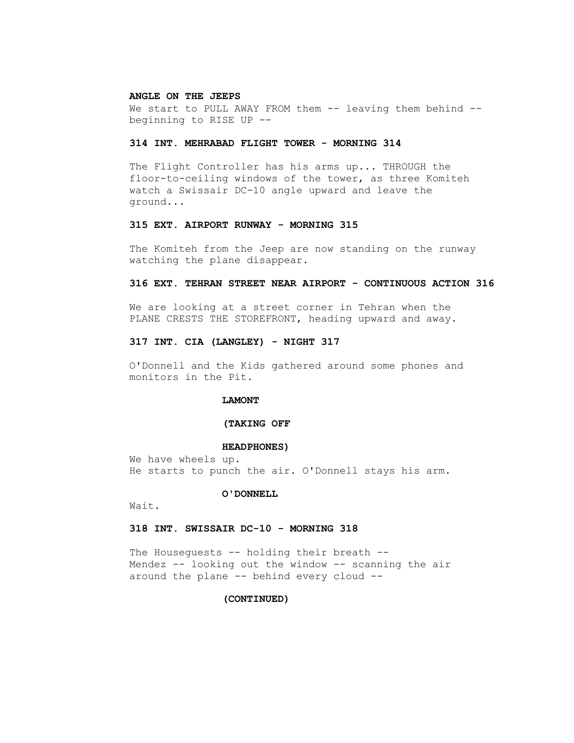#### **ANGLE ON THE JEEPS**

We start to PULL AWAY FROM them -- leaving them behind -beginning to RISE UP --

# **314 INT. MEHRABAD FLIGHT TOWER - MORNING 314**

 The Flight Controller has his arms up... THROUGH the floor-to-ceiling windows of the tower, as three Komiteh watch a Swissair DC-10 angle upward and leave the ground...

## **315 EXT. AIRPORT RUNWAY - MORNING 315**

 The Komiteh from the Jeep are now standing on the runway watching the plane disappear.

## **316 EXT. TEHRAN STREET NEAR AIRPORT - CONTINUOUS ACTION 316**

 We are looking at a street corner in Tehran when the PLANE CRESTS THE STOREFRONT, heading upward and away.

## **317 INT. CIA (LANGLEY) - NIGHT 317**

 O'Donnell and the Kids gathered around some phones and monitors in the Pit.

## **LAMONT**

# **(TAKING OFF**

#### **HEADPHONES)**

 We have wheels up. He starts to punch the air. O'Donnell stays his arm.

#### **O'DONNELL**

Wait.

## **318 INT. SWISSAIR DC-10 - MORNING 318**

The Houseguests -- holding their breath -- Mendez -- looking out the window -- scanning the air around the plane -- behind every cloud --

## **(CONTINUED)**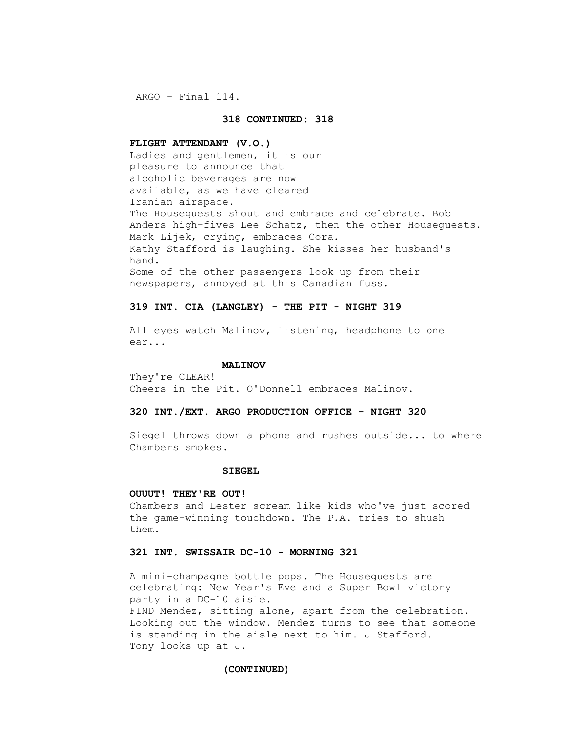ARGO - Final 114.

## **318 CONTINUED: 318**

#### **FLIGHT ATTENDANT (V.O.)**

 Ladies and gentlemen, it is our pleasure to announce that alcoholic beverages are now available, as we have cleared Iranian airspace. The Houseguests shout and embrace and celebrate. Bob Anders high-fives Lee Schatz, then the other Houseguests. Mark Lijek, crying, embraces Cora. Kathy Stafford is laughing. She kisses her husband's hand. Some of the other passengers look up from their newspapers, annoyed at this Canadian fuss.

## **319 INT. CIA (LANGLEY) - THE PIT - NIGHT 319**

 All eyes watch Malinov, listening, headphone to one ear...

#### **MALINOV**

 They're CLEAR! Cheers in the Pit. O'Donnell embraces Malinov.

## **320 INT./EXT. ARGO PRODUCTION OFFICE - NIGHT 320**

 Siegel throws down a phone and rushes outside... to where Chambers smokes.

## **SIEGEL**

## **OUUUT! THEY'RE OUT!**

 Chambers and Lester scream like kids who've just scored the game-winning touchdown. The P.A. tries to shush them.

## **321 INT. SWISSAIR DC-10 - MORNING 321**

 A mini-champagne bottle pops. The Houseguests are celebrating: New Year's Eve and a Super Bowl victory party in a DC-10 aisle. FIND Mendez, sitting alone, apart from the celebration. Looking out the window. Mendez turns to see that someone is standing in the aisle next to him. J Stafford. Tony looks up at J.

#### **(CONTINUED)**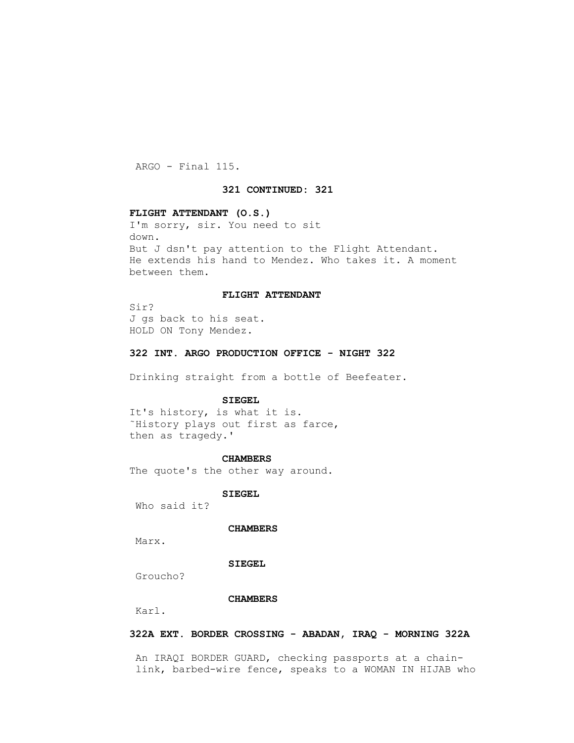ARGO - Final 115.

## **321 CONTINUED: 321**

## **FLIGHT ATTENDANT (O.S.)**

 I'm sorry, sir. You need to sit down. But J dsn't pay attention to the Flight Attendant. He extends his hand to Mendez. Who takes it. A moment between them.

## **FLIGHT ATTENDANT**

 Sir? J gs back to his seat. HOLD ON Tony Mendez.

## **322 INT. ARGO PRODUCTION OFFICE - NIGHT 322**

Drinking straight from a bottle of Beefeater.

## **SIEGEL**

 It's history, is what it is. ˜History plays out first as farce, then as tragedy.'

#### **CHAMBERS**

The quote's the other way around.

 **SIEGEL**

Who said it?

## **CHAMBERS**

Marx.

# **SIEGEL**

Groucho?

## **CHAMBERS**

Karl.

# **322A EXT. BORDER CROSSING - ABADAN, IRAQ - MORNING 322A**

 An IRAQI BORDER GUARD, checking passports at a chain link, barbed-wire fence, speaks to a WOMAN IN HIJAB who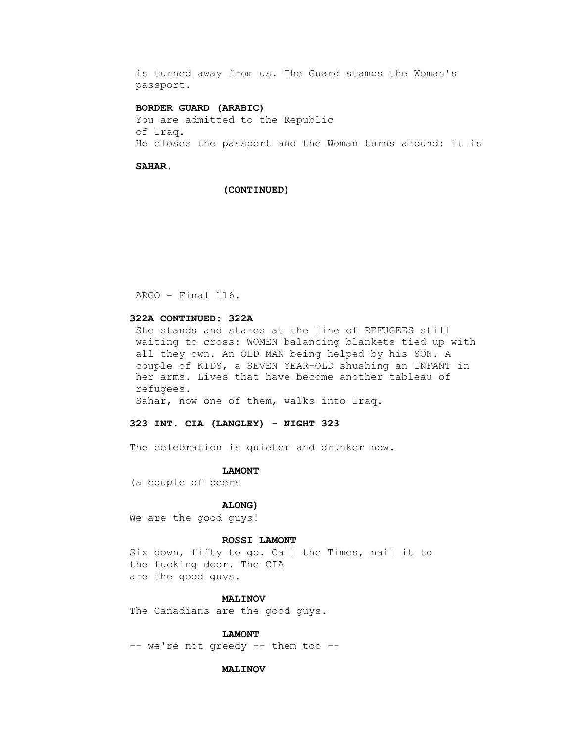is turned away from us. The Guard stamps the Woman's passport.

## **BORDER GUARD (ARABIC)**

 You are admitted to the Republic of Iraq. He closes the passport and the Woman turns around: it is

#### **SAHAR.**

#### **(CONTINUED)**

ARGO - Final 116.

# **322A CONTINUED: 322A**

 She stands and stares at the line of REFUGEES still waiting to cross: WOMEN balancing blankets tied up with all they own. An OLD MAN being helped by his SON. A couple of KIDS, a SEVEN YEAR-OLD shushing an INFANT in her arms. Lives that have become another tableau of refugees.

Sahar, now one of them, walks into Iraq.

# **323 INT. CIA (LANGLEY) - NIGHT 323**

The celebration is quieter and drunker now.

#### **LAMONT**

(a couple of beers

## **ALONG)**

We are the good guys!

## **ROSSI LAMONT**

 Six down, fifty to go. Call the Times, nail it to the fucking door. The CIA are the good guys.

## **MALINOV**

The Canadians are the good guys.

## **LAMONT**

-- we're not greedy -- them too --

## **MALINOV**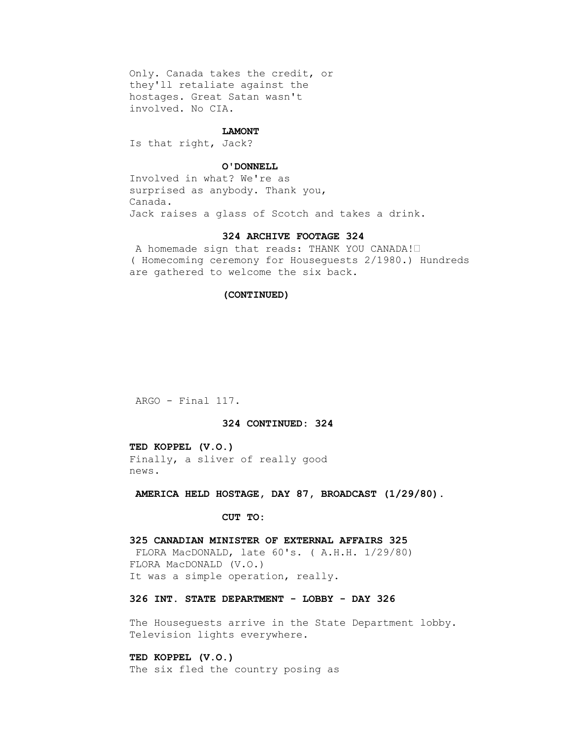Only. Canada takes the credit, or they'll retaliate against the hostages. Great Satan wasn't involved. No CIA.

#### **LAMONT**

Is that right, Jack?

## **O'DONNELL**

 Involved in what? We're as surprised as anybody. Thank you, Canada. Jack raises a glass of Scotch and takes a drink.

## **324 ARCHIVE FOOTAGE 324**

 A homemade sign that reads: THANK YOU CANADA!• ( Homecoming ceremony for Houseguests 2/1980.) Hundreds are gathered to welcome the six back.

# **(CONTINUED)**

ARGO - Final 117.

## **324 CONTINUED: 324**

 **TED KOPPEL (V.O.)** Finally, a sliver of really good news.

 **AMERICA HELD HOSTAGE, DAY 87, BROADCAST (1/29/80).**

## **CUT TO:**

# **325 CANADIAN MINISTER OF EXTERNAL AFFAIRS 325**

 FLORA MacDONALD, late 60's. ( A.H.H. 1/29/80) FLORA MacDONALD (V.O.) It was a simple operation, really.

# **326 INT. STATE DEPARTMENT - LOBBY - DAY 326**

The Houseguests arrive in the State Department lobby. Television lights everywhere.

 **TED KOPPEL (V.O.)** The six fled the country posing as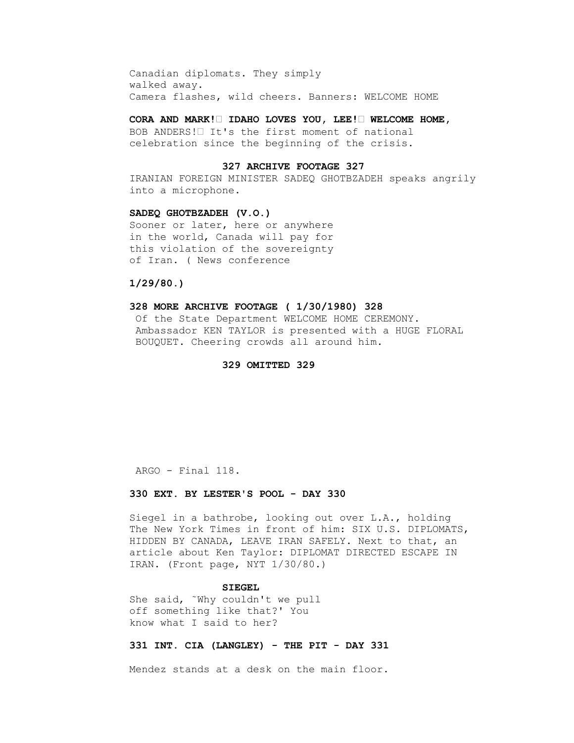Canadian diplomats. They simply walked away. Camera flashes, wild cheers. Banners: WELCOME HOME

 **CORA AND MARK!• IDAHO LOVES YOU, LEE!• WELCOME HOME,**

 BOB ANDERS!• It's the first moment of national celebration since the beginning of the crisis.

## **327 ARCHIVE FOOTAGE 327**

 IRANIAN FOREIGN MINISTER SADEQ GHOTBZADEH speaks angrily into a microphone.

## **SADEQ GHOTBZADEH (V.O.)**

 Sooner or later, here or anywhere in the world, Canada will pay for this violation of the sovereignty of Iran. ( News conference

# **1/29/80.)**

## **328 MORE ARCHIVE FOOTAGE ( 1/30/1980) 328**

 Of the State Department WELCOME HOME CEREMONY. Ambassador KEN TAYLOR is presented with a HUGE FLORAL BOUQUET. Cheering crowds all around him.

## **329 OMITTED 329**

ARGO - Final 118.

## **330 EXT. BY LESTER'S POOL - DAY 330**

 Siegel in a bathrobe, looking out over L.A., holding The New York Times in front of him: SIX U.S. DIPLOMATS, HIDDEN BY CANADA, LEAVE IRAN SAFELY. Next to that, an article about Ken Taylor: DIPLOMAT DIRECTED ESCAPE IN IRAN. (Front page, NYT 1/30/80.)

## **SIEGEL**

 She said, ˜Why couldn't we pull off something like that?' You know what I said to her?

## **331 INT. CIA (LANGLEY) - THE PIT - DAY 331**

Mendez stands at a desk on the main floor.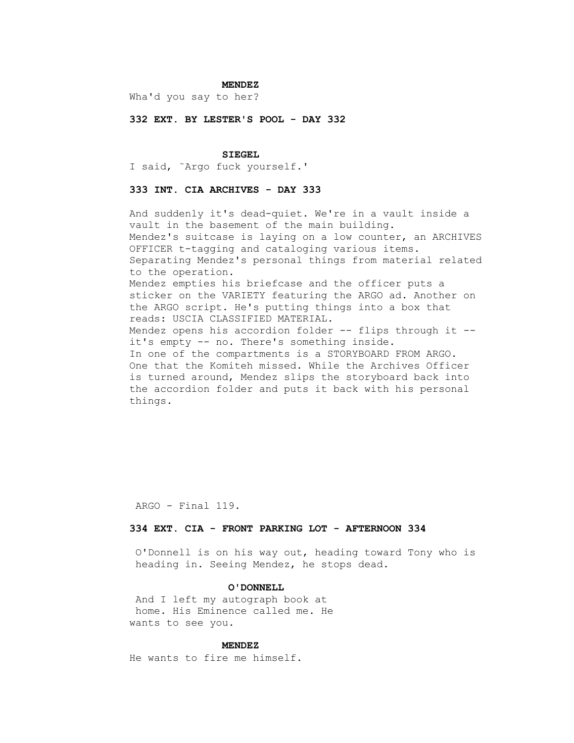## **MENDEZ**

Wha'd you say to her?

 **332 EXT. BY LESTER'S POOL - DAY 332**

#### **SIEGEL**

I said, ˜Argo fuck yourself.'

# **333 INT. CIA ARCHIVES - DAY 333**

 And suddenly it's dead-quiet. We're in a vault inside a vault in the basement of the main building. Mendez's suitcase is laying on a low counter, an ARCHIVES OFFICER t-tagging and cataloging various items. Separating Mendez's personal things from material related to the operation. Mendez empties his briefcase and the officer puts a sticker on the VARIETY featuring the ARGO ad. Another on the ARGO script. He's putting things into a box that reads: USCIA CLASSIFIED MATERIAL. Mendez opens his accordion folder -- flips through it - it's empty -- no. There's something inside. In one of the compartments is a STORYBOARD FROM ARGO. One that the Komiteh missed. While the Archives Officer is turned around, Mendez slips the storyboard back into the accordion folder and puts it back with his personal things.

ARGO - Final 119.

## **334 EXT. CIA - FRONT PARKING LOT - AFTERNOON 334**

 O'Donnell is on his way out, heading toward Tony who is heading in. Seeing Mendez, he stops dead.

# **O'DONNELL**

 And I left my autograph book at home. His Eminence called me. He wants to see you.

#### **MENDEZ**

He wants to fire me himself.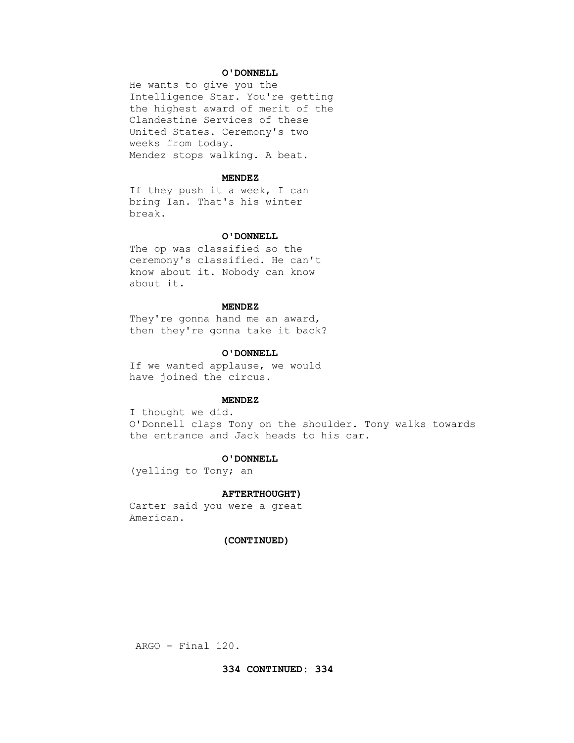## **O'DONNELL**

 He wants to give you the Intelligence Star. You're getting the highest award of merit of the Clandestine Services of these United States. Ceremony's two weeks from today. Mendez stops walking. A beat.

#### **MENDEZ**

 If they push it a week, I can bring Ian. That's his winter break.

## **O'DONNELL**

 The op was classified so the ceremony's classified. He can't know about it. Nobody can know about it.

## **MENDEZ**

 They're gonna hand me an award, then they're gonna take it back?

#### **O'DONNELL**

 If we wanted applause, we would have joined the circus.

## **MENDEZ**

 I thought we did. O'Donnell claps Tony on the shoulder. Tony walks towards the entrance and Jack heads to his car.

#### **O'DONNELL**

(yelling to Tony; an

#### **AFTERTHOUGHT)**

 Carter said you were a great American.

# **(CONTINUED)**

ARGO - Final 120.

## **334 CONTINUED: 334**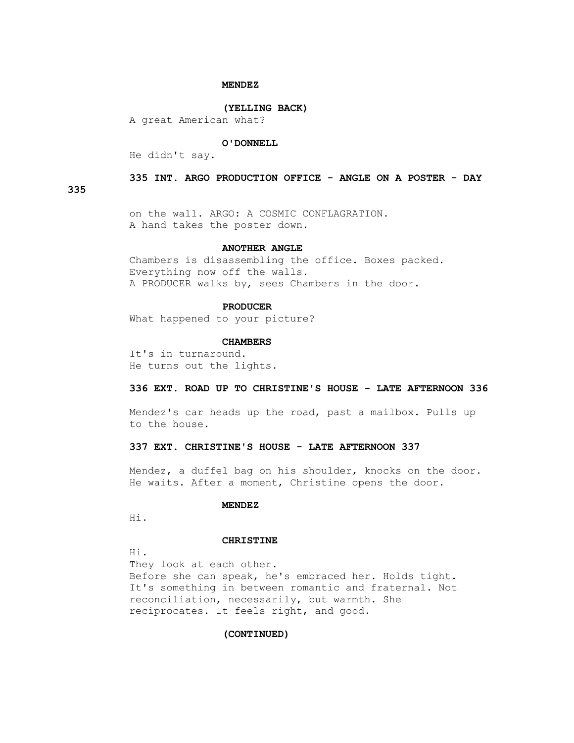## **MENDEZ**

#### **(YELLING BACK)**

A great American what?

#### **O'DONNELL**

He didn't say.

## **335 INT. ARGO PRODUCTION OFFICE - ANGLE ON A POSTER - DAY**

**335**

 on the wall. ARGO: A COSMIC CONFLAGRATION. A hand takes the poster down.

## **ANOTHER ANGLE**

 Chambers is disassembling the office. Boxes packed. Everything now off the walls. A PRODUCER walks by, sees Chambers in the door.

#### **PRODUCER**

What happened to your picture?

#### **CHAMBERS**

 It's in turnaround. He turns out the lights.

#### **336 EXT. ROAD UP TO CHRISTINE'S HOUSE - LATE AFTERNOON 336**

 Mendez's car heads up the road, past a mailbox. Pulls up to the house.

## **337 EXT. CHRISTINE'S HOUSE - LATE AFTERNOON 337**

 Mendez, a duffel bag on his shoulder, knocks on the door. He waits. After a moment, Christine opens the door.

## **MENDEZ**

Hi.

## **CHRISTINE**

Hi.

 They look at each other. Before she can speak, he's embraced her. Holds tight. It's something in between romantic and fraternal. Not reconciliation, necessarily, but warmth. She reciprocates. It feels right, and good.

# **(CONTINUED)**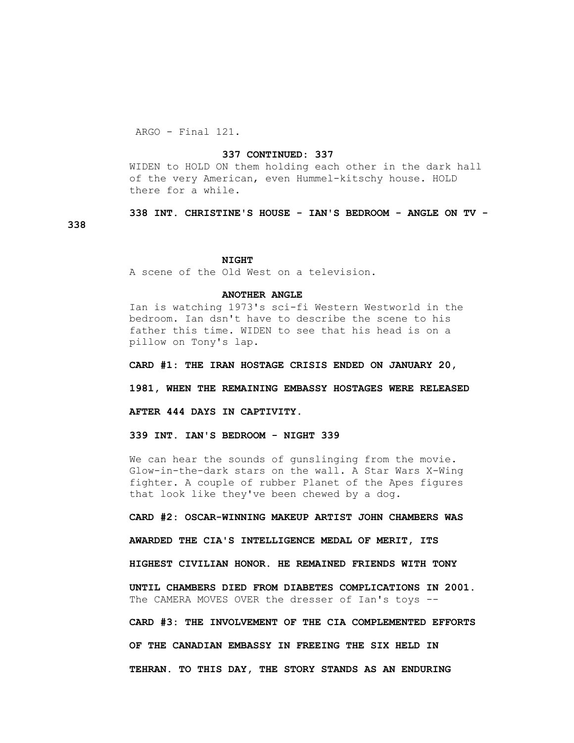ARGO - Final 121.

**338**

## **337 CONTINUED: 337**

 WIDEN to HOLD ON them holding each other in the dark hall of the very American, even Hummel-kitschy house. HOLD there for a while.

 **338 INT. CHRISTINE'S HOUSE - IAN'S BEDROOM - ANGLE ON TV -**

#### **NIGHT**

A scene of the Old West on a television.

## **ANOTHER ANGLE**

 Ian is watching 1973's sci-fi Western Westworld in the bedroom. Ian dsn't have to describe the scene to his father this time. WIDEN to see that his head is on a pillow on Tony's lap.

 **CARD #1: THE IRAN HOSTAGE CRISIS ENDED ON JANUARY 20,**

 **1981, WHEN THE REMAINING EMBASSY HOSTAGES WERE RELEASED**

 **AFTER 444 DAYS IN CAPTIVITY.**

 **339 INT. IAN'S BEDROOM - NIGHT 339**

We can hear the sounds of gunslinging from the movie. Glow-in-the-dark stars on the wall. A Star Wars X-Wing fighter. A couple of rubber Planet of the Apes figures that look like they've been chewed by a dog.

 **CARD #2: OSCAR-WINNING MAKEUP ARTIST JOHN CHAMBERS WAS**

 **AWARDED THE CIA'S INTELLIGENCE MEDAL OF MERIT, ITS**

 **HIGHEST CIVILIAN HONOR. HE REMAINED FRIENDS WITH TONY**

 **UNTIL CHAMBERS DIED FROM DIABETES COMPLICATIONS IN 2001.** The CAMERA MOVES OVER the dresser of Ian's toys --

 **CARD #3: THE INVOLVEMENT OF THE CIA COMPLEMENTED EFFORTS OF THE CANADIAN EMBASSY IN FREEING THE SIX HELD IN TEHRAN. TO THIS DAY, THE STORY STANDS AS AN ENDURING**